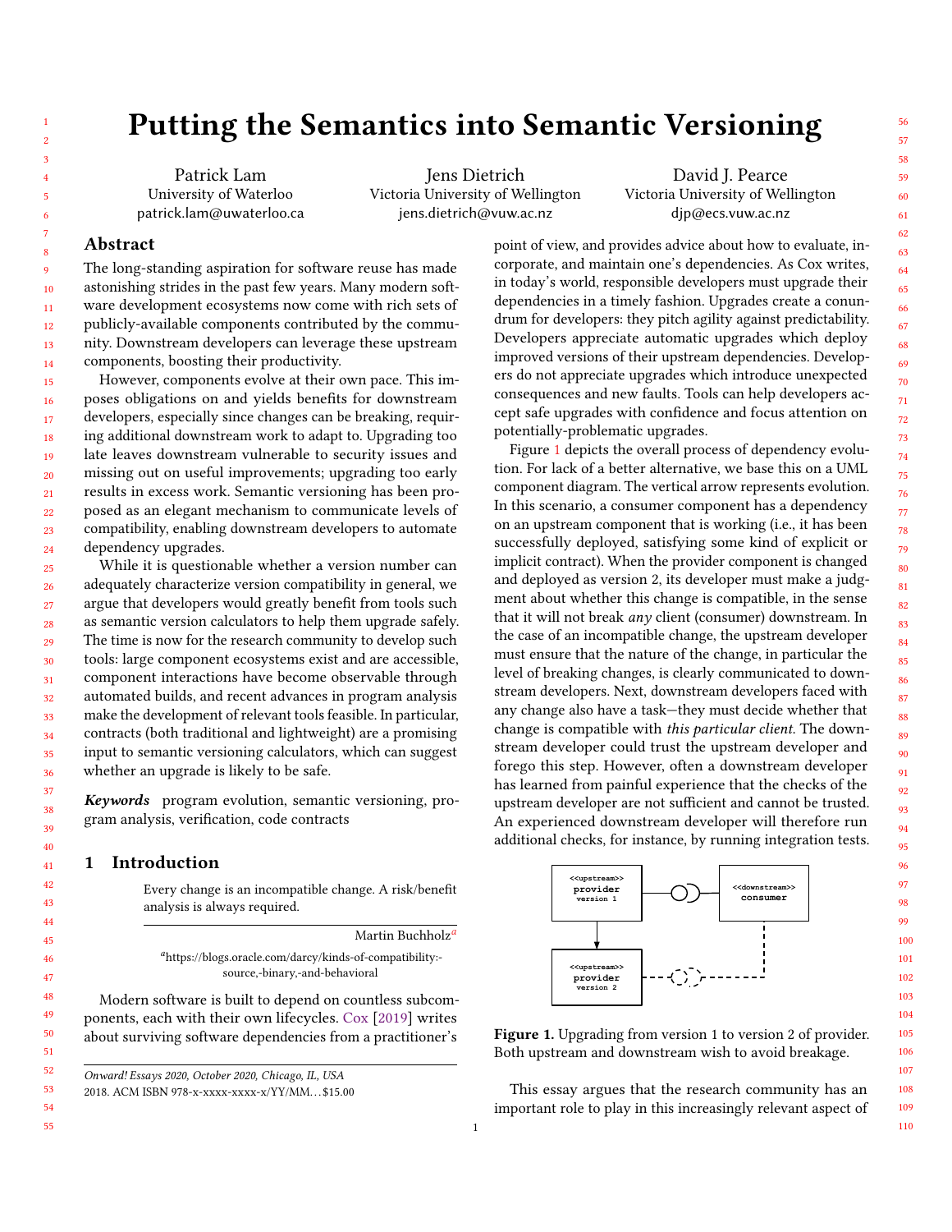# Putting the Semantics into Semantic Versioning

Patrick Lam University of Waterloo patrick.lam@uwaterloo.ca

Jens Dietrich Victoria University of Wellington jens.dietrich@vuw.ac.nz

David J. Pearce Victoria University of Wellington djp@ecs.vuw.ac.nz

point of view, and provides advice about how to evaluate, incorporate, and maintain one's dependencies. As Cox writes, in today's world, responsible developers must upgrade their dependencies in a timely fashion. Upgrades create a conundrum for developers: they pitch agility against predictability. Developers appreciate automatic upgrades which deploy improved versions of their upstream dependencies. Developers do not appreciate upgrades which introduce unexpected consequences and new faults. Tools can help developers accept safe upgrades with confidence and focus attention on

Figure [1](#page-0-1) depicts the overall process of dependency evolution. For lack of a better alternative, we base this on a UML component diagram. The vertical arrow represents evolution. In this scenario, a consumer component has a dependency on an upstream component that is working (i.e., it has been successfully deployed, satisfying some kind of explicit or implicit contract). When the provider component is changed and deployed as version 2, its developer must make a judgment about whether this change is compatible, in the sense that it will not break any client (consumer) downstream. In the case of an incompatible change, the upstream developer must ensure that the nature of the change, in particular the level of breaking changes, is clearly communicated to downstream developers. Next, downstream developers faced with

potentially-problematic upgrades.

### Abstract

The long-standing aspiration for software reuse has made astonishing strides in the past few years. Many modern software development ecosystems now come with rich sets of publicly-available components contributed by the community. Downstream developers can leverage these upstream components, boosting their productivity.

15 16 17 18 19 20  $21$ 22 23 24 However, components evolve at their own pace. This imposes obligations on and yields benefits for downstream developers, especially since changes can be breaking, requiring additional downstream work to adapt to. Upgrading too late leaves downstream vulnerable to security issues and missing out on useful improvements; upgrading too early results in excess work. Semantic versioning has been proposed as an elegant mechanism to communicate levels of compatibility, enabling downstream developers to automate dependency upgrades.

25 26 27 28 29 30 31 32 33 34 35 36 While it is questionable whether a version number can adequately characterize version compatibility in general, we argue that developers would greatly benefit from tools such as semantic version calculators to help them upgrade safely. The time is now for the research community to develop such tools: large component ecosystems exist and are accessible, component interactions have become observable through automated builds, and recent advances in program analysis make the development of relevant tools feasible. In particular, contracts (both traditional and lightweight) are a promising input to semantic versioning calculators, which can suggest whether an upgrade is likely to be safe.

Keywords program evolution, semantic versioning, program analysis, verification, code contracts

#### 1 Introduction

Every change is an incompatible change. A risk/benefit analysis is always required.

<span id="page-0-0"></span>M[a](#page-0-0)rtin Buchholz<sup>a</sup> <sup>a</sup>https://blogs.oracle.com/darcy/kinds-of-compatibility: source,-binary,-and-behavioral

Modern software is built to depend on countless subcomponents, each with their own lifecycles. [Cox](#page-19-0) [\[2019\]](#page-19-0) writes about surviving software dependencies from a practitioner's

Onward! Essays 2020, October 2020, Chicago, IL, USA

54 55

any change also have a task—they must decide whether that change is compatible with this particular client. The downstream developer could trust the upstream developer and forego this step. However, often a downstream developer has learned from painful experience that the checks of the upstream developer are not sufficient and cannot be trusted. An experienced downstream developer will therefore run additional checks, for instance, by running integration tests. <<upstream>>  $provider$ version 1 mstrea  $consumer$ 

<span id="page-0-1"></span>

Figure 1. Upgrading from version 1 to version 2 of provider. Both upstream and downstream wish to avoid breakage.

This essay argues that the research community has an important role to play in this increasingly relevant aspect of

56

<sup>2018.</sup> ACM ISBN 978-x-xxxx-xxxx-x/YY/MM. . . \$15.00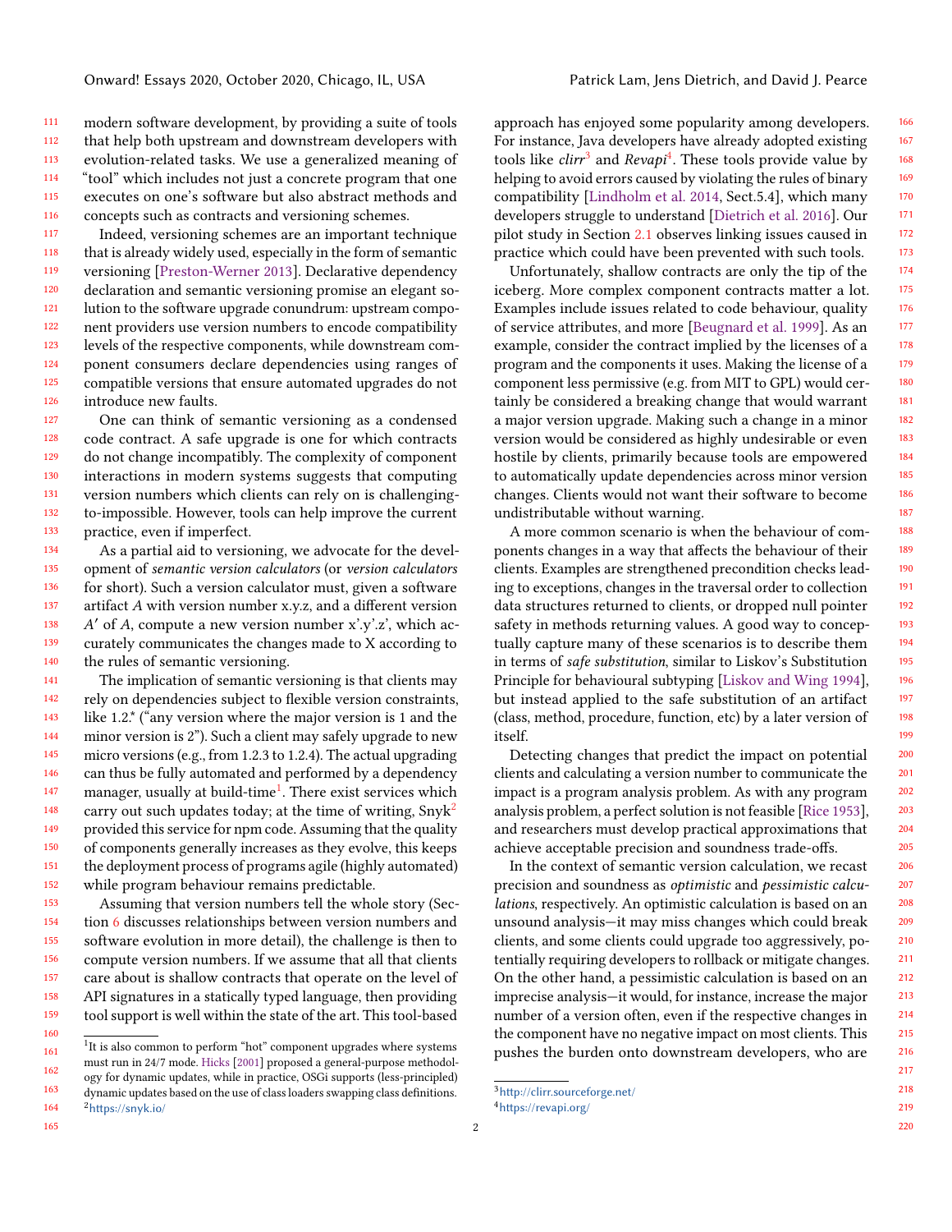111 112 113 114 115 116 modern software development, by providing a suite of tools that help both upstream and downstream developers with evolution-related tasks. We use a generalized meaning of "tool" which includes not just a concrete program that one executes on one's software but also abstract methods and concepts such as contracts and versioning schemes.

117 118 119 120 121 122 123 124 125 126 Indeed, versioning schemes are an important technique that is already widely used, especially in the form of semantic versioning [\[Preston-Werner](#page-21-0) [2013\]](#page-21-0). Declarative dependency declaration and semantic versioning promise an elegant solution to the software upgrade conundrum: upstream component providers use version numbers to encode compatibility levels of the respective components, while downstream component consumers declare dependencies using ranges of compatible versions that ensure automated upgrades do not introduce new faults.

127 128 129 130 131 132 133 One can think of semantic versioning as a condensed code contract. A safe upgrade is one for which contracts do not change incompatibly. The complexity of component interactions in modern systems suggests that computing version numbers which clients can rely on is challengingto-impossible. However, tools can help improve the current practice, even if imperfect.

134 135 136 137 138 139 140 As a partial aid to versioning, we advocate for the development of semantic version calculators (or version calculators for short). Such a version calculator must, given a software artifact  $A$  with version number x.y.z, and a different version  $A'$  of  $A$ , compute a new version number x'.y'.z', which accurately communicates the changes made to X according to the rules of semantic versioning.

141 142 143 144 145 146 147 148 149 150 151 152 The implication of semantic versioning is that clients may rely on dependencies subject to flexible version constraints, like 1.2.\* ("any version where the major version is 1 and the minor version is 2"). Such a client may safely upgrade to new micro versions (e.g., from 1.2.3 to 1.2.4). The actual upgrading can thus be fully automated and performed by a dependency manager, usually at build-time<sup>[1](#page-1-0)</sup>. There exist services which carry out such updates today; at the time of writing,  $Snyk<sup>2</sup>$  $Snyk<sup>2</sup>$  $Snyk<sup>2</sup>$ provided this service for npm code. Assuming that the quality of components generally increases as they evolve, this keeps the deployment process of programs agile (highly automated) while program behaviour remains predictable.

153 154 155 156 157 158 159 Assuming that version numbers tell the whole story (Section [6](#page-15-0) discusses relationships between version numbers and software evolution in more detail), the challenge is then to compute version numbers. If we assume that all that clients care about is shallow contracts that operate on the level of API signatures in a statically typed language, then providing tool support is well within the state of the art. This tool-based

approach has enjoyed some popularity among developers. For instance, Java developers have already adopted existing tools like *clirr<sup>[3](#page-1-2)</sup>* and Revapi<sup>[4](#page-1-3)</sup>. These tools provide value by helping to avoid errors caused by violating the rules of binary compatibility [\[Lindholm et al.](#page-20-0) [2014,](#page-20-0) Sect.5.4], which many developers struggle to understand [\[Dietrich et al.](#page-19-2) [2016\]](#page-19-2). Our pilot study in Section [2.1](#page-3-0) observes linking issues caused in practice which could have been prevented with such tools.

Unfortunately, shallow contracts are only the tip of the iceberg. More complex component contracts matter a lot. Examples include issues related to code behaviour, quality of service attributes, and more [\[Beugnard et al.](#page-18-0) [1999\]](#page-18-0). As an example, consider the contract implied by the licenses of a program and the components it uses. Making the license of a component less permissive (e.g. from MIT to GPL) would certainly be considered a breaking change that would warrant a major version upgrade. Making such a change in a minor version would be considered as highly undesirable or even hostile by clients, primarily because tools are empowered to automatically update dependencies across minor version changes. Clients would not want their software to become undistributable without warning.

A more common scenario is when the behaviour of components changes in a way that affects the behaviour of their clients. Examples are strengthened precondition checks leading to exceptions, changes in the traversal order to collection data structures returned to clients, or dropped null pointer safety in methods returning values. A good way to conceptually capture many of these scenarios is to describe them in terms of safe substitution, similar to Liskov's Substitution Principle for behavioural subtyping [\[Liskov and Wing](#page-20-1) [1994\]](#page-20-1), but instead applied to the safe substitution of an artifact (class, method, procedure, function, etc) by a later version of itself.

Detecting changes that predict the impact on potential clients and calculating a version number to communicate the impact is a program analysis problem. As with any program analysis problem, a perfect solution is not feasible [\[Rice](#page-21-1) [1953\]](#page-21-1), and researchers must develop practical approximations that achieve acceptable precision and soundness trade-offs.

In the context of semantic version calculation, we recast precision and soundness as optimistic and pessimistic calculations, respectively. An optimistic calculation is based on an unsound analysis—it may miss changes which could break clients, and some clients could upgrade too aggressively, potentially requiring developers to rollback or mitigate changes. On the other hand, a pessimistic calculation is based on an imprecise analysis—it would, for instance, increase the major number of a version often, even if the respective changes in the component have no negative impact on most clients. This pushes the burden onto downstream developers, who are

```
3http://clirr.sourceforge.net/
4https://revapi.org/
```
<span id="page-1-1"></span><span id="page-1-0"></span><sup>161</sup> 162 163 164 <sup>1</sup>It is also common to perform "hot" component upgrades where systems must run in 24/7 mode. [Hicks](#page-19-1) [\[2001\]](#page-19-1) proposed a general-purpose methodology for dynamic updates, while in practice, OSGi supports (less-principled) dynamic updates based on the use of class loaders swapping class definitions. <sup>2</sup><https://snyk.io/>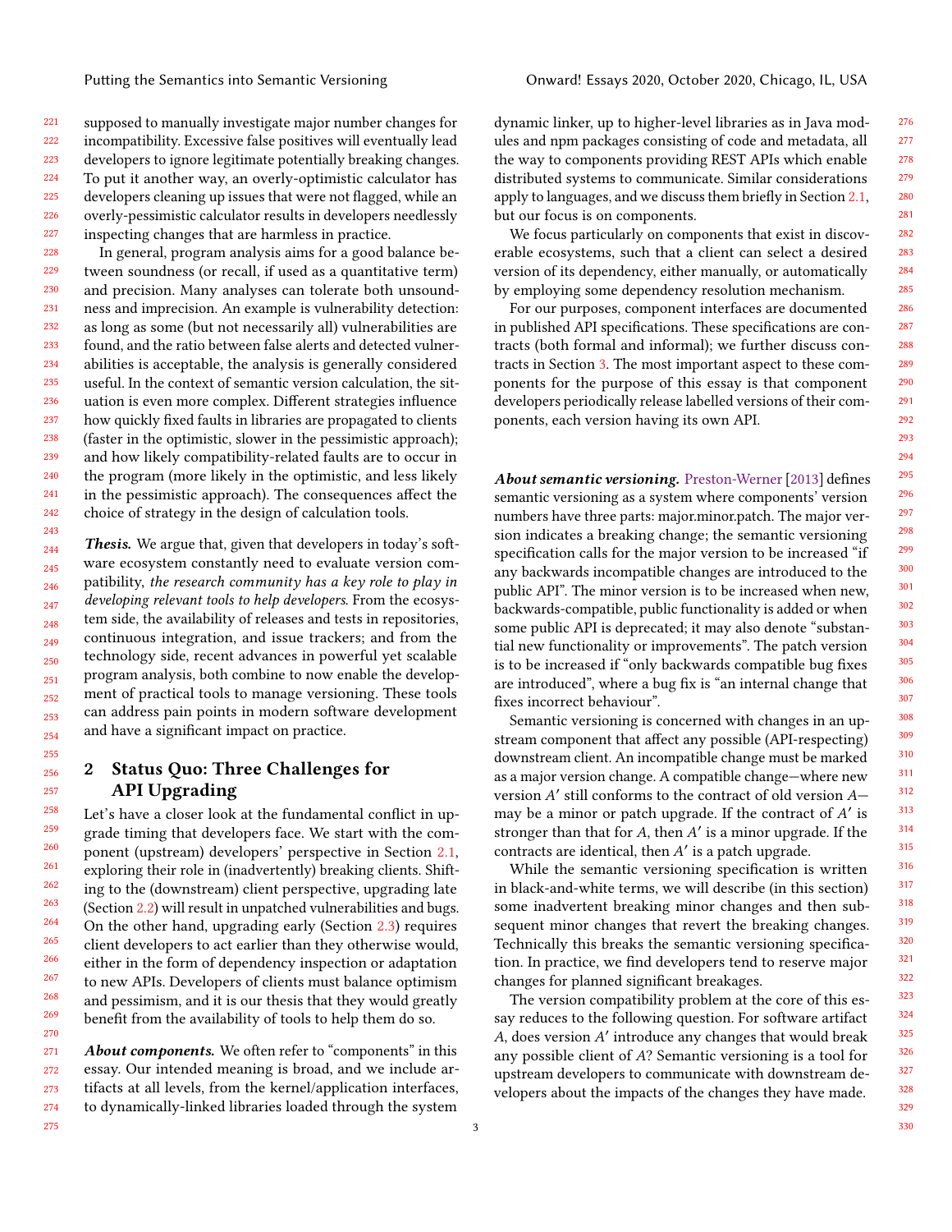221 222 223  $224$ 225 226 227 supposed to manually investigate major number changes for incompatibility. Excessive false positives will eventually lead developers to ignore legitimate potentially breaking changes. To put it another way, an overly-optimistic calculator has developers cleaning up issues that were not flagged, while an overly-pessimistic calculator results in developers needlessly inspecting changes that are harmless in practice.

228 229 230 231 232 233 234 235 236 237 238 239 240 241 242 In general, program analysis aims for a good balance between soundness (or recall, if used as a quantitative term) and precision. Many analyses can tolerate both unsoundness and imprecision. An example is vulnerability detection: as long as some (but not necessarily all) vulnerabilities are found, and the ratio between false alerts and detected vulnerabilities is acceptable, the analysis is generally considered useful. In the context of semantic version calculation, the situation is even more complex. Different strategies influence how quickly fixed faults in libraries are propagated to clients (faster in the optimistic, slower in the pessimistic approach); and how likely compatibility-related faults are to occur in the program (more likely in the optimistic, and less likely in the pessimistic approach). The consequences affect the choice of strategy in the design of calculation tools.

244 245 246 247 248 249 250 251 252 253 254 Thesis. We argue that, given that developers in today's software ecosystem constantly need to evaluate version compatibility, the research community has a key role to play in developing relevant tools to help developers. From the ecosystem side, the availability of releases and tests in repositories, continuous integration, and issue trackers; and from the technology side, recent advances in powerful yet scalable program analysis, both combine to now enable the development of practical tools to manage versioning. These tools can address pain points in modern software development and have a significant impact on practice.

## <span id="page-2-0"></span>2 Status Quo: Three Challenges for API Upgrading

Let's have a closer look at the fundamental conflict in upgrade timing that developers face. We start with the component (upstream) developers' perspective in Section [2.1,](#page-3-0) exploring their role in (inadvertently) breaking clients. Shifting to the (downstream) client perspective, upgrading late (Section [2.2\)](#page-5-0) will result in unpatched vulnerabilities and bugs. On the other hand, upgrading early (Section [2.3\)](#page-6-0) requires client developers to act earlier than they otherwise would, either in the form of dependency inspection or adaptation to new APIs. Developers of clients must balance optimism and pessimism, and it is our thesis that they would greatly benefit from the availability of tools to help them do so.

271 272 273 274 About components. We often refer to "components" in this essay. Our intended meaning is broad, and we include artifacts at all levels, from the kernel/application interfaces, to dynamically-linked libraries loaded through the system

dynamic linker, up to higher-level libraries as in Java modules and npm packages consisting of code and metadata, all the way to components providing REST APIs which enable distributed systems to communicate. Similar considerations apply to languages, and we discuss them briefly in Section [2.1,](#page-3-0) but our focus is on components.

We focus particularly on components that exist in discoverable ecosystems, such that a client can select a desired version of its dependency, either manually, or automatically by employing some dependency resolution mechanism.

For our purposes, component interfaces are documented in published API specifications. These specifications are contracts (both formal and informal); we further discuss contracts in Section [3.](#page-7-0) The most important aspect to these components for the purpose of this essay is that component developers periodically release labelled versions of their components, each version having its own API.

About semantic versioning. Preston-Werner [2013] defines semantic versioning as a system where components' version numbers have three parts: major.minor.patch. The major version indicates a breaking change; the semantic versioning specification calls for the major version to be increased "if any backwards incompatible changes are introduced to the public API". The minor version is to be increased when new, backwards-compatible, public functionality is added or when some public API is deprecated; it may also denote "substantial new functionality or improvements". The patch version is to be increased if "only backwards compatible bug fixes are introduced", where a bug fix is "an internal change that fixes incorrect behaviour".

Semantic versioning is concerned with changes in an upstream component that affect any possible (API-respecting) downstream client. An incompatible change must be marked as a major version change. A compatible change—where new version A' still conforms to the contract of old version Amay be a minor or patch upgrade. If the contract of  $A'$  is stronger than that for  $A$ , then  $A'$  is a minor upgrade. If the contracts are identical, then A' is a patch upgrade.

While the semantic versioning specification is written in black-and-white terms, we will describe (in this section) some inadvertent breaking minor changes and then subsequent minor changes that revert the breaking changes. Technically this breaks the semantic versioning specification. In practice, we find developers tend to reserve major changes for planned significant breakages.

The version compatibility problem at the core of this essay reduces to the following question. For software artifact A, does version A' introduce any changes that would break any possible client of  $A$ ? Semantic versioning is a tool for upstream developers to communicate with downstream developers about the impacts of the changes they have made.

243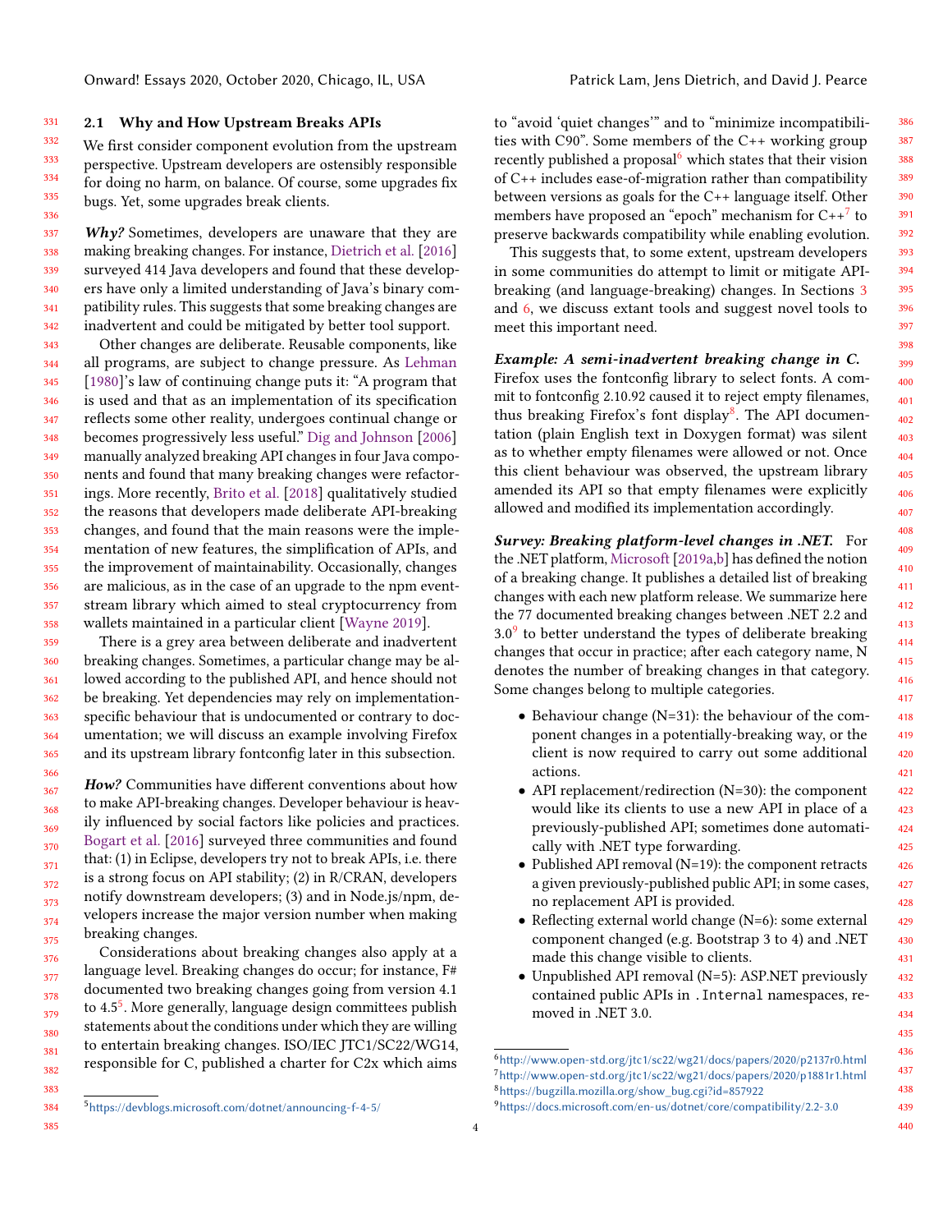#### <span id="page-3-0"></span>331 2.1 Why and How Upstream Breaks APIs

332 333 334 335 336 We first consider component evolution from the upstream perspective. Upstream developers are ostensibly responsible for doing no harm, on balance. Of course, some upgrades fix bugs. Yet, some upgrades break clients.

337 338 339 340 341 342  $Why?$  Sometimes, developers are unaware that they are making breaking changes. For instance, [Dietrich et al.](#page-19-2) [\[2016\]](#page-19-2) surveyed 414 Java developers and found that these developers have only a limited understanding of Java's binary compatibility rules. This suggests that some breaking changes are inadvertent and could be mitigated by better tool support.

343 344 345 346 347 348 349 350 351 352 353 354 355 356 357 358 Other changes are deliberate. Reusable components, like all programs, are subject to change pressure. As [Lehman](#page-20-2) [\[1980\]](#page-20-2)'s law of continuing change puts it: "A program that is used and that as an implementation of its specification reflects some other reality, undergoes continual change or becomes progressively less useful." [Dig and Johnson](#page-19-3) [\[2006\]](#page-19-3) manually analyzed breaking API changes in four Java components and found that many breaking changes were refactorings. More recently, [Brito et al.](#page-18-1) [\[2018\]](#page-18-1) qualitatively studied the reasons that developers made deliberate API-breaking changes, and found that the main reasons were the implementation of new features, the simplification of APIs, and the improvement of maintainability. Occasionally, changes are malicious, as in the case of an upgrade to the npm eventstream library which aimed to steal cryptocurrency from wallets maintained in a particular client [\[Wayne](#page-21-2) [2019\]](#page-21-2).

359 360 361 362 363 364 365 There is a grey area between deliberate and inadvertent breaking changes. Sometimes, a particular change may be allowed according to the published API, and hence should not be breaking. Yet dependencies may rely on implementationspecific behaviour that is undocumented or contrary to documentation; we will discuss an example involving Firefox and its upstream library fontconfig later in this subsection.

367 368 369 370 371 372 373 374 375 How? Communities have different conventions about how to make API-breaking changes. Developer behaviour is heavily influenced by social factors like policies and practices. [Bogart et al.](#page-18-2) [\[2016\]](#page-18-2) surveyed three communities and found that: (1) in Eclipse, developers try not to break APIs, i.e. there is a strong focus on API stability; (2) in R/CRAN, developers notify downstream developers; (3) and in Node.js/npm, developers increase the major version number when making breaking changes.

Considerations about breaking changes also apply at a language level. Breaking changes do occur; for instance, F# documented two breaking changes going from version 4.1 to 4.[5](#page-3-1)<sup>5</sup>. More generally, language design committees publish statements about the conditions under which they are willing to entertain breaking changes. ISO/IEC JTC1/SC22/WG14, responsible for C, published a charter for C2x which aims

to "avoid 'quiet changes'" and to "minimize incompatibilities with C90". Some members of the C++ working group recently published a proposal<sup>[6](#page-3-2)</sup> which states that their vision of C++ includes ease-of-migration rather than compatibility between versions as goals for the C++ language itself. Other members have proposed an "epoch" mechanism for  $\rm C++^7$  $\rm C++^7$  to preserve backwards compatibility while enabling evolution.

This suggests that, to some extent, upstream developers in some communities do attempt to limit or mitigate APIbreaking (and language-breaking) changes. In Sections [3](#page-7-0) and [6,](#page-15-0) we discuss extant tools and suggest novel tools to meet this important need.

#### Example: A semi-inadvertent breaking change in C.

Firefox uses the fontconfig library to select fonts. A commit to fontconfig 2.10.92 caused it to reject empty filenames, thus breaking Firefox's font display<sup>[8](#page-3-4)</sup>. The API documentation (plain English text in Doxygen format) was silent as to whether empty filenames were allowed or not. Once this client behaviour was observed, the upstream library amended its API so that empty filenames were explicitly allowed and modified its implementation accordingly.

Survey: Breaking platform-level changes in .NET. For the .NET platform, [Microsoft\[2019a,](#page-20-3)[b\]](#page-20-4) has defined the notion of a breaking change. It publishes a detailed list of breaking changes with each new platform release. We summarize here the 77 documented breaking changes between .NET 2.2 and  $3.0<sup>9</sup>$  $3.0<sup>9</sup>$  $3.0<sup>9</sup>$  to better understand the types of deliberate breaking changes that occur in practice; after each category name, N denotes the number of breaking changes in that category. Some changes belong to multiple categories.

- Behaviour change (N=31): the behaviour of the component changes in a potentially-breaking way, or the client is now required to carry out some additional actions.
- API replacement/redirection (N=30): the component would like its clients to use a new API in place of a previously-published API; sometimes done automatically with .NET type forwarding.
- Published API removal (N=19): the component retracts a given previously-published public API; in some cases, no replacement API is provided.
- Reflecting external world change (N=6): some external component changed (e.g. Bootstrap 3 to 4) and .NET made this change visible to clients.
- Unpublished API removal (N=5): ASP.NET previously contained public APIs in .Internal namespaces, removed in .NET 3.0.

366

<span id="page-3-5"></span><span id="page-3-4"></span><span id="page-3-3"></span><span id="page-3-2"></span><sup>6</sup><http://www.open-std.org/jtc1/sc22/wg21/docs/papers/2020/p2137r0.html> <sup>7</sup><http://www.open-std.org/jtc1/sc22/wg21/docs/papers/2020/p1881r1.html> <sup>8</sup>[https://bugzilla.mozilla.org/show\\_bug.cgi?id=857922](https://bugzilla.mozilla.org/show_bug.cgi?id=857922) <sup>9</sup><https://docs.microsoft.com/en-us/dotnet/core/compatibility/2.2-3.0>

<sup>384</sup> 385

<span id="page-3-1"></span><sup>5</sup><https://devblogs.microsoft.com/dotnet/announcing-f-4-5/>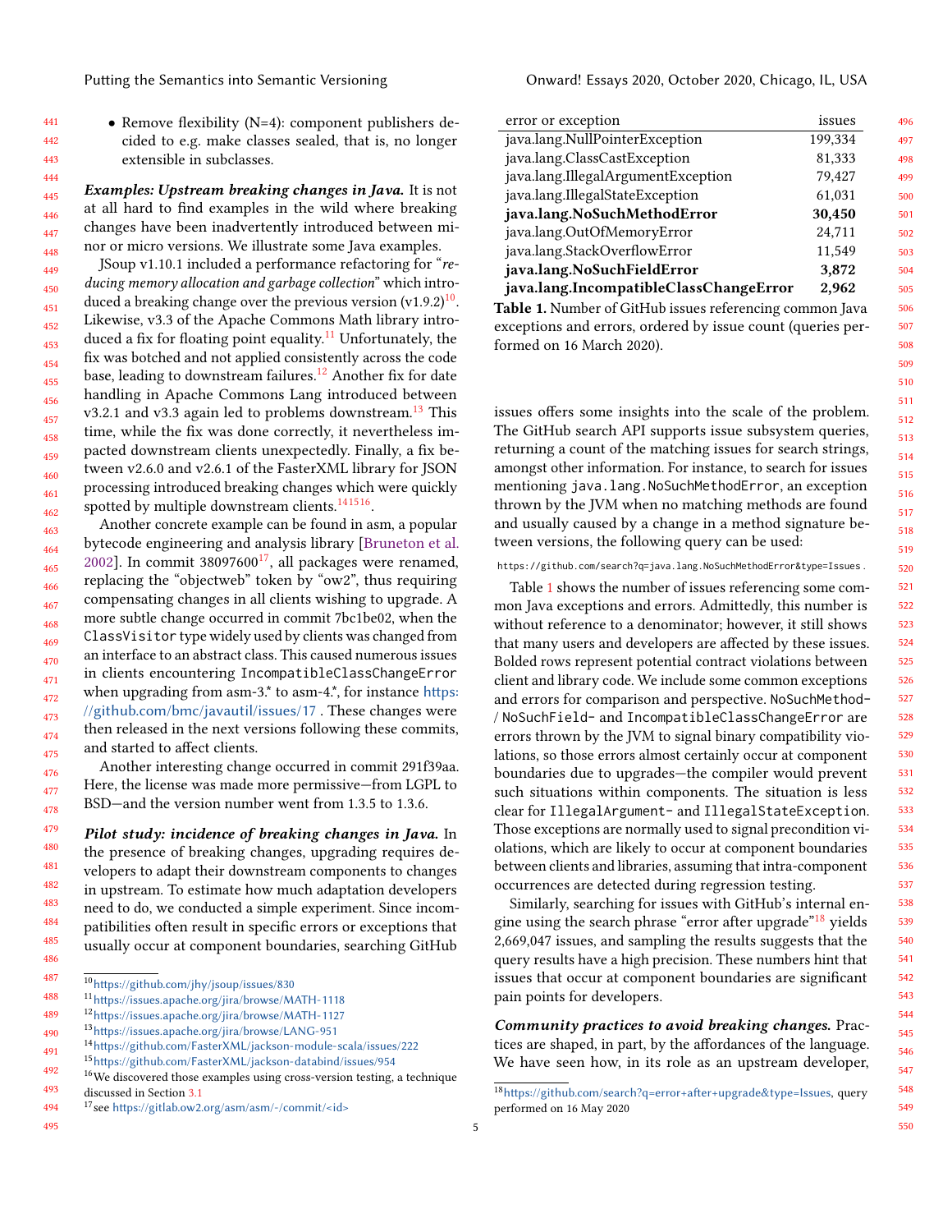• Remove flexibility (N=4): component publishers decided to e.g. make classes sealed, that is, no longer extensible in subclasses.

445 446 447 448 Examples: Upstream breaking changes in Java. It is not at all hard to find examples in the wild where breaking changes have been inadvertently introduced between minor or micro versions. We illustrate some Java examples.

449 450 451 452 453 454 455 456 457 458 459 460 461 462 JSoup v1.10.1 included a performance refactoring for "reducing memory allocation and garbage collection" which introduced a breaking change over the previous version (v1.9.2) $^{10}$  $^{10}$  $^{10}$ . Likewise, v3.3 of the Apache Commons Math library intro-duced a fix for floating point equality.<sup>[11](#page-4-1)</sup> Unfortunately, the fix was botched and not applied consistently across the code base, leading to downstream failures.<sup>[12](#page-4-2)</sup> Another fix for date handling in Apache Commons Lang introduced between v3.2.1 and v3.3 again led to problems downstream.<sup>[13](#page-4-3)</sup> This time, while the fix was done correctly, it nevertheless impacted downstream clients unexpectedly. Finally, a fix between v2.6.0 and v2.6.1 of the FasterXML library for JSON processing introduced breaking changes which were quickly spotted by multiple downstream clients.<sup>[14](#page-4-4)[15](#page-4-5)[16](#page-4-6)</sup>.

463 464 465 466 467 468 469 470 471 472 473 474 475 Another concrete example can be found in asm, a popular bytecode engineering and analysis library [\[Bruneton et al.](#page-18-3) [2002\]](#page-18-3). In commit  $38097600^{17}$  $38097600^{17}$  $38097600^{17}$ , all packages were renamed, replacing the "objectweb" token by "ow2", thus requiring compensating changes in all clients wishing to upgrade. A more subtle change occurred in commit 7bc1be02, when the ClassVisitor type widely used by clients was changed from an interface to an abstract class. This caused numerous issues in clients encountering IncompatibleClassChangeError when upgrading from asm-3.\* to asm-4.\*, for instance [https:](https://github.com/bmc/javautil/issues/17) [//github.com/bmc/javautil/issues/17](https://github.com/bmc/javautil/issues/17) . These changes were then released in the next versions following these commits, and started to affect clients.

Another interesting change occurred in commit 291f39aa. Here, the license was made more permissive—from LGPL to BSD—and the version number went from 1.3.5 to 1.3.6.

Pilot study: incidence of breaking changes in Java. In the presence of breaking changes, upgrading requires developers to adapt their downstream components to changes in upstream. To estimate how much adaptation developers need to do, we conducted a simple experiment. Since incompatibilities often result in specific errors or exceptions that usually occur at component boundaries, searching GitHub

<span id="page-4-7"></span><sup>494</sup> <sup>17</sup>see <https://gitlab.ow2.org/asm/asm/-/commit/<id>>

| ۰.<br>. | $\sim$ |
|---------|--------|

<span id="page-4-8"></span>

| error or exception                                             | issues  |
|----------------------------------------------------------------|---------|
| java.lang.NullPointerException                                 | 199,334 |
| java.lang.ClassCastException                                   | 81,333  |
| java.lang.IllegalArgumentException                             | 79,427  |
| java.lang.IllegalStateException                                | 61,031  |
| java.lang.NoSuchMethodError                                    | 30,450  |
| java.lang.OutOfMemoryError                                     | 24,711  |
| java.lang.StackOverflowError                                   | 11,549  |
| java.lang.NoSuchFieldError                                     | 3,872   |
| java.lang.IncompatibleClassChangeError                         | 2,962   |
| <b>Fable 1</b> Number of GitHub issues referencing common Java |         |

Table 1. Number of GitHub issues referencing common Java exceptions and errors, ordered by issue count (queries performed on 16 March 2020).

issues offers some insights into the scale of the problem. The GitHub search API supports issue subsystem queries, returning a count of the matching issues for search strings, amongst other information. For instance, to search for issues mentioning java.lang.NoSuchMethodError, an exception thrown by the JVM when no matching methods are found and usually caused by a change in a method signature between versions, the following query can be used:

https://github.com/search?q=java.lang.NoSuchMethodError&type=Issues .

Table [1](#page-4-8) shows the number of issues referencing some common Java exceptions and errors. Admittedly, this number is without reference to a denominator; however, it still shows that many users and developers are affected by these issues. Bolded rows represent potential contract violations between client and library code. We include some common exceptions and errors for comparison and perspective. NoSuchMethod- / NoSuchField- and IncompatibleClassChangeError are errors thrown by the JVM to signal binary compatibility violations, so those errors almost certainly occur at component boundaries due to upgrades—the compiler would prevent such situations within components. The situation is less clear for IllegalArgument- and IllegalStateException. Those exceptions are normally used to signal precondition violations, which are likely to occur at component boundaries between clients and libraries, assuming that intra-component occurrences are detected during regression testing.

Similarly, searching for issues with GitHub's internal en-gine using the search phrase "error after upgrade"<sup>[18](#page-4-9)</sup> yields 2,669,047 issues, and sampling the results suggests that the query results have a high precision. These numbers hint that issues that occur at component boundaries are significant pain points for developers.

Community practices to avoid breaking changes. Practices are shaped, in part, by the affordances of the language. We have seen how, in its role as an upstream developer,

<span id="page-4-0"></span><sup>487</sup> <sup>10</sup><https://github.com/jhy/jsoup/issues/830>

<span id="page-4-1"></span><sup>488</sup> <sup>11</sup><https://issues.apache.org/jira/browse/MATH-1118>

<span id="page-4-2"></span><sup>489</sup> <sup>12</sup><https://issues.apache.org/jira/browse/MATH-1127>

<span id="page-4-3"></span><sup>490</sup> <sup>13</sup><https://issues.apache.org/jira/browse/LANG-951>

<sup>491</sup> <sup>14</sup><https://github.com/FasterXML/jackson-module-scala/issues/222>

<span id="page-4-6"></span><span id="page-4-5"></span><span id="page-4-4"></span><sup>15</sup><https://github.com/FasterXML/jackson-databind/issues/954>

<sup>492</sup> 493  $^{16}\mathrm{We}$  discovered those examples using cross-version testing, a technique discussed in Section [3.1](#page-8-0)

<span id="page-4-9"></span><sup>18</sup><https://github.com/search?q=error+after+upgrade&type=Issues>, query performed on 16 May 2020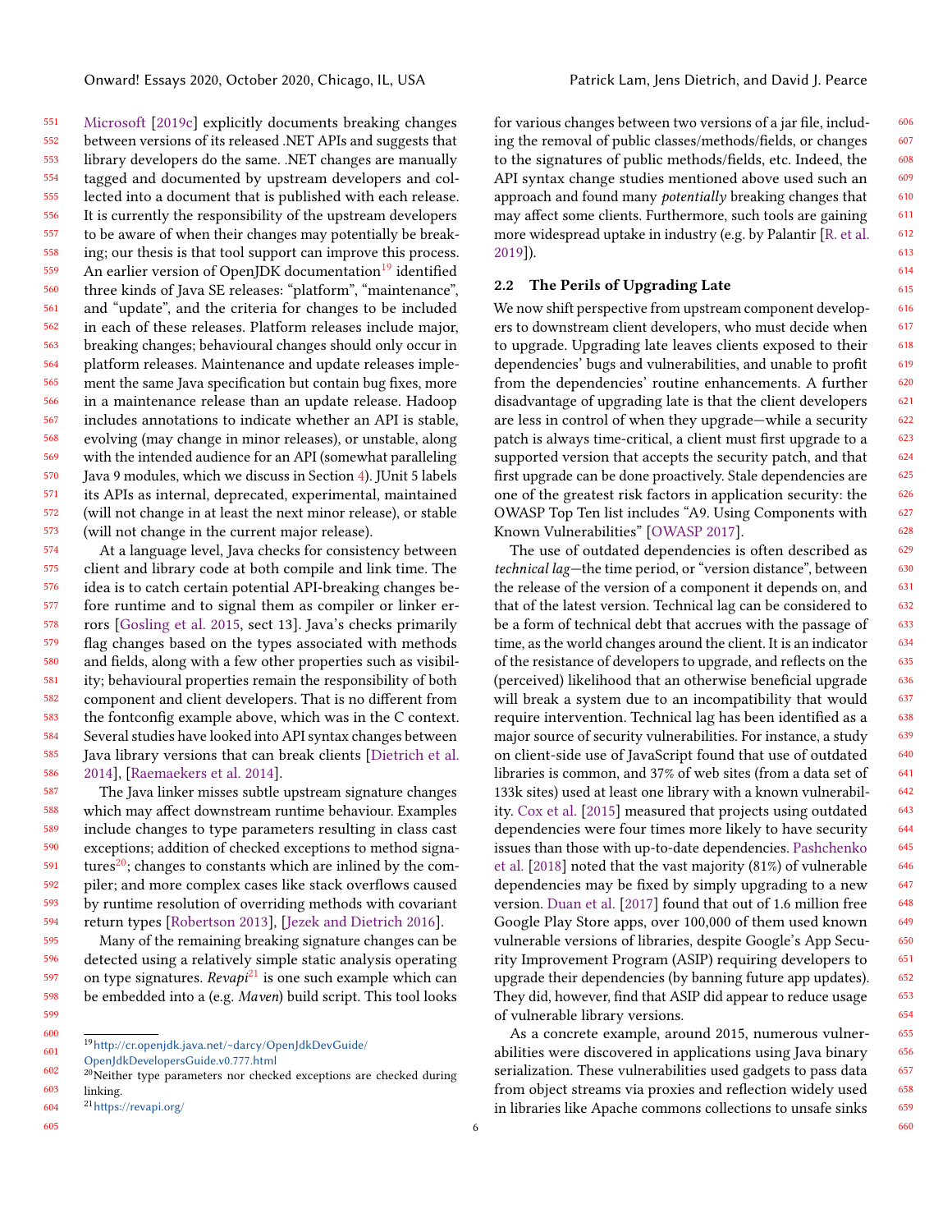551 552 553 554 555 556 557 558 559 560 561 562 563 564 565 566 567 568 569 570 571 572 573 [Microsoft](#page-20-5) [\[2019c\]](#page-20-5) explicitly documents breaking changes between versions of its released .NET APIs and suggests that library developers do the same. .NET changes are manually tagged and documented by upstream developers and collected into a document that is published with each release. It is currently the responsibility of the upstream developers to be aware of when their changes may potentially be breaking; our thesis is that tool support can improve this process. An earlier version of OpenJDK documentation<sup>[19](#page-5-1)</sup> identified three kinds of Java SE releases: "platform", "maintenance", and "update", and the criteria for changes to be included in each of these releases. Platform releases include major, breaking changes; behavioural changes should only occur in platform releases. Maintenance and update releases implement the same Java specification but contain bug fixes, more in a maintenance release than an update release. Hadoop includes annotations to indicate whether an API is stable, evolving (may change in minor releases), or unstable, along with the intended audience for an API (somewhat paralleling Java 9 modules, which we discuss in Section [4\)](#page-12-0). JUnit 5 labels its APIs as internal, deprecated, experimental, maintained (will not change in at least the next minor release), or stable (will not change in the current major release).

574 575 576 577 578 579 580 581 582 583 584 585 586 At a language level, Java checks for consistency between client and library code at both compile and link time. The idea is to catch certain potential API-breaking changes before runtime and to signal them as compiler or linker errors [\[Gosling et al.](#page-19-4) [2015,](#page-19-4) sect 13]. Java's checks primarily flag changes based on the types associated with methods and fields, along with a few other properties such as visibility; behavioural properties remain the responsibility of both component and client developers. That is no different from the fontconfig example above, which was in the C context. Several studies have looked into API syntax changes between Java library versions that can break clients [\[Dietrich et al.](#page-19-5) [2014\]](#page-19-5), [\[Raemaekers et al.](#page-21-3) [2014\]](#page-21-3).

587 588 589 590 591 592 593 594 The Java linker misses subtle upstream signature changes which may affect downstream runtime behaviour. Examples include changes to type parameters resulting in class cast exceptions; addition of checked exceptions to method signatures $^{20}$  $^{20}$  $^{20}$ ; changes to constants which are inlined by the compiler; and more complex cases like stack overflows caused by runtime resolution of overriding methods with covariant return types [\[Robertson](#page-21-4) [2013\]](#page-21-4), [\[Jezek and Dietrich](#page-20-6) [2016\]](#page-20-6).

596 Many of the remaining breaking signature changes can be detected using a relatively simple static analysis operating on type signatures.  $Revapi^{21}$  $Revapi^{21}$  $Revapi^{21}$  is one such example which can be embedded into a (e.g. Maven) build script. This tool looks

<span id="page-5-1"></span>601  $^{19}{\rm http://cr.openjdk.java.net/~darcy/OpenJdkDev Guide/}$ 

<span id="page-5-2"></span>602 [OpenJdkDevelopersGuide.v0.777.html](http://cr.openjdk.java.net/~darcy/OpenJdkDevGuide/OpenJdkDevelopersGuide.v0.777.html)

605

595

for various changes between two versions of a jar file, including the removal of public classes/methods/fields, or changes to the signatures of public methods/fields, etc. Indeed, the API syntax change studies mentioned above used such an approach and found many potentially breaking changes that may affect some clients. Furthermore, such tools are gaining more widespread uptake in industry (e.g. by Palantir [\[R. et al.](#page-21-5) [2019\]](#page-21-5)).

#### <span id="page-5-0"></span>2.2 The Perils of Upgrading Late

We now shift perspective from upstream component developers to downstream client developers, who must decide when to upgrade. Upgrading late leaves clients exposed to their dependencies' bugs and vulnerabilities, and unable to profit from the dependencies' routine enhancements. A further disadvantage of upgrading late is that the client developers are less in control of when they upgrade—while a security patch is always time-critical, a client must first upgrade to a supported version that accepts the security patch, and that first upgrade can be done proactively. Stale dependencies are one of the greatest risk factors in application security: the OWASP Top Ten list includes "A9. Using Components with Known Vulnerabilities" [\[OWASP](#page-21-6) [2017\]](#page-21-6).

The use of outdated dependencies is often described as technical lag—the time period, or "version distance", between the release of the version of a component it depends on, and that of the latest version. Technical lag can be considered to be a form of technical debt that accrues with the passage of time, as the world changes around the client. It is an indicator of the resistance of developers to upgrade, and reflects on the (perceived) likelihood that an otherwise beneficial upgrade will break a system due to an incompatibility that would require intervention. Technical lag has been identified as a major source of security vulnerabilities. For instance, a study on client-side use of JavaScript found that use of outdated libraries is common, and 37% of web sites (from a data set of 133k sites) used at least one library with a known vulnerability. [Cox et al.](#page-19-6) [\[2015\]](#page-19-6) measured that projects using outdated dependencies were four times more likely to have security issues than those with up-to-date dependencies. [Pashchenko](#page-21-7) [et al.](#page-21-7) [\[2018\]](#page-21-7) noted that the vast majority (81%) of vulnerable dependencies may be fixed by simply upgrading to a new version. [Duan et al.](#page-19-7) [\[2017\]](#page-19-7) found that out of 1.6 million free Google Play Store apps, over 100,000 of them used known vulnerable versions of libraries, despite Google's App Security Improvement Program (ASIP) requiring developers to upgrade their dependencies (by banning future app updates). They did, however, find that ASIP did appear to reduce usage of vulnerable library versions.

As a concrete example, around 2015, numerous vulnerabilities were discovered in applications using Java binary serialization. These vulnerabilities used gadgets to pass data from object streams via proxies and reflection widely used in libraries like Apache commons collections to unsafe sinks

<sup>603</sup>  $20$ Neither type parameters nor checked exceptions are checked during linking.

<span id="page-5-3"></span><sup>604</sup> <sup>21</sup><https://revapi.org/>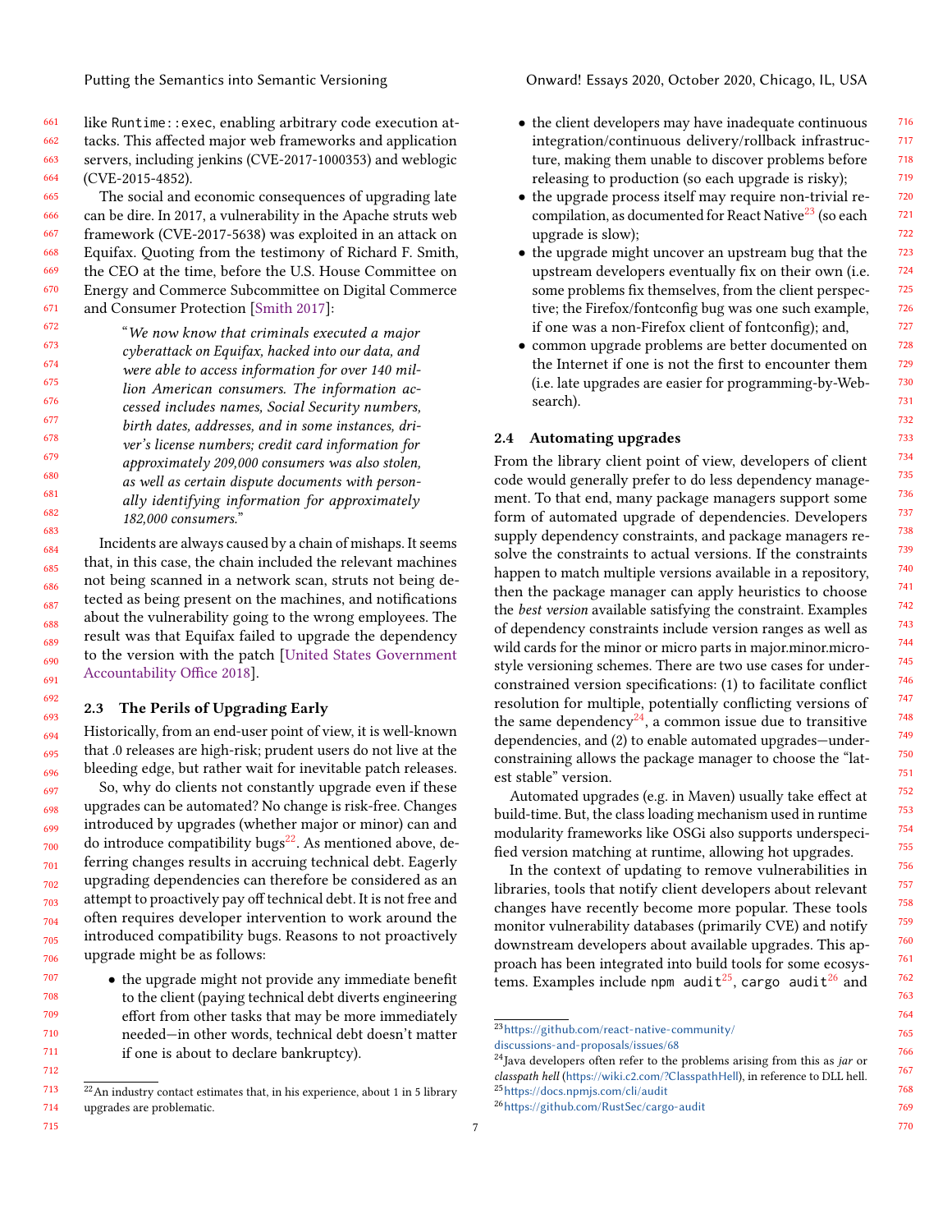661 662 663 664 like Runtime::exec, enabling arbitrary code execution attacks. This affected major web frameworks and application servers, including jenkins (CVE-2017-1000353) and weblogic (CVE-2015-4852).

#### 665 666 667 668 669 670 671 The social and economic consequences of upgrading late can be dire. In 2017, a vulnerability in the Apache struts web framework (CVE-2017-5638) was exploited in an attack on Equifax. Quoting from the testimony of Richard F. Smith, the CEO at the time, before the U.S. House Committee on Energy and Commerce Subcommittee on Digital Commerce and Consumer Protection [\[Smith](#page-21-8) [2017\]](#page-21-8):

672 673 674 675 676 677 678 679 680 681 682 683 "We now know that criminals executed a major cyberattack on Equifax, hacked into our data, and were able to access information for over 140 million American consumers. The information accessed includes names, Social Security numbers, birth dates, addresses, and in some instances, driver's license numbers; credit card information for approximately 209,000 consumers was also stolen, as well as certain dispute documents with personally identifying information for approximately 182,000 consumers."

Incidents are always caused by a chain of mishaps. It seems that, in this case, the chain included the relevant machines not being scanned in a network scan, struts not being detected as being present on the machines, and notifications about the vulnerability going to the wrong employees. The result was that Equifax failed to upgrade the dependency to the version with the patch [\[United States Government](#page-21-9) [Accountability Office](#page-21-9) [2018\]](#page-21-9).

#### <span id="page-6-0"></span>2.3 The Perils of Upgrading Early

Historically, from an end-user point of view, it is well-known that .0 releases are high-risk; prudent users do not live at the bleeding edge, but rather wait for inevitable patch releases.

697 698 699 700 701 702 703 704 705 706 So, why do clients not constantly upgrade even if these upgrades can be automated? No change is risk-free. Changes introduced by upgrades (whether major or minor) can and do introduce compatibility bugs<sup>[22](#page-6-1)</sup>. As mentioned above, deferring changes results in accruing technical debt. Eagerly upgrading dependencies can therefore be considered as an attempt to proactively pay off technical debt. It is not free and often requires developer intervention to work around the introduced compatibility bugs. Reasons to not proactively upgrade might be as follows:

• the upgrade might not provide any immediate benefit to the client (paying technical debt diverts engineering effort from other tasks that may be more immediately needed—in other words, technical debt doesn't matter if one is about to declare bankruptcy).

715

- the client developers may have inadequate continuous integration/continuous delivery/rollback infrastructure, making them unable to discover problems before releasing to production (so each upgrade is risky);
- the upgrade process itself may require non-trivial re-compilation, as documented for React Native<sup>[23](#page-6-2)</sup> (so each upgrade is slow);
- the upgrade might uncover an upstream bug that the upstream developers eventually fix on their own (i.e. some problems fix themselves, from the client perspective; the Firefox/fontconfig bug was one such example, if one was a non-Firefox client of fontconfig); and,
- common upgrade problems are better documented on the Internet if one is not the first to encounter them (i.e. late upgrades are easier for programming-by-Websearch).

#### 2.4 Automating upgrades

From the library client point of view, developers of client code would generally prefer to do less dependency management. To that end, many package managers support some form of automated upgrade of dependencies. Developers supply dependency constraints, and package managers resolve the constraints to actual versions. If the constraints happen to match multiple versions available in a repository, then the package manager can apply heuristics to choose the best version available satisfying the constraint. Examples of dependency constraints include version ranges as well as wild cards for the minor or micro parts in major.minor.microstyle versioning schemes. There are two use cases for underconstrained version specifications: (1) to facilitate conflict resolution for multiple, potentially conflicting versions of the same dependency $^{24}$  $^{24}$  $^{24}$ , a common issue due to transitive dependencies, and (2) to enable automated upgrades—underconstraining allows the package manager to choose the "latest stable" version.

Automated upgrades (e.g. in Maven) usually take effect at build-time. But, the class loading mechanism used in runtime modularity frameworks like OSGi also supports underspecified version matching at runtime, allowing hot upgrades.

In the context of updating to remove vulnerabilities in libraries, tools that notify client developers about relevant changes have recently become more popular. These tools monitor vulnerability databases (primarily CVE) and notify downstream developers about available upgrades. This approach has been integrated into build tools for some ecosystems. Examples include <code>npm audit $^{25}$  $^{25}$  $^{25}$ , cargo audit $^{26}$  $^{26}$  $^{26}$  and</code>

<span id="page-6-1"></span><sup>713</sup> 714  $^{22}$ An industry contact estimates that, in his experience, about 1 in 5 library upgrades are problematic.

<span id="page-6-2"></span><sup>23</sup>[https://github.com/react-native-community/](https://github.com/react-native-community/discussions-and-proposals/issues/68 )

[discussions-and-proposals/issues/68](https://github.com/react-native-community/discussions-and-proposals/issues/68 )

<span id="page-6-3"></span> $24$ Java developers often refer to the problems arising from this as jar or classpath hell (<https://wiki.c2.com/?ClasspathHell>), in reference to DLL hell. <sup>25</sup><https://docs.npmjs.com/cli/audit>

<span id="page-6-5"></span><span id="page-6-4"></span><sup>26</sup><https://github.com/RustSec/cargo-audit>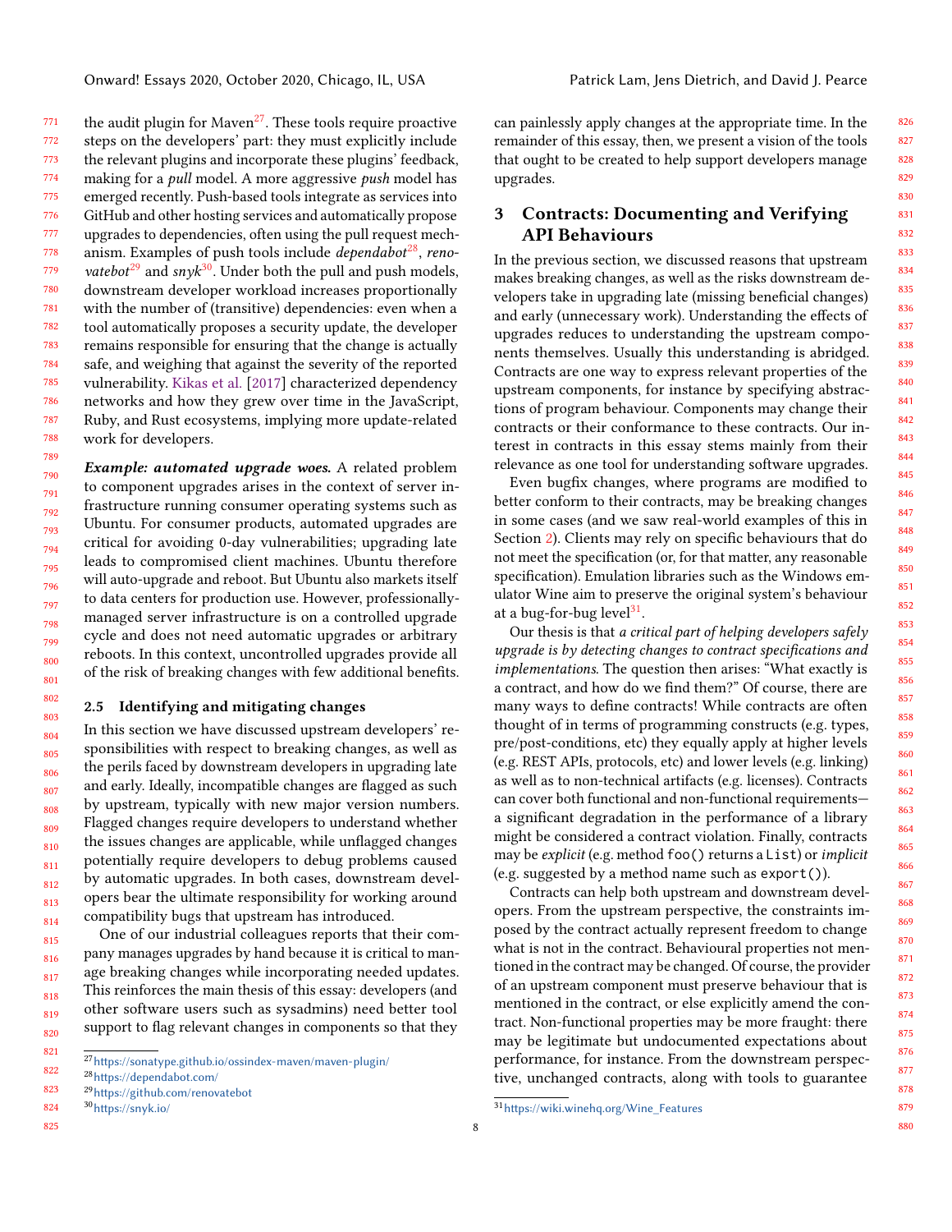771 772 773 774 775 776 777 778 779 780 781 782 783 784 785 786 787 788 the audit plugin for Maven<sup>[27](#page-7-1)</sup>. These tools require proactive steps on the developers' part: they must explicitly include the relevant plugins and incorporate these plugins' feedback, making for a pull model. A more aggressive push model has emerged recently. Push-based tools integrate as services into GitHub and other hosting services and automatically propose upgrades to dependencies, often using the pull request mechanism. Examples of push tools include *dependabot<sup>[28](#page-7-2)</sup>, renovatebot*<sup>[29](#page-7-3)</sup> and sny $k^{30}$  $k^{30}$  $k^{30}$ . Under both the pull and push models, downstream developer workload increases proportionally with the number of (transitive) dependencies: even when a tool automatically proposes a security update, the developer remains responsible for ensuring that the change is actually safe, and weighing that against the severity of the reported vulnerability. [Kikas et al.](#page-20-7) [\[2017\]](#page-20-7) characterized dependency networks and how they grew over time in the JavaScript, Ruby, and Rust ecosystems, implying more update-related work for developers.

789 790 791 792 793 794 795 796 797 798 799 800 801 Example: automated upgrade woes. A related problem to component upgrades arises in the context of server infrastructure running consumer operating systems such as Ubuntu. For consumer products, automated upgrades are critical for avoiding 0-day vulnerabilities; upgrading late leads to compromised client machines. Ubuntu therefore will auto-upgrade and reboot. But Ubuntu also markets itself to data centers for production use. However, professionallymanaged server infrastructure is on a controlled upgrade cycle and does not need automatic upgrades or arbitrary reboots. In this context, uncontrolled upgrades provide all of the risk of breaking changes with few additional benefits.

#### 2.5 Identifying and mitigating changes

804 805 806 807 808 809 810 811 812 813 814 In this section we have discussed upstream developers' responsibilities with respect to breaking changes, as well as the perils faced by downstream developers in upgrading late and early. Ideally, incompatible changes are flagged as such by upstream, typically with new major version numbers. Flagged changes require developers to understand whether the issues changes are applicable, while unflagged changes potentially require developers to debug problems caused by automatic upgrades. In both cases, downstream developers bear the ultimate responsibility for working around compatibility bugs that upstream has introduced.

815 816 817 818 819 820 One of our industrial colleagues reports that their company manages upgrades by hand because it is critical to manage breaking changes while incorporating needed updates. This reinforces the main thesis of this essay: developers (and other software users such as sysadmins) need better tool support to flag relevant changes in components so that they

<span id="page-7-3"></span><span id="page-7-2"></span><span id="page-7-1"></span><sup>28</sup><https://dependabot.com/>

825

802 803 can painlessly apply changes at the appropriate time. In the remainder of this essay, then, we present a vision of the tools that ought to be created to help support developers manage upgrades.

### <span id="page-7-0"></span>3 Contracts: Documenting and Verifying API Behaviours

In the previous section, we discussed reasons that upstream makes breaking changes, as well as the risks downstream developers take in upgrading late (missing beneficial changes) and early (unnecessary work). Understanding the effects of upgrades reduces to understanding the upstream components themselves. Usually this understanding is abridged. Contracts are one way to express relevant properties of the upstream components, for instance by specifying abstractions of program behaviour. Components may change their contracts or their conformance to these contracts. Our interest in contracts in this essay stems mainly from their relevance as one tool for understanding software upgrades.

Even bugfix changes, where programs are modified to better conform to their contracts, may be breaking changes in some cases (and we saw real-world examples of this in Section [2\)](#page-2-0). Clients may rely on specific behaviours that do not meet the specification (or, for that matter, any reasonable specification). Emulation libraries such as the Windows emulator Wine aim to preserve the original system's behaviour at a bug-for-bug level<sup>[31](#page-7-5)</sup>.

Our thesis is that a critical part of helping developers safely upgrade is by detecting changes to contract specifications and implementations. The question then arises: "What exactly is a contract, and how do we find them?" Of course, there are many ways to define contracts! While contracts are often thought of in terms of programming constructs (e.g. types, pre/post-conditions, etc) they equally apply at higher levels (e.g. REST APIs, protocols, etc) and lower levels (e.g. linking) as well as to non-technical artifacts (e.g. licenses). Contracts can cover both functional and non-functional requirements a significant degradation in the performance of a library might be considered a contract violation. Finally, contracts may be explicit (e.g. method foo() returns a List) or implicit (e.g. suggested by a method name such as export()).

Contracts can help both upstream and downstream developers. From the upstream perspective, the constraints imposed by the contract actually represent freedom to change what is not in the contract. Behavioural properties not mentioned in the contract may be changed. Of course, the provider of an upstream component must preserve behaviour that is mentioned in the contract, or else explicitly amend the contract. Non-functional properties may be more fraught: there may be legitimate but undocumented expectations about performance, for instance. From the downstream perspective, unchanged contracts, along with tools to guarantee

<sup>821</sup> 822  $^\mathrm{27}$ <https://sonatype.github.io/ossindex-maven/maven-plugin/>

<sup>823</sup> <sup>29</sup><https://github.com/renovatebot>

<span id="page-7-4"></span><sup>824</sup> <sup>30</sup><https://snyk.io/>

<span id="page-7-5"></span><sup>31</sup>[https://wiki.winehq.org/Wine\\_Features](https://wiki.winehq.org/Wine_Features)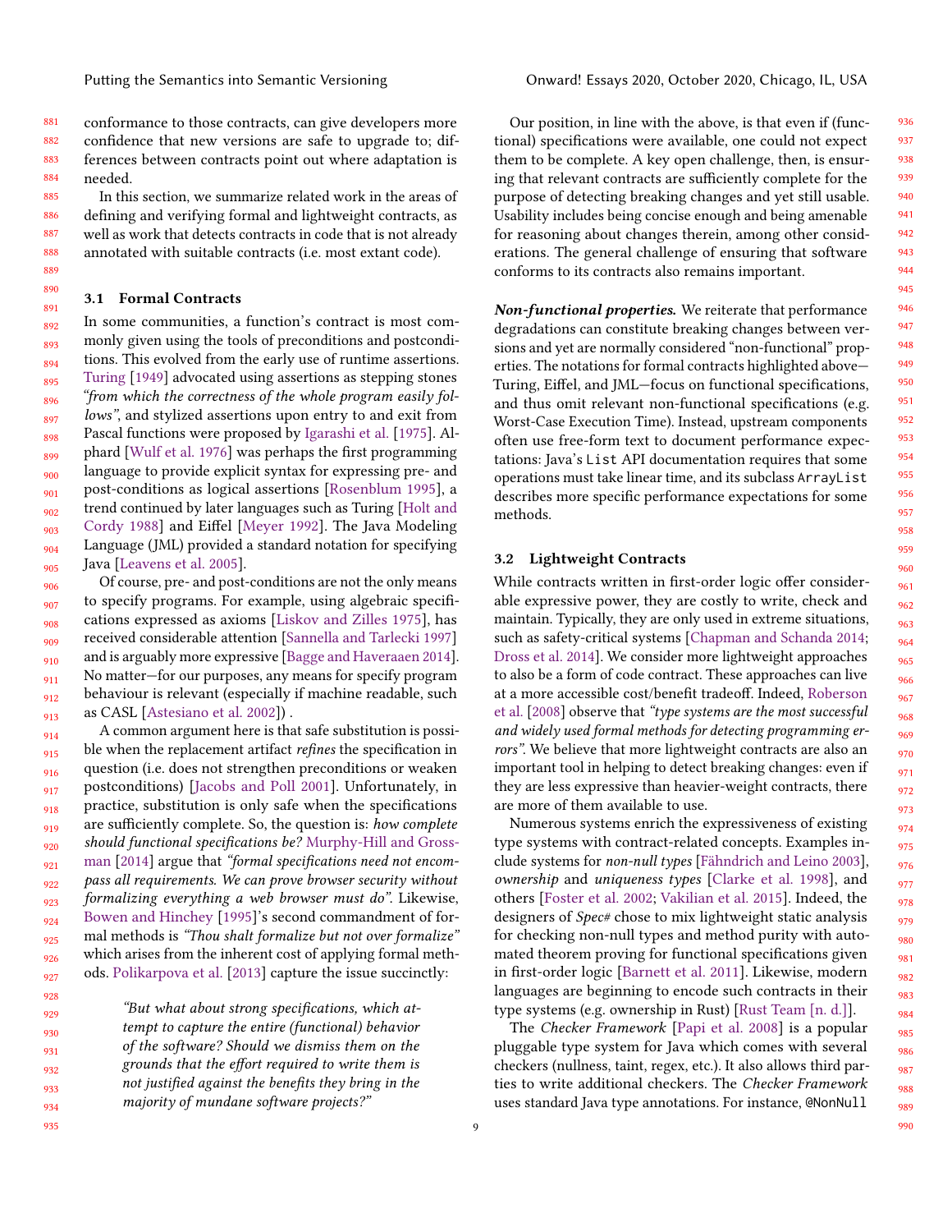881 882 883 884 conformance to those contracts, can give developers more confidence that new versions are safe to upgrade to; differences between contracts point out where adaptation is needed.

885 886 887 888 889 In this section, we summarize related work in the areas of defining and verifying formal and lightweight contracts, as well as work that detects contracts in code that is not already annotated with suitable contracts (i.e. most extant code).

#### <span id="page-8-0"></span>890 3.1 Formal Contracts

891

892 893 894 895 896 897 898 899 900 901 902 903 904 905 In some communities, a function's contract is most commonly given using the tools of preconditions and postconditions. This evolved from the early use of runtime assertions. [Turing](#page-21-10) [\[1949\]](#page-21-10) advocated using assertions as stepping stones "from which the correctness of the whole program easily follows", and stylized assertions upon entry to and exit from Pascal functions were proposed by [Igarashi et al.](#page-20-8) [\[1975\]](#page-20-8). Alphard [\[Wulf et al.](#page-21-11) [1976\]](#page-21-11) was perhaps the first programming language to provide explicit syntax for expressing pre- and post-conditions as logical assertions [\[Rosenblum](#page-21-12) [1995\]](#page-21-12), a trend continued by later languages such as Turing [\[Holt and](#page-20-9) [Cordy](#page-20-9) [1988\]](#page-20-9) and Eiffel [\[Meyer](#page-20-10) [1992\]](#page-20-10). The Java Modeling Language (JML) provided a standard notation for specifying Java [\[Leavens et al.](#page-20-11) [2005\]](#page-20-11).

906 907 908 909 910 911 912 913 Of course, pre- and post-conditions are not the only means to specify programs. For example, using algebraic specifications expressed as axioms [\[Liskov and Zilles](#page-20-12) [1975\]](#page-20-12), has received considerable attention [\[Sannella and Tarlecki](#page-21-13) [1997\]](#page-21-13) and is arguably more expressive [\[Bagge and Haveraaen](#page-18-4) [2014\]](#page-18-4). No matter—for our purposes, any means for specify program behaviour is relevant (especially if machine readable, such as CASL [\[Astesiano et al.](#page-18-5) [2002\]](#page-18-5)) .

914 915 916 917 918 919 920 921 922 923 924 925 926 927 A common argument here is that safe substitution is possible when the replacement artifact *refines* the specification in question (i.e. does not strengthen preconditions or weaken postconditions) [\[Jacobs and Poll](#page-20-13) [2001\]](#page-20-13). Unfortunately, in practice, substitution is only safe when the specifications are sufficiently complete. So, the question is: how complete should functional specifications be? [Murphy-Hill and Gross](#page-20-14)[man](#page-20-14) [\[2014\]](#page-20-14) argue that "formal specifications need not encompass all requirements. We can prove browser security without formalizing everything a web browser must do". Likewise, [Bowen and Hinchey](#page-18-6) [\[1995\]](#page-18-6)'s second commandment of formal methods is "Thou shalt formalize but not over formalize" which arises from the inherent cost of applying formal methods. [Polikarpova et al.](#page-21-14) [\[2013\]](#page-21-14) capture the issue succinctly:

929 930 931 932 933 934 "But what about strong specifications, which attempt to capture the entire (functional) behavior of the software? Should we dismiss them on the grounds that the effort required to write them is not justified against the benefits they bring in the majority of mundane software projects?"

Our position, in line with the above, is that even if (functional) specifications were available, one could not expect them to be complete. A key open challenge, then, is ensuring that relevant contracts are sufficiently complete for the purpose of detecting breaking changes and yet still usable. Usability includes being concise enough and being amenable for reasoning about changes therein, among other considerations. The general challenge of ensuring that software conforms to its contracts also remains important.

Non-functional properties. We reiterate that performance degradations can constitute breaking changes between versions and yet are normally considered "non-functional" properties. The notations for formal contracts highlighted above— Turing, Eiffel, and JML—focus on functional specifications, and thus omit relevant non-functional specifications (e.g. Worst-Case Execution Time). Instead, upstream components often use free-form text to document performance expectations: Java's List API documentation requires that some operations must take linear time, and its subclass ArrayList describes more specific performance expectations for some methods.

#### 3.2 Lightweight Contracts

While contracts written in first-order logic offer considerable expressive power, they are costly to write, check and maintain. Typically, they are only used in extreme situations, such as safety-critical systems [\[Chapman and Schanda](#page-19-8) [2014;](#page-19-8) [Dross et al.](#page-19-9) [2014\]](#page-19-9). We consider more lightweight approaches to also be a form of code contract. These approaches can live at a more accessible cost/benefit tradeoff. Indeed, [Roberson](#page-21-15) [et al.](#page-21-15) [\[2008\]](#page-21-15) observe that "type systems are the most successful and widely used formal methods for detecting programming errors". We believe that more lightweight contracts are also an important tool in helping to detect breaking changes: even if they are less expressive than heavier-weight contracts, there are more of them available to use.

Numerous systems enrich the expressiveness of existing type systems with contract-related concepts. Examples include systems for non-null types [\[Fähndrich and Leino](#page-19-10) [2003\]](#page-19-10), ownership and uniqueness types [\[Clarke et al.](#page-19-11) [1998\]](#page-19-11), and others [\[Foster et al.](#page-19-12) [2002;](#page-19-12) [Vakilian et al.](#page-21-16) [2015\]](#page-21-16). Indeed, the designers of Spec# chose to mix lightweight static analysis for checking non-null types and method purity with automated theorem proving for functional specifications given in first-order logic [\[Barnett et al.](#page-18-7) [2011\]](#page-18-7). Likewise, modern languages are beginning to encode such contracts in their type systems (e.g. ownership in Rust) [\[Rust Team](#page-21-17) [\[n. d.\]\]](#page-21-17).

The Checker Framework [\[Papi et al.](#page-21-18) [2008\]](#page-21-18) is a popular pluggable type system for Java which comes with several checkers (nullness, taint, regex, etc.). It also allows third parties to write additional checkers. The Checker Framework uses standard Java type annotations. For instance, @NonNull

935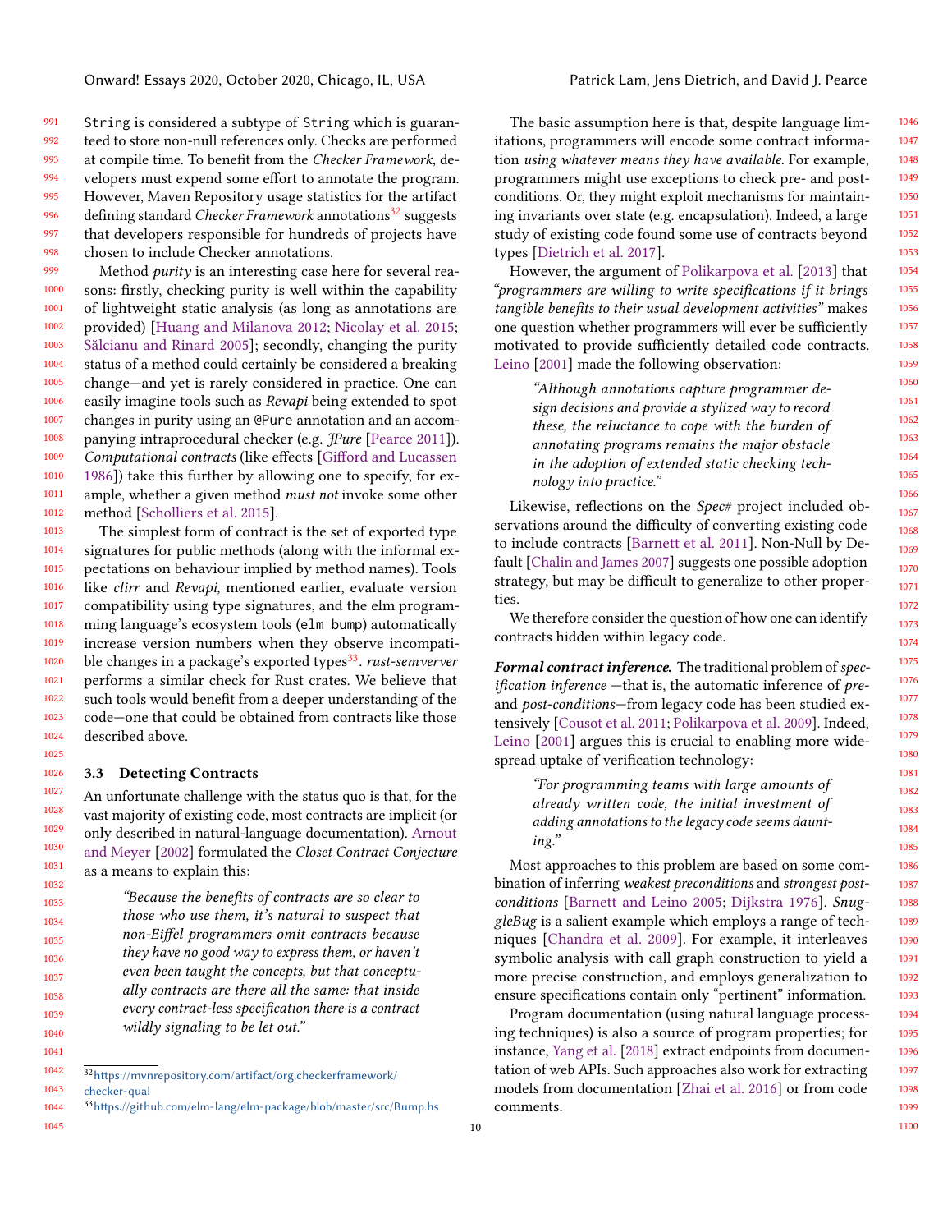991 992 993 994 995 996 997 998 String is considered a subtype of String which is guaranteed to store non-null references only. Checks are performed at compile time. To benefit from the Checker Framework, developers must expend some effort to annotate the program. However, Maven Repository usage statistics for the artifact defining standard Checker Framework annotations<sup>[32](#page-9-0)</sup> suggests that developers responsible for hundreds of projects have chosen to include Checker annotations.

999 1000 1001 1002 1003 1004 1005 1006 1007 1008 1009 1010 1011 1012 Method purity is an interesting case here for several reasons: firstly, checking purity is well within the capability of lightweight static analysis (as long as annotations are provided) [\[Huang and Milanova](#page-20-15) [2012;](#page-20-15) [Nicolay et al.](#page-20-16) [2015;](#page-20-16) [Sălcianu and Rinard](#page-21-19) [2005\]](#page-21-19); secondly, changing the purity status of a method could certainly be considered a breaking change—and yet is rarely considered in practice. One can easily imagine tools such as Revapi being extended to spot changes in purity using an @Pure annotation and an accompanying intraprocedural checker (e.g. *Pure* [\[Pearce](#page-21-20) [2011\]](#page-21-20)). Computational contracts (like effects [\[Gifford and Lucassen](#page-19-13) [1986\]](#page-19-13)) take this further by allowing one to specify, for example, whether a given method must not invoke some other method [\[Scholliers et al.](#page-21-21) [2015\]](#page-21-21).

1013 1014 1015 1016 1017 1018 1019 1020 1021 1022 1023 1024 The simplest form of contract is the set of exported type signatures for public methods (along with the informal expectations on behaviour implied by method names). Tools like clirr and Revapi, mentioned earlier, evaluate version compatibility using type signatures, and the elm programming language's ecosystem tools (elm bump) automatically increase version numbers when they observe incompatible changes in a package's exported types[33](#page-9-1) . rust-semverver performs a similar check for Rust crates. We believe that such tools would benefit from a deeper understanding of the code—one that could be obtained from contracts like those described above.

#### 3.3 Detecting Contracts

1027 1028 1029 1030 1031 1032 An unfortunate challenge with the status quo is that, for the vast majority of existing code, most contracts are implicit (or only described in natural-language documentation). [Arnout](#page-18-8) [and Meyer](#page-18-8) [\[2002\]](#page-18-8) formulated the Closet Contract Conjecture as a means to explain this:

1033 1034 1035 1036 1037 1038 1039 1040 "Because the benefits of contracts are so clear to those who use them, it's natural to suspect that non-Eiffel programmers omit contracts because they have no good way to express them, or haven't even been taught the concepts, but that conceptually contracts are there all the same: that inside every contract-less specification there is a contract wildly signaling to be let out."

1041

1025 1026

1042 1043  $^{32}\mathrm{https://mvnrepository.com/artifact/org. checkerframework/}$ 

<span id="page-9-1"></span><span id="page-9-0"></span>[checker-qual](https://mvnrepository.com/artifact/org.checkerframework/checker-qual)

1044 <sup>33</sup><https://github.com/elm-lang/elm-package/blob/master/src/Bump.hs>

1045

The basic assumption here is that, despite language limitations, programmers will encode some contract information using whatever means they have available. For example, programmers might use exceptions to check pre- and postconditions. Or, they might exploit mechanisms for maintaining invariants over state (e.g. encapsulation). Indeed, a large study of existing code found some use of contracts beyond types [\[Dietrich et al.](#page-19-14) [2017\]](#page-19-14).

However, the argument of [Polikarpova et al.](#page-21-14) [\[2013\]](#page-21-14) that "programmers are willing to write specifications if it brings tangible benefits to their usual development activities" makes one question whether programmers will ever be sufficiently motivated to provide sufficiently detailed code contracts. [Leino](#page-20-17) [\[2001\]](#page-20-17) made the following observation:

"Although annotations capture programmer design decisions and provide a stylized way to record these, the reluctance to cope with the burden of annotating programs remains the major obstacle in the adoption of extended static checking technology into practice."

Likewise, reflections on the Spec# project included observations around the difficulty of converting existing code to include contracts [\[Barnett et al.](#page-18-7) [2011\]](#page-18-7). Non-Null by Default [\[Chalin and James](#page-18-9) [2007\]](#page-18-9) suggests one possible adoption strategy, but may be difficult to generalize to other properties.

We therefore consider the question of how one can identify contracts hidden within legacy code.

Formal contract inference. The traditional problem of specification inference -that is, the automatic inference of preand post-conditions—from legacy code has been studied extensively [\[Cousot et al.](#page-19-15) [2011;](#page-19-15) [Polikarpova et al.](#page-21-22) [2009\]](#page-21-22). Indeed, [Leino](#page-20-17) [\[2001\]](#page-20-17) argues this is crucial to enabling more widespread uptake of verification technology:

> "For programming teams with large amounts of already written code, the initial investment of adding annotations to the legacy code seems daunting."

Most approaches to this problem are based on some combination of inferring weakest preconditions and strongest postconditions [\[Barnett and Leino](#page-18-10) [2005;](#page-18-10) [Dijkstra](#page-19-16) [1976\]](#page-19-16). SnuggleBug is a salient example which employs a range of techniques [\[Chandra et al.](#page-18-11) [2009\]](#page-18-11). For example, it interleaves symbolic analysis with call graph construction to yield a more precise construction, and employs generalization to ensure specifications contain only "pertinent" information.

Program documentation (using natural language processing techniques) is also a source of program properties; for instance, [Yang et al.](#page-21-23) [\[2018\]](#page-21-23) extract endpoints from documentation of web APIs. Such approaches also work for extracting models from documentation [\[Zhai et al.](#page-21-24) [2016\]](#page-21-24) or from code comments.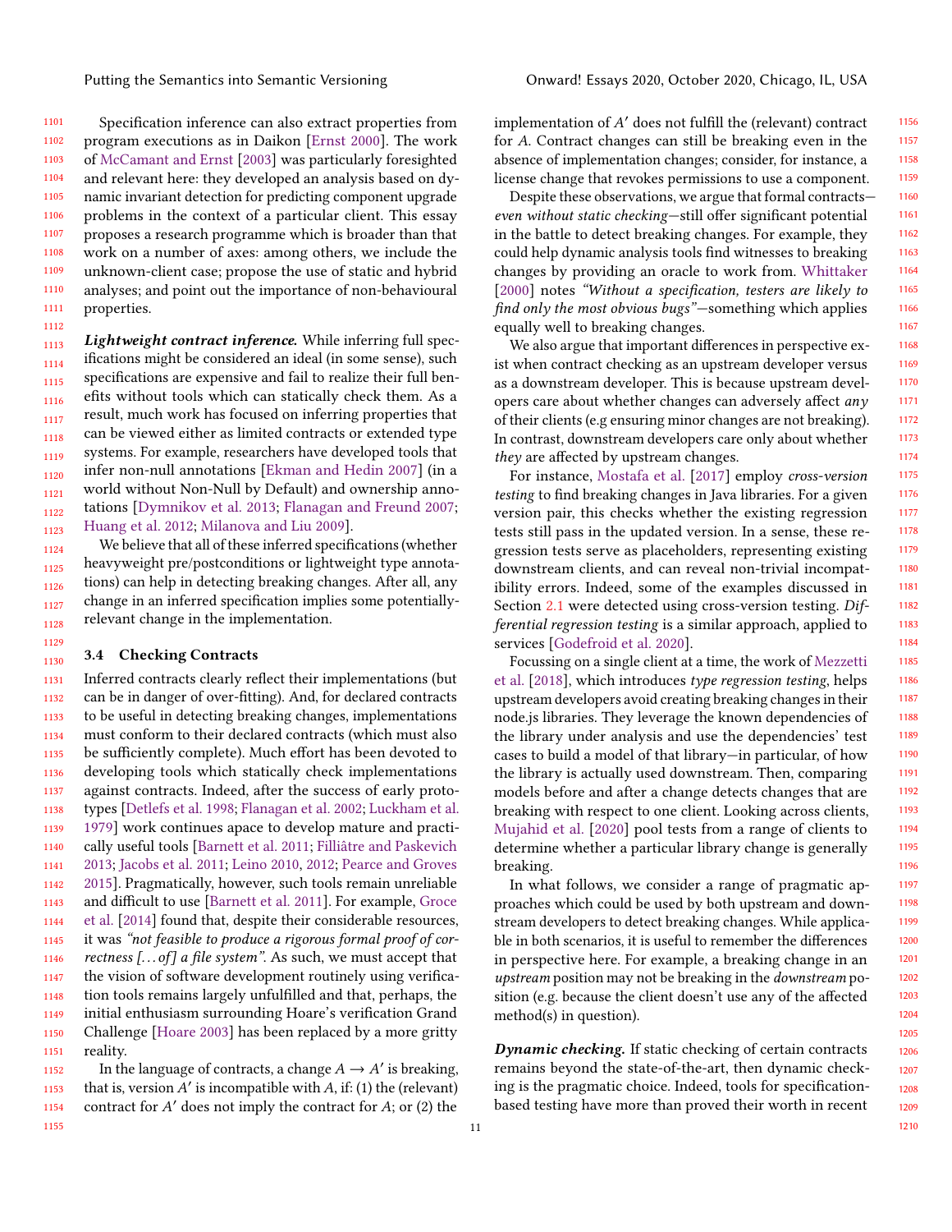1101 1102 1103 1104 1105 1106 1107 1108 1109 1110 1111 Specification inference can also extract properties from program executions as in Daikon [\[Ernst](#page-19-17) [2000\]](#page-19-17). The work of [McCamant and Ernst](#page-20-18) [\[2003\]](#page-20-18) was particularly foresighted and relevant here: they developed an analysis based on dynamic invariant detection for predicting component upgrade problems in the context of a particular client. This essay proposes a research programme which is broader than that work on a number of axes: among others, we include the unknown-client case; propose the use of static and hybrid analyses; and point out the importance of non-behavioural properties.

1113 1114 1115 1116 1117 1118 1119 1120 1121 1122 1123 Lightweight contract inference. While inferring full specifications might be considered an ideal (in some sense), such specifications are expensive and fail to realize their full benefits without tools which can statically check them. As a result, much work has focused on inferring properties that can be viewed either as limited contracts or extended type systems. For example, researchers have developed tools that infer non-null annotations [\[Ekman and Hedin](#page-19-18) [2007\]](#page-19-18) (in a world without Non-Null by Default) and ownership annotations [\[Dymnikov et al.](#page-19-19) [2013;](#page-19-19) [Flanagan and Freund](#page-19-20) [2007;](#page-19-20) [Huang et al.](#page-20-19) [2012;](#page-20-19) [Milanova and Liu](#page-20-20) [2009\]](#page-20-20).

1124 1125 1126 1127 1128 We believe that all of these inferred specifications (whether heavyweight pre/postconditions or lightweight type annotations) can help in detecting breaking changes. After all, any change in an inferred specification implies some potentiallyrelevant change in the implementation.

#### 1130 3.4 Checking Contracts

1131 1132 1133 1134 1135 1136 1137 1138 1139 1140 1141 1142 1143 1144 1145 1146 1147 1148 1149 1150 1151 Inferred contracts clearly reflect their implementations (but can be in danger of over-fitting). And, for declared contracts to be useful in detecting breaking changes, implementations must conform to their declared contracts (which must also be sufficiently complete). Much effort has been devoted to developing tools which statically check implementations against contracts. Indeed, after the success of early prototypes [\[Detlefs et al.](#page-19-21) [1998;](#page-19-21) [Flanagan et al.](#page-19-22) [2002;](#page-19-22) [Luckham et al.](#page-20-21) [1979\]](#page-20-21) work continues apace to develop mature and practically useful tools [\[Barnett et al.](#page-18-7) [2011;](#page-18-7) [Filliâtre and Paskevich](#page-19-23) [2013;](#page-19-23) [Jacobs et al.](#page-20-22) [2011;](#page-20-22) [Leino](#page-20-23) [2010,](#page-20-23) [2012;](#page-20-24) [Pearce and Groves](#page-21-25) [2015\]](#page-21-25). Pragmatically, however, such tools remain unreliable and difficult to use [\[Barnett et al.](#page-18-7) [2011\]](#page-18-7). For example, [Groce](#page-19-24) [et al.](#page-19-24) [\[2014\]](#page-19-24) found that, despite their considerable resources, it was "not feasible to produce a rigorous formal proof of correctness  $[...$  of] a file system". As such, we must accept that the vision of software development routinely using verification tools remains largely unfulfilled and that, perhaps, the initial enthusiasm surrounding Hoare's verification Grand Challenge [\[Hoare](#page-20-25) [2003\]](#page-20-25) has been replaced by a more gritty reality.

1152 1153 1154 In the language of contracts, a change  $A \rightarrow A'$  is breaking, that is, version  $A'$  is incompatible with  $A$ , if: (1) the (relevant) contract for  $A'$  does not imply the contract for  $A$ ; or  $(2)$  the

implementation of A' does not fulfill the (relevant) contract for A. Contract changes can still be breaking even in the absence of implementation changes; consider, for instance, a license change that revokes permissions to use a component.

Despite these observations, we argue that formal contracts even without static checking—still offer significant potential in the battle to detect breaking changes. For example, they could help dynamic analysis tools find witnesses to breaking changes by providing an oracle to work from. [Whittaker](#page-21-26) [\[2000\]](#page-21-26) notes "Without a specification, testers are likely to find only the most obvious bugs"—something which applies equally well to breaking changes.

We also argue that important differences in perspective exist when contract checking as an upstream developer versus as a downstream developer. This is because upstream developers care about whether changes can adversely affect any of their clients (e.g ensuring minor changes are not breaking). In contrast, downstream developers care only about whether they are affected by upstream changes.

For instance, [Mostafa et al.](#page-20-26) [\[2017\]](#page-20-26) employ cross-version testing to find breaking changes in Java libraries. For a given version pair, this checks whether the existing regression tests still pass in the updated version. In a sense, these regression tests serve as placeholders, representing existing downstream clients, and can reveal non-trivial incompatibility errors. Indeed, some of the examples discussed in Section [2.1](#page-3-0) were detected using cross-version testing. Differential regression testing is a similar approach, applied to services [\[Godefroid et al.](#page-19-25) [2020\]](#page-19-25).

Focussing on a single client at a time, the work of [Mezzetti](#page-20-27) [et al.](#page-20-27) [\[2018\]](#page-20-27), which introduces type regression testing, helps upstream developers avoid creating breaking changes in their node.js libraries. They leverage the known dependencies of the library under analysis and use the dependencies' test cases to build a model of that library—in particular, of how the library is actually used downstream. Then, comparing models before and after a change detects changes that are breaking with respect to one client. Looking across clients, [Mujahid et al.](#page-20-28) [\[2020\]](#page-20-28) pool tests from a range of clients to determine whether a particular library change is generally breaking.

In what follows, we consider a range of pragmatic approaches which could be used by both upstream and downstream developers to detect breaking changes. While applicable in both scenarios, it is useful to remember the differences in perspective here. For example, a breaking change in an upstream position may not be breaking in the downstream position (e.g. because the client doesn't use any of the affected method(s) in question).

Dynamic checking. If static checking of certain contracts remains beyond the state-of-the-art, then dynamic checking is the pragmatic choice. Indeed, tools for specificationbased testing have more than proved their worth in recent

1155

1112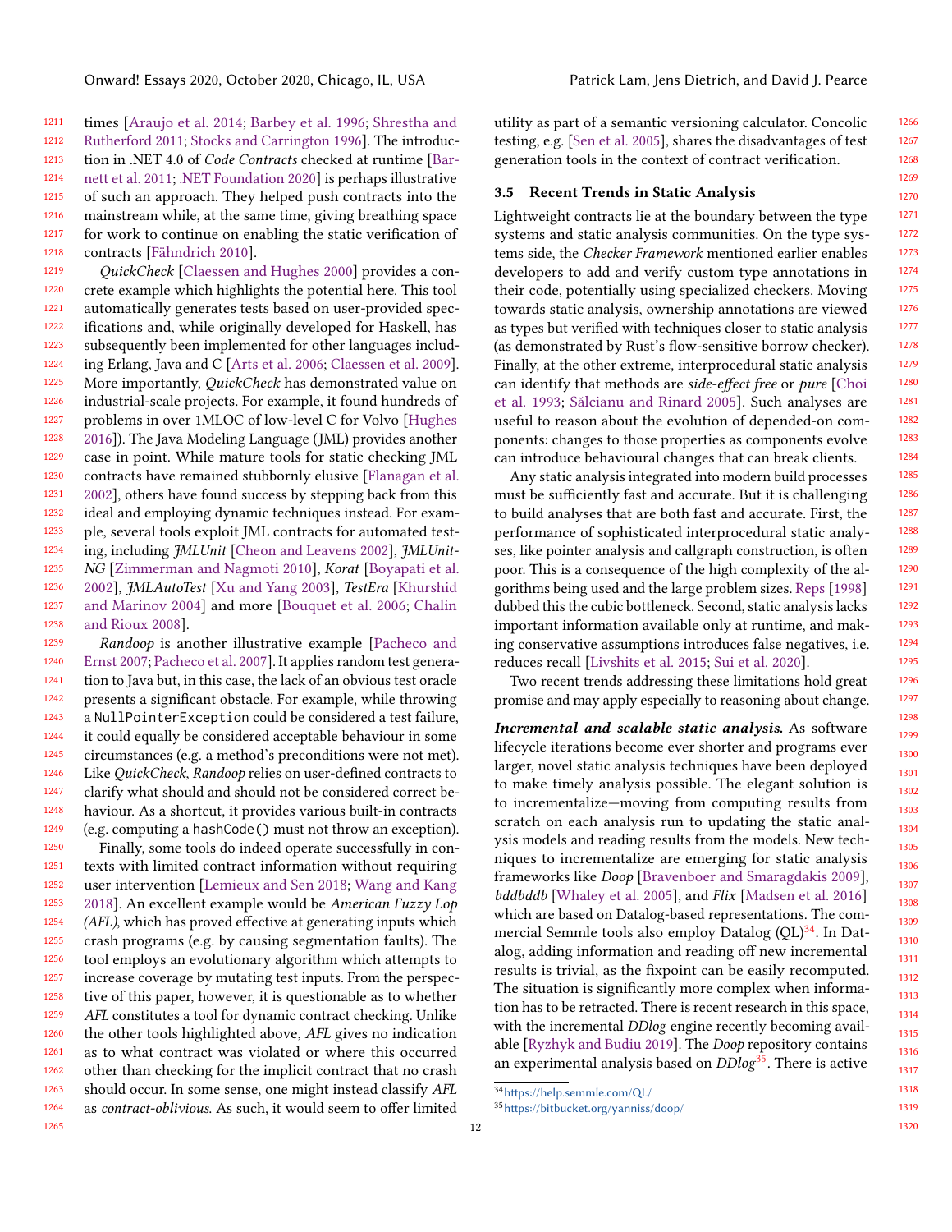1211 1212 1213 1214 1215 1216 1217 1218 times [\[Araujo et al.](#page-18-12) [2014;](#page-18-12) [Barbey et al.](#page-18-13) [1996;](#page-18-13) [Shrestha and](#page-21-27) [Rutherford](#page-21-27) [2011;](#page-21-27) [Stocks and Carrington](#page-21-28) [1996\]](#page-21-28). The introduction in .NET 4.0 of *Code Contracts* checked at runtime [\[Bar](#page-18-7)[nett et al.](#page-18-7) [2011;](#page-18-7) [.NET Foundation](#page-20-29) [2020\]](#page-20-29) is perhaps illustrative of such an approach. They helped push contracts into the mainstream while, at the same time, giving breathing space for work to continue on enabling the static verification of contracts [\[Fähndrich](#page-19-26) [2010\]](#page-19-26).

1219 1220 1221 1222 1223 1224 1225 1226 1227 1228 1229 1230 1231 1232 1233 1234 1235 1236 1237 1238 QuickCheck [\[Claessen and Hughes](#page-19-27) [2000\]](#page-19-27) provides a concrete example which highlights the potential here. This tool automatically generates tests based on user-provided specifications and, while originally developed for Haskell, has subsequently been implemented for other languages including Erlang, Java and C [\[Arts et al.](#page-18-14) [2006;](#page-18-14) [Claessen et al.](#page-19-28) [2009\]](#page-19-28). More importantly, QuickCheck has demonstrated value on industrial-scale projects. For example, it found hundreds of problems in over 1MLOC of low-level C for Volvo [\[Hughes](#page-20-30) [2016\]](#page-20-30)). The Java Modeling Language (JML) provides another case in point. While mature tools for static checking JML contracts have remained stubbornly elusive [\[Flanagan et al.](#page-19-22) [2002\]](#page-19-22), others have found success by stepping back from this ideal and employing dynamic techniques instead. For example, several tools exploit JML contracts for automated test-ing, including JMLUnit [\[Cheon and Leavens](#page-19-29) [2002\]](#page-19-29), JMLUnit-NG [\[Zimmerman and Nagmoti](#page-22-0) [2010\]](#page-22-0), Korat [\[Boyapati et al.](#page-18-15) [2002\]](#page-18-15), JMLAutoTest [\[Xu and Yang](#page-21-29) [2003\]](#page-21-29), TestEra [\[Khurshid](#page-20-31) [and Marinov](#page-20-31) [2004\]](#page-20-31) and more [\[Bouquet et al.](#page-18-16) [2006;](#page-18-16) [Chalin](#page-18-17) [and Rioux](#page-18-17) [2008\]](#page-18-17).

1239 1240 1241 1242 1243 1244 1245 1246 1247 1248 1249 Randoop is another illustrative example [\[Pacheco and](#page-21-30) [Ernst](#page-21-30) [2007;](#page-21-30) [Pacheco et al.](#page-21-31) [2007\]](#page-21-31). It applies random test generation to Java but, in this case, the lack of an obvious test oracle presents a significant obstacle. For example, while throwing a NullPointerException could be considered a test failure, it could equally be considered acceptable behaviour in some circumstances (e.g. a method's preconditions were not met). Like QuickCheck, Randoop relies on user-defined contracts to clarify what should and should not be considered correct behaviour. As a shortcut, it provides various built-in contracts (e.g. computing a hashCode() must not throw an exception).

1250 1251 1252 1253 1254 1255 1256 1257 1258 1259 1260 1261 1262 1263 1264 1265 Finally, some tools do indeed operate successfully in contexts with limited contract information without requiring user intervention [\[Lemieux and Sen](#page-20-32) [2018;](#page-20-32) [Wang and Kang](#page-21-32) [2018\]](#page-21-32). An excellent example would be American Fuzzy Lop (AFL), which has proved effective at generating inputs which crash programs (e.g. by causing segmentation faults). The tool employs an evolutionary algorithm which attempts to increase coverage by mutating test inputs. From the perspective of this paper, however, it is questionable as to whether AFL constitutes a tool for dynamic contract checking. Unlike the other tools highlighted above, AFL gives no indication as to what contract was violated or where this occurred other than checking for the implicit contract that no crash should occur. In some sense, one might instead classify AFL as contract-oblivious. As such, it would seem to offer limited

utility as part of a semantic versioning calculator. Concolic testing, e.g. [\[Sen et al.](#page-21-33) [2005\]](#page-21-33), shares the disadvantages of test generation tools in the context of contract verification.

#### 3.5 Recent Trends in Static Analysis

Lightweight contracts lie at the boundary between the type systems and static analysis communities. On the type systems side, the Checker Framework mentioned earlier enables developers to add and verify custom type annotations in their code, potentially using specialized checkers. Moving towards static analysis, ownership annotations are viewed as types but verified with techniques closer to static analysis (as demonstrated by Rust's flow-sensitive borrow checker). Finally, at the other extreme, interprocedural static analysis can identify that methods are side-effect free or pure [\[Choi](#page-19-30) [et al.](#page-19-30) [1993;](#page-19-30) [Sălcianu and Rinard](#page-21-19) [2005\]](#page-21-19). Such analyses are useful to reason about the evolution of depended-on components: changes to those properties as components evolve can introduce behavioural changes that can break clients.

Any static analysis integrated into modern build processes must be sufficiently fast and accurate. But it is challenging to build analyses that are both fast and accurate. First, the performance of sophisticated interprocedural static analyses, like pointer analysis and callgraph construction, is often poor. This is a consequence of the high complexity of the algorithms being used and the large problem sizes. [Reps](#page-21-34) [\[1998\]](#page-21-34) dubbed this the cubic bottleneck. Second, static analysis lacks important information available only at runtime, and making conservative assumptions introduces false negatives, i.e. reduces recall [\[Livshits et al.](#page-20-33) [2015;](#page-20-33) [Sui et al.](#page-21-35) [2020\]](#page-21-35).

Two recent trends addressing these limitations hold great promise and may apply especially to reasoning about change.

Incremental and scalable static analysis. As software lifecycle iterations become ever shorter and programs ever larger, novel static analysis techniques have been deployed to make timely analysis possible. The elegant solution is to incrementalize—moving from computing results from scratch on each analysis run to updating the static analysis models and reading results from the models. New techniques to incrementalize are emerging for static analysis frameworks like Doop [\[Bravenboer and Smaragdakis](#page-18-18) [2009\]](#page-18-18), bddbddb [\[Whaley et al.](#page-21-36) [2005\]](#page-21-36), and Flix [\[Madsen et al.](#page-20-34) [2016\]](#page-20-34) which are based on Datalog-based representations. The commercial Semmle tools also employ Datalog  $(QL)^{34}$  $(QL)^{34}$  $(QL)^{34}$ . In Datalog, adding information and reading off new incremental results is trivial, as the fixpoint can be easily recomputed. The situation is significantly more complex when information has to be retracted. There is recent research in this space, with the incremental *DDlog* engine recently becoming available [\[Ryzhyk and Budiu](#page-21-37) [2019\]](#page-21-37). The Doop repository contains an experimental analysis based on *DDlog*<sup>[35](#page-11-1)</sup>. There is active

<span id="page-11-0"></span><sup>34</sup><https://help.semmle.com/QL/>

<span id="page-11-1"></span><sup>35</sup><https://bitbucket.org/yanniss/doop/>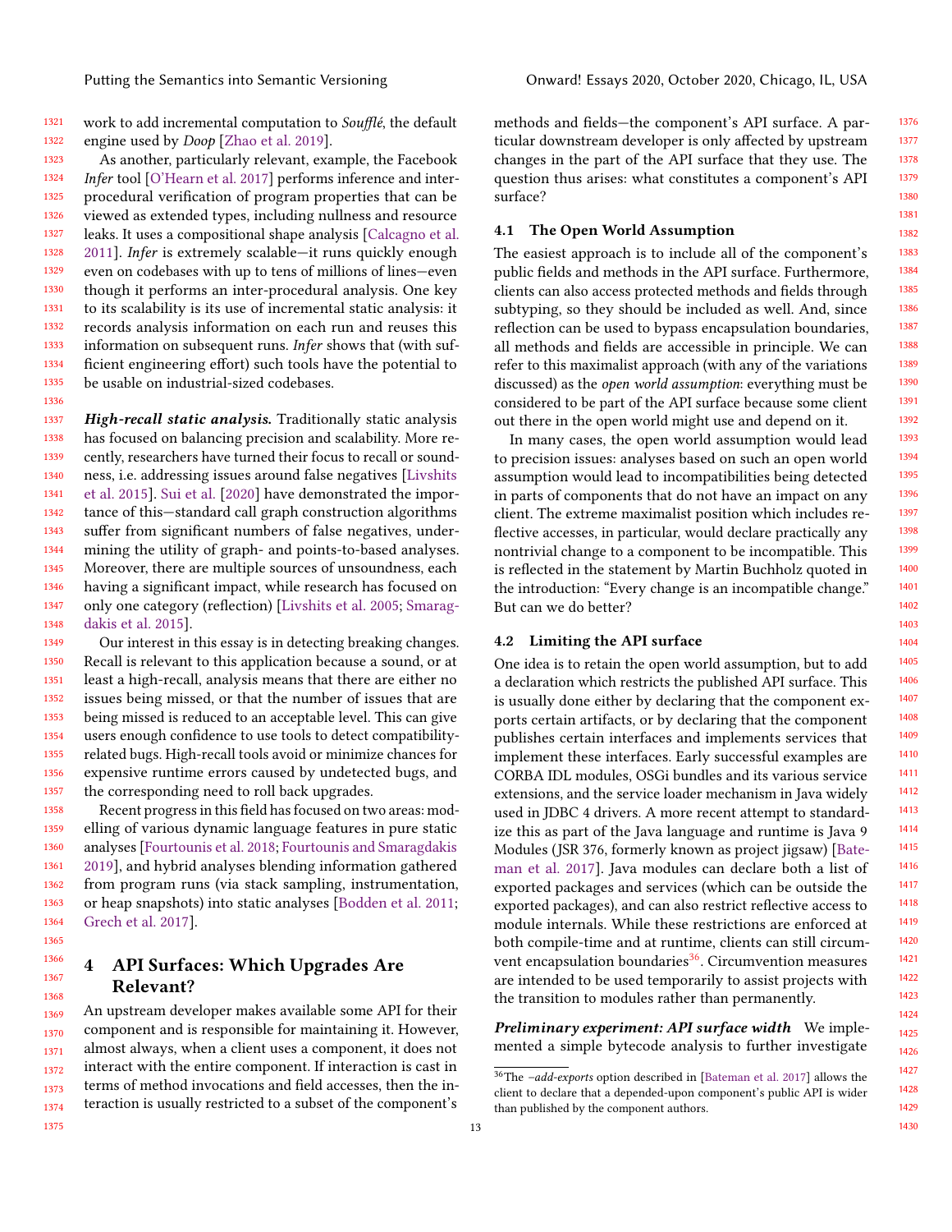1321 1322 work to add incremental computation to Soufflé, the default engine used by Doop [\[Zhao et al.](#page-22-1) [2019\]](#page-22-1).

1323 1324 1325 1326 1327 1328 1329 1330 1331 1332 1333 1334 1335 As another, particularly relevant, example, the Facebook Infer tool [\[O'Hearn et al.](#page-21-38) [2017\]](#page-21-38) performs inference and interprocedural verification of program properties that can be viewed as extended types, including nullness and resource leaks. It uses a compositional shape analysis [\[Calcagno et al.](#page-18-19) [2011\]](#page-18-19). Infer is extremely scalable—it runs quickly enough even on codebases with up to tens of millions of lines—even though it performs an inter-procedural analysis. One key to its scalability is its use of incremental static analysis: it records analysis information on each run and reuses this information on subsequent runs. Infer shows that (with sufficient engineering effort) such tools have the potential to be usable on industrial-sized codebases.

1336

1375

1337 1338 1339 1340 1341 1342 1343 1344 1345 1346 1347 1348 High-recall static analysis. Traditionally static analysis has focused on balancing precision and scalability. More recently, researchers have turned their focus to recall or soundness, i.e. addressing issues around false negatives [\[Livshits](#page-20-33) [et al.](#page-20-33) [2015\]](#page-20-33). [Sui et al.](#page-21-35) [\[2020\]](#page-21-35) have demonstrated the importance of this—standard call graph construction algorithms suffer from significant numbers of false negatives, undermining the utility of graph- and points-to-based analyses. Moreover, there are multiple sources of unsoundness, each having a significant impact, while research has focused on only one category (reflection) [\[Livshits et al.](#page-20-35) [2005;](#page-20-35) [Smarag](#page-21-39)[dakis et al.](#page-21-39) [2015\]](#page-21-39).

1349 1350 1351 1352 1353 1354 1355 1356 1357 Our interest in this essay is in detecting breaking changes. Recall is relevant to this application because a sound, or at least a high-recall, analysis means that there are either no issues being missed, or that the number of issues that are being missed is reduced to an acceptable level. This can give users enough confidence to use tools to detect compatibilityrelated bugs. High-recall tools avoid or minimize chances for expensive runtime errors caused by undetected bugs, and the corresponding need to roll back upgrades.

1358 1359 1360 1361 1362 1363 1364 Recent progress in this field has focused on two areas: modelling of various dynamic language features in pure static analyses [\[Fourtounis et al.](#page-19-31) [2018;](#page-19-31) [Fourtounis and Smaragdakis](#page-19-32) [2019\]](#page-19-32), and hybrid analyses blending information gathered from program runs (via stack sampling, instrumentation, or heap snapshots) into static analyses [\[Bodden et al.](#page-18-20) [2011;](#page-18-20) [Grech et al.](#page-19-33) [2017\]](#page-19-33).

### <span id="page-12-0"></span>4 API Surfaces: Which Upgrades Are Relevant?

1369 1370 1371 1372 1373 1374 An upstream developer makes available some API for their component and is responsible for maintaining it. However, almost always, when a client uses a component, it does not interact with the entire component. If interaction is cast in terms of method invocations and field accesses, then the interaction is usually restricted to a subset of the component's

methods and fields—the component's API surface. A particular downstream developer is only affected by upstream changes in the part of the API surface that they use. The question thus arises: what constitutes a component's API surface?

#### 4.1 The Open World Assumption

The easiest approach is to include all of the component's public fields and methods in the API surface. Furthermore, clients can also access protected methods and fields through subtyping, so they should be included as well. And, since reflection can be used to bypass encapsulation boundaries, all methods and fields are accessible in principle. We can refer to this maximalist approach (with any of the variations discussed) as the open world assumption: everything must be considered to be part of the API surface because some client out there in the open world might use and depend on it.

In many cases, the open world assumption would lead to precision issues: analyses based on such an open world assumption would lead to incompatibilities being detected in parts of components that do not have an impact on any client. The extreme maximalist position which includes reflective accesses, in particular, would declare practically any nontrivial change to a component to be incompatible. This is reflected in the statement by Martin Buchholz quoted in the introduction: "Every change is an incompatible change." But can we do better?

#### 4.2 Limiting the API surface

One idea is to retain the open world assumption, but to add a declaration which restricts the published API surface. This is usually done either by declaring that the component exports certain artifacts, or by declaring that the component publishes certain interfaces and implements services that implement these interfaces. Early successful examples are CORBA IDL modules, OSGi bundles and its various service extensions, and the service loader mechanism in Java widely used in JDBC 4 drivers. A more recent attempt to standardize this as part of the Java language and runtime is Java 9 Modules (JSR 376, formerly known as project jigsaw) [\[Bate](#page-18-21)[man et al.](#page-18-21) [2017\]](#page-18-21). Java modules can declare both a list of exported packages and services (which can be outside the exported packages), and can also restrict reflective access to module internals. While these restrictions are enforced at both compile-time and at runtime, clients can still circumvent encapsulation boundaries $36$ . Circumvention measures are intended to be used temporarily to assist projects with the transition to modules rather than permanently.

Preliminary experiment: API surface width We implemented a simple bytecode analysis to further investigate

<span id="page-12-1"></span> $36$ The  $-add$ -exports option described in [\[Bateman et al.](#page-18-21) [2017\]](#page-18-21) allows the client to declare that a depended-upon component's public API is wider than published by the component authors.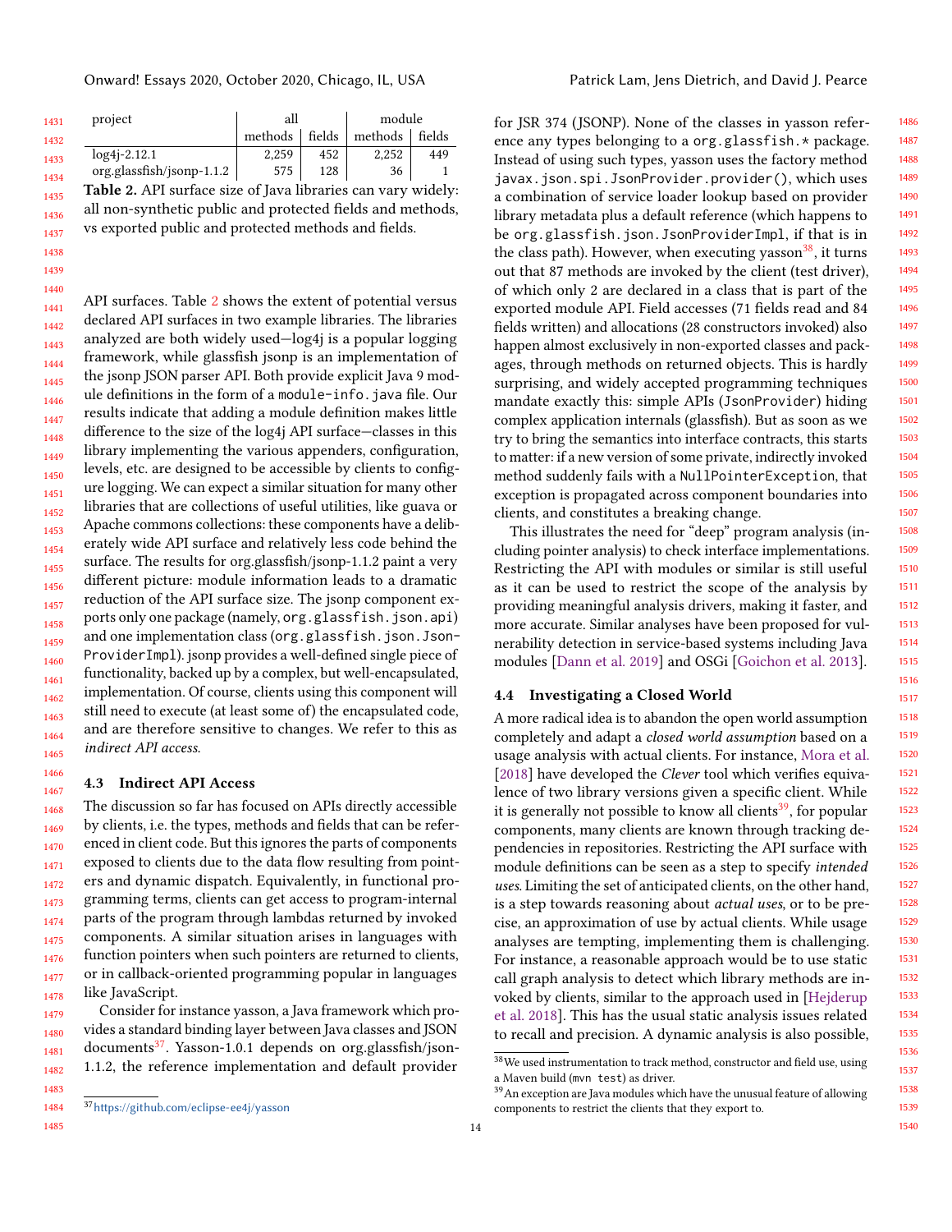<span id="page-13-0"></span>Onward! Essays 2020, October 2020, Chicago, IL, USA Patrick Lam, Jens Dietrich, and David J. Pearce

| 1431 | project                                                      | all     |                                                                    | module  |        |
|------|--------------------------------------------------------------|---------|--------------------------------------------------------------------|---------|--------|
| 1432 |                                                              | methods | fields                                                             | methods | fields |
| 1433 | $log4j - 2.12.1$                                             | 2,259   | 452                                                                | 2,252   | 449    |
| 1434 | org.glassfish/jsonp-1.1.2                                    | 575     | 128                                                                | 36      |        |
| 1435 | Table 2. API surface size of Java libraries can vary widely: |         |                                                                    |         |        |
|      |                                                              |         | $\mathbf{1}$ . $\mathbf{1}$ $\mathbf{0}$ $\mathbf{1}$ $\mathbf{1}$ |         |        |

1436 1437 all non-synthetic public and protected fields and methods, vs exported public and protected methods and fields.

1440 1441 1442 1443 1444 1445 1446 1447 1448 1449 1450 1451 1452 1453 1454 1455 1456 1457 1458 1459 1460 1461 1462 1463 1464 1465 API surfaces. Table [2](#page-13-0) shows the extent of potential versus declared API surfaces in two example libraries. The libraries analyzed are both widely used—log4j is a popular logging framework, while glassfish jsonp is an implementation of the jsonp JSON parser API. Both provide explicit Java 9 module definitions in the form of a module-info.java file. Our results indicate that adding a module definition makes little difference to the size of the log4j API surface—classes in this library implementing the various appenders, configuration, levels, etc. are designed to be accessible by clients to configure logging. We can expect a similar situation for many other libraries that are collections of useful utilities, like guava or Apache commons collections: these components have a deliberately wide API surface and relatively less code behind the surface. The results for org.glassfish/jsonp-1.1.2 paint a very different picture: module information leads to a dramatic reduction of the API surface size. The jsonp component exports only one package (namely, org.glassfish.json.api) and one implementation class (org.glassfish.json.Json-ProviderImpl). jsonp provides a well-defined single piece of functionality, backed up by a complex, but well-encapsulated, implementation. Of course, clients using this component will still need to execute (at least some of) the encapsulated code, and are therefore sensitive to changes. We refer to this as indirect API access.

#### 4.3 Indirect API Access

1468 1469 1470 1471 1472 1473 1474 1475 1476 1477 1478 The discussion so far has focused on APIs directly accessible by clients, i.e. the types, methods and fields that can be referenced in client code. But this ignores the parts of components exposed to clients due to the data flow resulting from pointers and dynamic dispatch. Equivalently, in functional programming terms, clients can get access to program-internal parts of the program through lambdas returned by invoked components. A similar situation arises in languages with function pointers when such pointers are returned to clients, or in callback-oriented programming popular in languages like JavaScript.

1479 1480 1481 1482 Consider for instance yasson, a Java framework which provides a standard binding layer between Java classes and JSON documents $37$ . Yasson-1.0.1 depends on org.glassfish/json-1.1.2, the reference implementation and default provider

<span id="page-13-1"></span><sup>37</sup><https://github.com/eclipse-ee4j/yasson>

1486 1487 1488 1489 1490 1491 1492 1493 1494 1495 1496 1497 1498 1499 1500 1501 1502 1503 1504 1505 1506 1507 for JSR 374 (JSONP). None of the classes in yasson reference any types belonging to a org.glassfish.\* package. Instead of using such types, yasson uses the factory method javax.json.spi.JsonProvider.provider(), which uses a combination of service loader lookup based on provider library metadata plus a default reference (which happens to be org.glassfish.json.JsonProviderImpl, if that is in the class path). However, when executing yasson<sup>[38](#page-13-2)</sup>, it turns out that 87 methods are invoked by the client (test driver), of which only 2 are declared in a class that is part of the exported module API. Field accesses (71 fields read and 84 fields written) and allocations (28 constructors invoked) also happen almost exclusively in non-exported classes and packages, through methods on returned objects. This is hardly surprising, and widely accepted programming techniques mandate exactly this: simple APIs (JsonProvider) hiding complex application internals (glassfish). But as soon as we try to bring the semantics into interface contracts, this starts to matter: if a new version of some private, indirectly invoked method suddenly fails with a NullPointerException, that exception is propagated across component boundaries into clients, and constitutes a breaking change.

This illustrates the need for "deep" program analysis (including pointer analysis) to check interface implementations. Restricting the API with modules or similar is still useful as it can be used to restrict the scope of the analysis by providing meaningful analysis drivers, making it faster, and more accurate. Similar analyses have been proposed for vulnerability detection in service-based systems including Java modules [\[Dann et al.](#page-19-34) [2019\]](#page-19-34) and OSGi [\[Goichon et al.](#page-19-35) [2013\]](#page-19-35).

#### 4.4 Investigating a Closed World

A more radical idea is to abandon the open world assumption completely and adapt a closed world assumption based on a usage analysis with actual clients. For instance, [Mora et al.](#page-20-36) [\[2018\]](#page-20-36) have developed the *Clever* tool which verifies equivalence of two library versions given a specific client. While it is generally not possible to know all clients<sup>[39](#page-13-3)</sup>, for popular components, many clients are known through tracking dependencies in repositories. Restricting the API surface with module definitions can be seen as a step to specify intended uses. Limiting the set of anticipated clients, on the other hand, is a step towards reasoning about actual uses, or to be precise, an approximation of use by actual clients. While usage analyses are tempting, implementing them is challenging. For instance, a reasonable approach would be to use static call graph analysis to detect which library methods are invoked by clients, similar to the approach used in [\[Hejderup](#page-19-36) [et al.](#page-19-36) [2018\]](#page-19-36). This has the usual static analysis issues related to recall and precision. A dynamic analysis is also possible,

1483

1466 1467

<span id="page-13-2"></span> $^{38}\mathrm{We}$  used instrumentation to track method, constructor and field use, using a Maven build (mvn test) as driver.

<span id="page-13-3"></span> $39$ An exception are Java modules which have the unusual feature of allowing components to restrict the clients that they export to.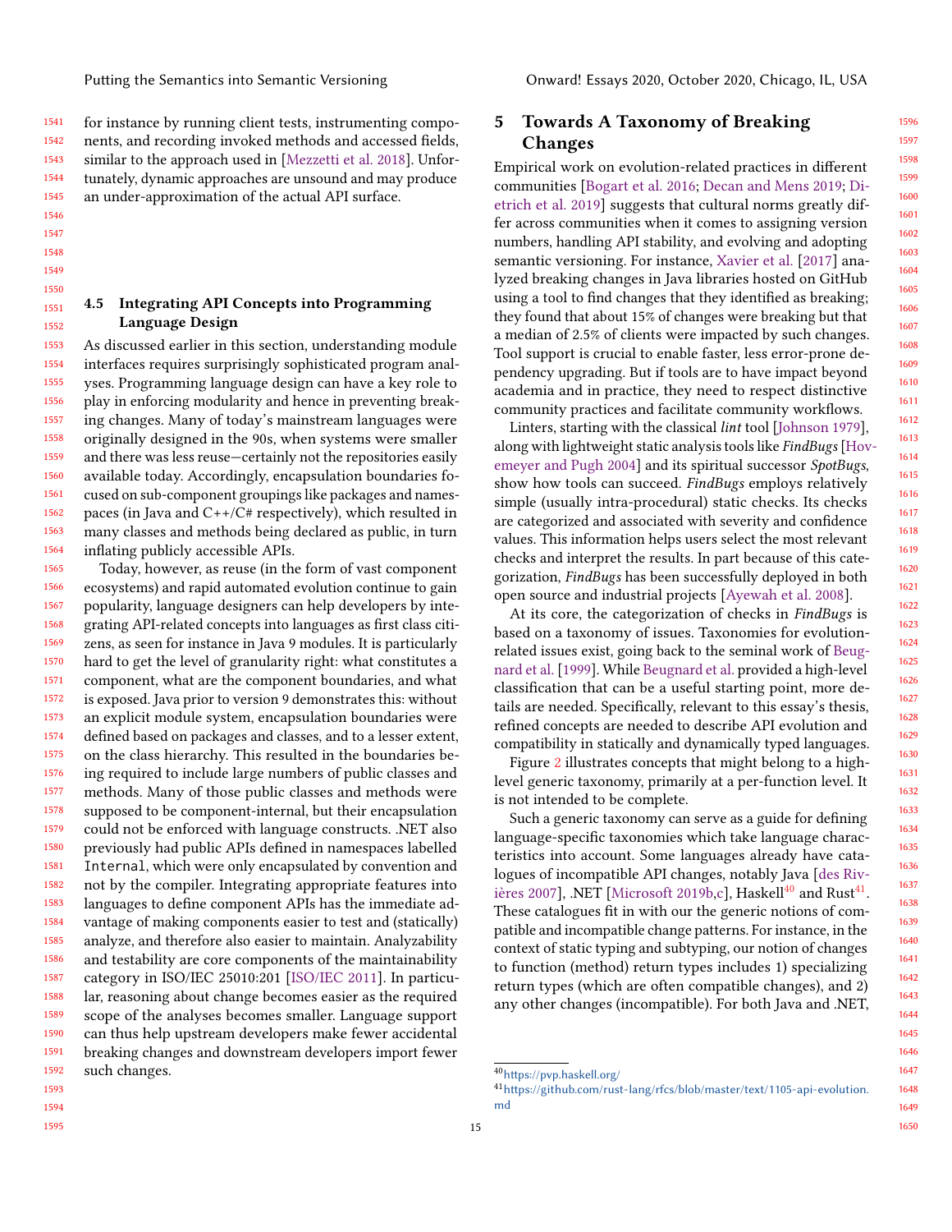1541 1542 1543 1544 1545 for instance by running client tests, instrumenting components, and recording invoked methods and accessed fields, similar to the approach used in [\[Mezzetti et al.](#page-20-27) [2018\]](#page-20-27). Unfortunately, dynamic approaches are unsound and may produce an under-approximation of the actual API surface.

1546

1547 1548

1549 1550

1551 1552 4.5 Integrating API Concepts into Programming Language Design

1553 1554 1555 1556 1557 1558 1559 1560 1561 1562 1563 1564 As discussed earlier in this section, understanding module interfaces requires surprisingly sophisticated program analyses. Programming language design can have a key role to play in enforcing modularity and hence in preventing breaking changes. Many of today's mainstream languages were originally designed in the 90s, when systems were smaller and there was less reuse—certainly not the repositories easily available today. Accordingly, encapsulation boundaries focused on sub-component groupings like packages and namespaces (in Java and C++/C# respectively), which resulted in many classes and methods being declared as public, in turn inflating publicly accessible APIs.

1565 1566 1567 1568 1569 1570 1571 1572 1573 1574 1575 1576 1577 1578 1579 1580 1581 1582 1583 1584 1585 1586 1587 1588 1589 1590 1591 1592 1593 Today, however, as reuse (in the form of vast component ecosystems) and rapid automated evolution continue to gain popularity, language designers can help developers by integrating API-related concepts into languages as first class citizens, as seen for instance in Java 9 modules. It is particularly hard to get the level of granularity right: what constitutes a component, what are the component boundaries, and what is exposed. Java prior to version 9 demonstrates this: without an explicit module system, encapsulation boundaries were defined based on packages and classes, and to a lesser extent, on the class hierarchy. This resulted in the boundaries being required to include large numbers of public classes and methods. Many of those public classes and methods were supposed to be component-internal, but their encapsulation could not be enforced with language constructs. .NET also previously had public APIs defined in namespaces labelled Internal, which were only encapsulated by convention and not by the compiler. Integrating appropriate features into languages to define component APIs has the immediate advantage of making components easier to test and (statically) analyze, and therefore also easier to maintain. Analyzability and testability are core components of the maintainability category in ISO/IEC 25010:201 [\[ISO/IEC](#page-20-37) [2011\]](#page-20-37). In particular, reasoning about change becomes easier as the required scope of the analyses becomes smaller. Language support can thus help upstream developers make fewer accidental breaking changes and downstream developers import fewer such changes.

### <span id="page-14-2"></span>5 Towards A Taxonomy of Breaking Changes

Empirical work on evolution-related practices in different communities [\[Bogart et al.](#page-18-2) [2016;](#page-18-2) [Decan and Mens](#page-19-37) [2019;](#page-19-37) [Di](#page-19-38)[etrich et al.](#page-19-38) [2019\]](#page-19-38) suggests that cultural norms greatly differ across communities when it comes to assigning version numbers, handling API stability, and evolving and adopting semantic versioning. For instance, [Xavier et al.](#page-21-40) [\[2017\]](#page-21-40) analyzed breaking changes in Java libraries hosted on GitHub using a tool to find changes that they identified as breaking; they found that about 15% of changes were breaking but that a median of 2.5% of clients were impacted by such changes. Tool support is crucial to enable faster, less error-prone dependency upgrading. But if tools are to have impact beyond academia and in practice, they need to respect distinctive community practices and facilitate community workflows.

Linters, starting with the classical lint tool [\[Johnson](#page-20-38) [1979\]](#page-20-38), along with lightweight static analysis tools like FindBugs [\[Hov](#page-20-39)[emeyer and Pugh](#page-20-39) [2004\]](#page-20-39) and its spiritual successor SpotBugs, show how tools can succeed. FindBugs employs relatively simple (usually intra-procedural) static checks. Its checks are categorized and associated with severity and confidence values. This information helps users select the most relevant checks and interpret the results. In part because of this categorization, FindBugs has been successfully deployed in both open source and industrial projects [\[Ayewah et al.](#page-18-22) [2008\]](#page-18-22).

At its core, the categorization of checks in FindBugs is based on a taxonomy of issues. Taxonomies for evolutionrelated issues exist, going back to the seminal work of [Beug](#page-18-0)[nard et al.](#page-18-0) [\[1999\]](#page-18-0). While [Beugnard et al.](#page-18-0) provided a high-level classification that can be a useful starting point, more details are needed. Specifically, relevant to this essay's thesis, refined concepts are needed to describe API evolution and compatibility in statically and dynamically typed languages.

Figure [2](#page-15-1) illustrates concepts that might belong to a highlevel generic taxonomy, primarily at a per-function level. It is not intended to be complete.

Such a generic taxonomy can serve as a guide for defining language-specific taxonomies which take language characteristics into account. Some languages already have catalogues of incompatible API changes, notably Java [\[des Riv](#page-19-39)[ières](#page-19-39) [2007\]](#page-19-39), .NET [\[Microsoft](#page-20-4) 2019 $b$ [,c\]](#page-20-5), Haskell $^{40}$  $^{40}$  $^{40}$  and Rust $^{41}$  $^{41}$  $^{41}$ . These catalogues fit in with our the generic notions of compatible and incompatible change patterns. For instance, in the context of static typing and subtyping, our notion of changes to function (method) return types includes 1) specializing return types (which are often compatible changes), and 2) any other changes (incompatible). For both Java and .NET,

<span id="page-14-0"></span><sup>40</sup><https://pvp.haskell.org/>

<span id="page-14-1"></span><sup>41</sup>[https://github.com/rust-lang/rfcs/blob/master/text/1105-api-evolution.](https://github.com/rust-lang/rfcs/blob/master/text/1105-api-evolution.md) [md](https://github.com/rust-lang/rfcs/blob/master/text/1105-api-evolution.md)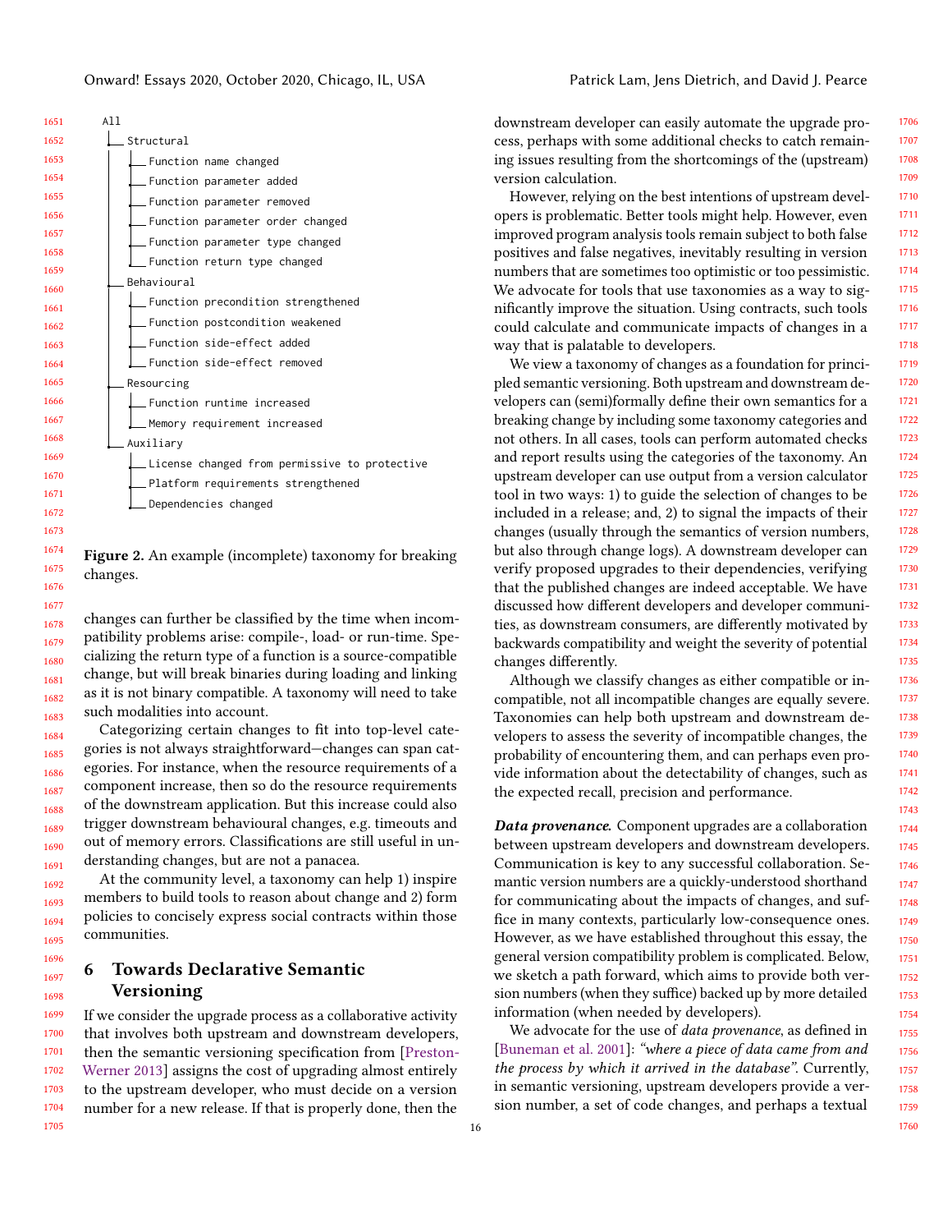1673

1677

<span id="page-15-1"></span>

| A11                                           |
|-----------------------------------------------|
| Structural                                    |
| Function name changed                         |
| _Function parameter added                     |
| _Function parameter removed                   |
| Function parameter order changed              |
| Function parameter type changed               |
| Function return type changed                  |
| Behavioural                                   |
| Function precondition strengthened            |
| _ Function postcondition weakened             |
| $\_$ Function side-effect added               |
|                                               |
| Function side-effect removed                  |
| Resourcing                                    |
| $\equiv$ Function runtime increased           |
| _Memory requirement increased                 |
| Auxiliary                                     |
| License changed from permissive to protective |
| _Platform requirements strengthened           |
| Dependencies changed                          |
|                                               |

1674 1675 1676 Figure 2. An example (incomplete) taxonomy for breaking changes.

1678 1679 1680 1681 1682 1683 changes can further be classified by the time when incompatibility problems arise: compile-, load- or run-time. Specializing the return type of a function is a source-compatible change, but will break binaries during loading and linking as it is not binary compatible. A taxonomy will need to take such modalities into account.

1684 1685 1686 1687 1688 1689 1690 1691 Categorizing certain changes to fit into top-level categories is not always straightforward—changes can span categories. For instance, when the resource requirements of a component increase, then so do the resource requirements of the downstream application. But this increase could also trigger downstream behavioural changes, e.g. timeouts and out of memory errors. Classifications are still useful in understanding changes, but are not a panacea.

At the community level, a taxonomy can help 1) inspire members to build tools to reason about change and 2) form policies to concisely express social contracts within those communities.

#### <span id="page-15-0"></span>1698 6 Towards Declarative Semantic Versioning

1699 1700 1701 1702 1703 1704 1705 If we consider the upgrade process as a collaborative activity that involves both upstream and downstream developers, then the semantic versioning specification from [\[Preston-](#page-21-0)[Werner](#page-21-0) [2013\]](#page-21-0) assigns the cost of upgrading almost entirely to the upstream developer, who must decide on a version number for a new release. If that is properly done, then the

downstream developer can easily automate the upgrade process, perhaps with some additional checks to catch remaining issues resulting from the shortcomings of the (upstream) version calculation.

However, relying on the best intentions of upstream developers is problematic. Better tools might help. However, even improved program analysis tools remain subject to both false positives and false negatives, inevitably resulting in version numbers that are sometimes too optimistic or too pessimistic. We advocate for tools that use taxonomies as a way to significantly improve the situation. Using contracts, such tools could calculate and communicate impacts of changes in a way that is palatable to developers.

We view a taxonomy of changes as a foundation for principled semantic versioning. Both upstream and downstream developers can (semi)formally define their own semantics for a breaking change by including some taxonomy categories and not others. In all cases, tools can perform automated checks and report results using the categories of the taxonomy. An upstream developer can use output from a version calculator tool in two ways: 1) to guide the selection of changes to be included in a release; and, 2) to signal the impacts of their changes (usually through the semantics of version numbers, but also through change logs). A downstream developer can verify proposed upgrades to their dependencies, verifying that the published changes are indeed acceptable. We have discussed how different developers and developer communities, as downstream consumers, are differently motivated by backwards compatibility and weight the severity of potential changes differently.

Although we classify changes as either compatible or incompatible, not all incompatible changes are equally severe. Taxonomies can help both upstream and downstream developers to assess the severity of incompatible changes, the probability of encountering them, and can perhaps even provide information about the detectability of changes, such as the expected recall, precision and performance.

**Data provenance.** Component upgrades are a collaboration between upstream developers and downstream developers. Communication is key to any successful collaboration. Semantic version numbers are a quickly-understood shorthand for communicating about the impacts of changes, and suffice in many contexts, particularly low-consequence ones. However, as we have established throughout this essay, the general version compatibility problem is complicated. Below, we sketch a path forward, which aims to provide both version numbers (when they suffice) backed up by more detailed information (when needed by developers).

We advocate for the use of data provenance, as defined in [\[Buneman et al.](#page-18-23) [2001\]](#page-18-23): "where a piece of data came from and the process by which it arrived in the database". Currently, in semantic versioning, upstream developers provide a version number, a set of code changes, and perhaps a textual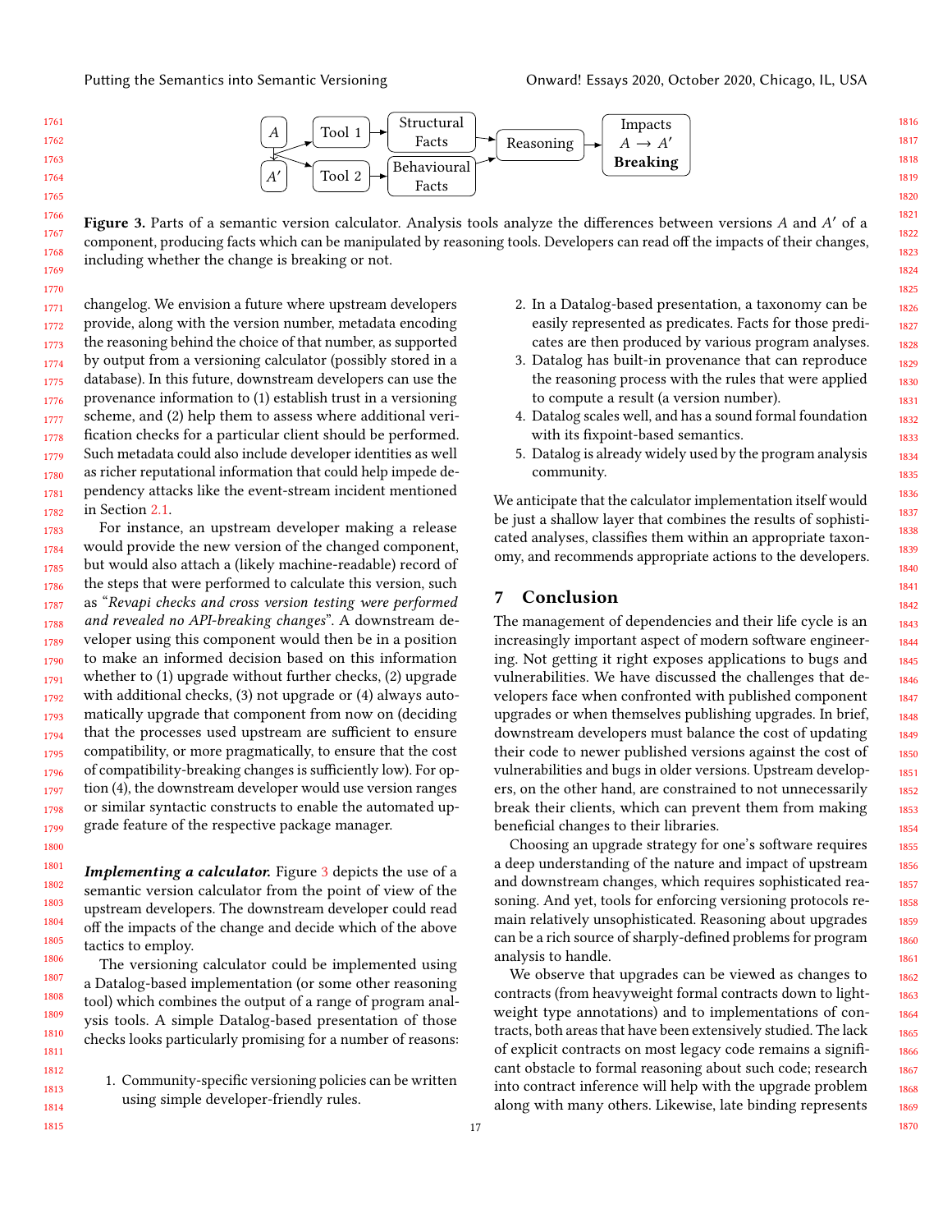

<span id="page-16-0"></span>1766 1767 1768 1769 Figure 3. Parts of a semantic version calculator. Analysis tools analyze the differences between versions A and A' of a component, producing facts which can be manipulated by reasoning tools. Developers can read off the impacts of their changes, including whether the change is breaking or not.

1770 1771 1772 1773 1774 1775 1776 1777 1778 1779 1780 1781 1782 changelog. We envision a future where upstream developers provide, along with the version number, metadata encoding the reasoning behind the choice of that number, as supported by output from a versioning calculator (possibly stored in a database). In this future, downstream developers can use the provenance information to (1) establish trust in a versioning scheme, and (2) help them to assess where additional verification checks for a particular client should be performed. Such metadata could also include developer identities as well as richer reputational information that could help impede dependency attacks like the event-stream incident mentioned in Section [2.1.](#page-3-0)

1783 1784 1785 1786 1787 1788 1789 1790 1791 1792 1793 1794 1795 1796 1797 1798 1799 For instance, an upstream developer making a release would provide the new version of the changed component, but would also attach a (likely machine-readable) record of the steps that were performed to calculate this version, such as "Revapi checks and cross version testing were performed and revealed no API-breaking changes". A downstream developer using this component would then be in a position to make an informed decision based on this information whether to (1) upgrade without further checks, (2) upgrade with additional checks, (3) not upgrade or (4) always automatically upgrade that component from now on (deciding that the processes used upstream are sufficient to ensure compatibility, or more pragmatically, to ensure that the cost of compatibility-breaking changes is sufficiently low). For option (4), the downstream developer would use version ranges or similar syntactic constructs to enable the automated upgrade feature of the respective package manager.

Implementing a calculator. Figure [3](#page-16-0) depicts the use of a semantic version calculator from the point of view of the upstream developers. The downstream developer could read off the impacts of the change and decide which of the above tactics to employ.

The versioning calculator could be implemented using a Datalog-based implementation (or some other reasoning tool) which combines the output of a range of program analysis tools. A simple Datalog-based presentation of those checks looks particularly promising for a number of reasons:

1. Community-specific versioning policies can be written using simple developer-friendly rules.

- 2. In a Datalog-based presentation, a taxonomy can be easily represented as predicates. Facts for those predicates are then produced by various program analyses.
- 3. Datalog has built-in provenance that can reproduce the reasoning process with the rules that were applied to compute a result (a version number).
- 4. Datalog scales well, and has a sound formal foundation with its fixpoint-based semantics.
- 5. Datalog is already widely used by the program analysis community.

We anticipate that the calculator implementation itself would be just a shallow layer that combines the results of sophisticated analyses, classifies them within an appropriate taxonomy, and recommends appropriate actions to the developers.

#### 7 Conclusion

The management of dependencies and their life cycle is an increasingly important aspect of modern software engineering. Not getting it right exposes applications to bugs and vulnerabilities. We have discussed the challenges that developers face when confronted with published component upgrades or when themselves publishing upgrades. In brief, downstream developers must balance the cost of updating their code to newer published versions against the cost of vulnerabilities and bugs in older versions. Upstream developers, on the other hand, are constrained to not unnecessarily break their clients, which can prevent them from making beneficial changes to their libraries.

Choosing an upgrade strategy for one's software requires a deep understanding of the nature and impact of upstream and downstream changes, which requires sophisticated reasoning. And yet, tools for enforcing versioning protocols remain relatively unsophisticated. Reasoning about upgrades can be a rich source of sharply-defined problems for program analysis to handle.

We observe that upgrades can be viewed as changes to contracts (from heavyweight formal contracts down to lightweight type annotations) and to implementations of contracts, both areas that have been extensively studied. The lack of explicit contracts on most legacy code remains a significant obstacle to formal reasoning about such code; research into contract inference will help with the upgrade problem along with many others. Likewise, late binding represents

1816 1817 1818

1827

1831

1837

1841

1857

1867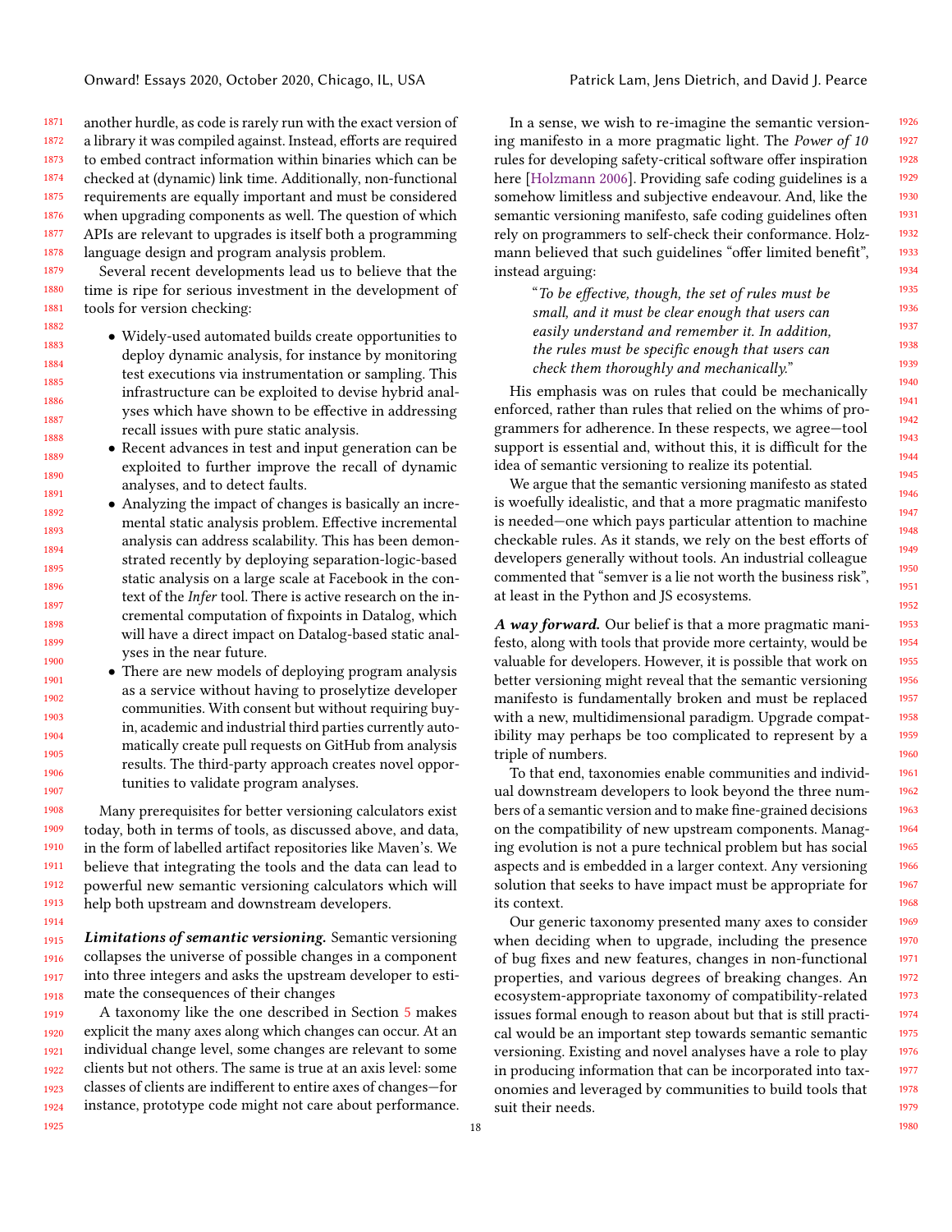1871 1872 1873 1874 1875 1876 1877 1878 another hurdle, as code is rarely run with the exact version of a library it was compiled against. Instead, efforts are required to embed contract information within binaries which can be checked at (dynamic) link time. Additionally, non-functional requirements are equally important and must be considered when upgrading components as well. The question of which APIs are relevant to upgrades is itself both a programming language design and program analysis problem.

1879 1880 1881 Several recent developments lead us to believe that the time is ripe for serious investment in the development of tools for version checking:

1882 1883 1884 1885 1886 1887 1888 • Widely-used automated builds create opportunities to deploy dynamic analysis, for instance by monitoring test executions via instrumentation or sampling. This infrastructure can be exploited to devise hybrid analyses which have shown to be effective in addressing recall issues with pure static analysis.

1889 1890 1891

1914

1925

- Recent advances in test and input generation can be exploited to further improve the recall of dynamic analyses, and to detect faults.
- 1892 1893 1894 1895 1896 1897 1898 1899 1900 • Analyzing the impact of changes is basically an incremental static analysis problem. Effective incremental analysis can address scalability. This has been demonstrated recently by deploying separation-logic-based static analysis on a large scale at Facebook in the context of the Infer tool. There is active research on the incremental computation of fixpoints in Datalog, which will have a direct impact on Datalog-based static analyses in the near future.
	- There are new models of deploying program analysis as a service without having to proselytize developer communities. With consent but without requiring buyin, academic and industrial third parties currently automatically create pull requests on GitHub from analysis results. The third-party approach creates novel opportunities to validate program analyses.

1908 1909 1910 1911 1912 1913 Many prerequisites for better versioning calculators exist today, both in terms of tools, as discussed above, and data, in the form of labelled artifact repositories like Maven's. We believe that integrating the tools and the data can lead to powerful new semantic versioning calculators which will help both upstream and downstream developers.

1915 1916 1917 1918 Limitations of semantic versioning. Semantic versioning collapses the universe of possible changes in a component into three integers and asks the upstream developer to estimate the consequences of their changes

1919 1920 1921 1922 1923 1924 A taxonomy like the one described in Section [5](#page-14-2) makes explicit the many axes along which changes can occur. At an individual change level, some changes are relevant to some clients but not others. The same is true at an axis level: some classes of clients are indifferent to entire axes of changes—for instance, prototype code might not care about performance.

In a sense, we wish to re-imagine the semantic versioning manifesto in a more pragmatic light. The Power of 10 rules for developing safety-critical software offer inspiration here [\[Holzmann](#page-20-40) [2006\]](#page-20-40). Providing safe coding guidelines is a somehow limitless and subjective endeavour. And, like the semantic versioning manifesto, safe coding guidelines often rely on programmers to self-check their conformance. Holzmann believed that such guidelines "offer limited benefit", instead arguing:

"To be effective, though, the set of rules must be small, and it must be clear enough that users can easily understand and remember it. In addition, the rules must be specific enough that users can check them thoroughly and mechanically."

His emphasis was on rules that could be mechanically enforced, rather than rules that relied on the whims of programmers for adherence. In these respects, we agree—tool support is essential and, without this, it is difficult for the idea of semantic versioning to realize its potential.

We argue that the semantic versioning manifesto as stated is woefully idealistic, and that a more pragmatic manifesto is needed—one which pays particular attention to machine checkable rules. As it stands, we rely on the best efforts of developers generally without tools. An industrial colleague commented that "semver is a lie not worth the business risk", at least in the Python and JS ecosystems.

A way forward. Our belief is that a more pragmatic manifesto, along with tools that provide more certainty, would be valuable for developers. However, it is possible that work on better versioning might reveal that the semantic versioning manifesto is fundamentally broken and must be replaced with a new, multidimensional paradigm. Upgrade compatibility may perhaps be too complicated to represent by a triple of numbers.

To that end, taxonomies enable communities and individual downstream developers to look beyond the three numbers of a semantic version and to make fine-grained decisions on the compatibility of new upstream components. Managing evolution is not a pure technical problem but has social aspects and is embedded in a larger context. Any versioning solution that seeks to have impact must be appropriate for its context.

Our generic taxonomy presented many axes to consider when deciding when to upgrade, including the presence of bug fixes and new features, changes in non-functional properties, and various degrees of breaking changes. An ecosystem-appropriate taxonomy of compatibility-related issues formal enough to reason about but that is still practical would be an important step towards semantic semantic versioning. Existing and novel analyses have a role to play in producing information that can be incorporated into taxonomies and leveraged by communities to build tools that suit their needs.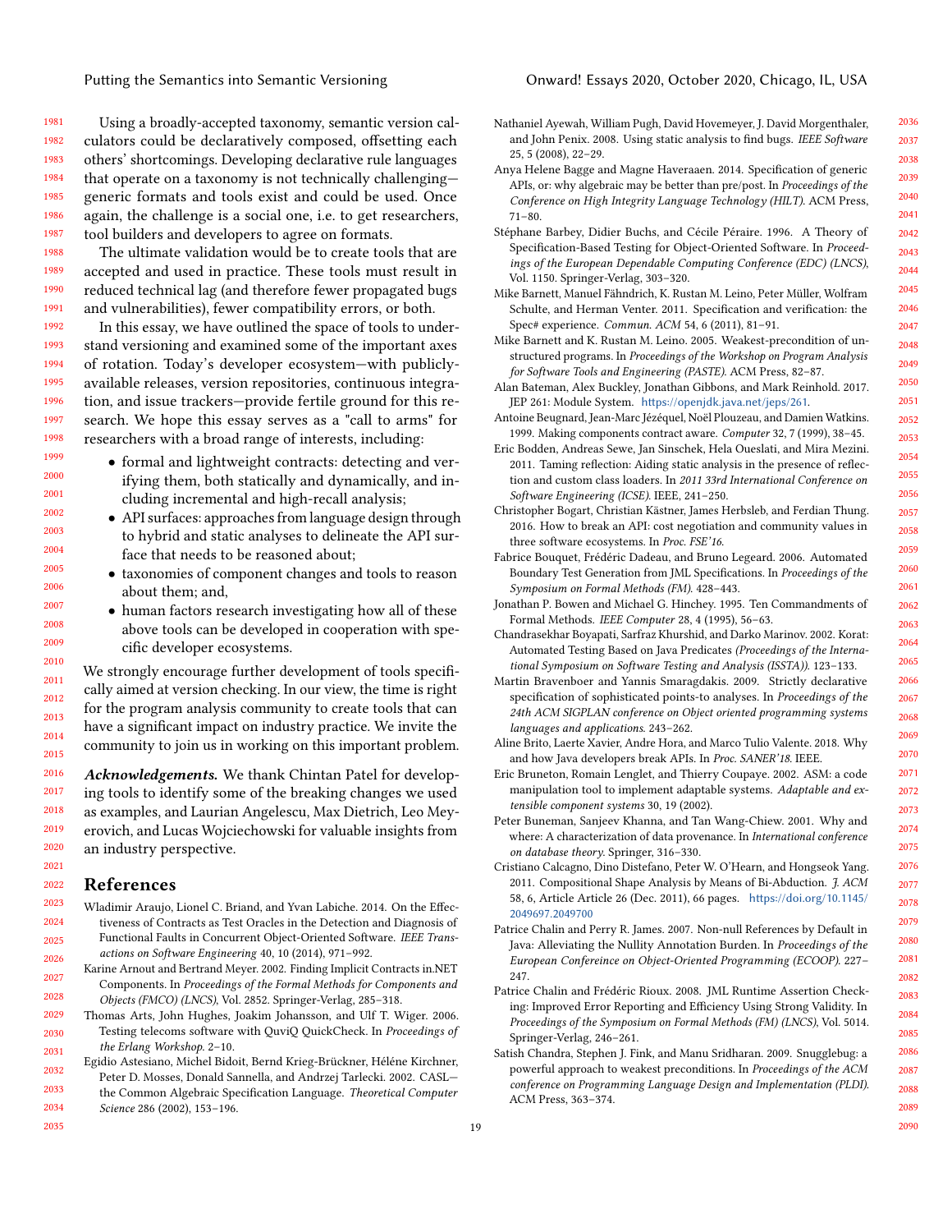1981 1982 1983 1984 1985 1986 1987 Using a broadly-accepted taxonomy, semantic version calculators could be declaratively composed, offsetting each others' shortcomings. Developing declarative rule languages that operate on a taxonomy is not technically challenging generic formats and tools exist and could be used. Once again, the challenge is a social one, i.e. to get researchers, tool builders and developers to agree on formats.

1988 1989 1990 1991 The ultimate validation would be to create tools that are accepted and used in practice. These tools must result in reduced technical lag (and therefore fewer propagated bugs and vulnerabilities), fewer compatibility errors, or both.

1992 1993 1994 1995 1996 1997 1998 In this essay, we have outlined the space of tools to understand versioning and examined some of the important axes of rotation. Today's developer ecosystem—with publiclyavailable releases, version repositories, continuous integration, and issue trackers—provide fertile ground for this research. We hope this essay serves as a "call to arms" for researchers with a broad range of interests, including:

- formal and lightweight contracts: detecting and verifying them, both statically and dynamically, and including incremental and high-recall analysis;
- <span id="page-18-16"></span><span id="page-18-2"></span>• API surfaces: approaches from language design through to hybrid and static analyses to delineate the API surface that needs to be reasoned about;
- <span id="page-18-18"></span><span id="page-18-15"></span><span id="page-18-6"></span>• taxonomies of component changes and tools to reason about them; and,
- human factors research investigating how all of these above tools can be developed in cooperation with specific developer ecosystems.

<span id="page-18-3"></span><span id="page-18-1"></span>We strongly encourage further development of tools specifically aimed at version checking. In our view, the time is right for the program analysis community to create tools that can have a significant impact on industry practice. We invite the community to join us in working on this important problem.

2016 2017 2018 2019 2020 Acknowledgements. We thank Chintan Patel for developing tools to identify some of the breaking changes we used as examples, and Laurian Angelescu, Max Dietrich, Leo Meyerovich, and Lucas Wojciechowski for valuable insights from an industry perspective.

#### <span id="page-18-23"></span><span id="page-18-19"></span><span id="page-18-17"></span><span id="page-18-9"></span>References

2021 2022

2035

- <span id="page-18-12"></span>2023 2024 2025 2026 Wladimir Araujo, Lionel C. Briand, and Yvan Labiche. 2014. On the Effectiveness of Contracts as Test Oracles in the Detection and Diagnosis of Functional Faults in Concurrent Object-Oriented Software. IEEE Transactions on Software Engineering 40, 10 (2014), 971–992.
- <span id="page-18-8"></span>2027 2028 Karine Arnout and Bertrand Meyer. 2002. Finding Implicit Contracts in.NET Components. In Proceedings of the Formal Methods for Components and Objects (FMCO) (LNCS), Vol. 2852. Springer-Verlag, 285–318.
- <span id="page-18-14"></span><span id="page-18-11"></span>2029 2030 2031 Thomas Arts, John Hughes, Joakim Johansson, and Ulf T. Wiger. 2006. Testing telecoms software with QuviQ QuickCheck. In Proceedings of the Erlang Workshop. 2–10.
- <span id="page-18-5"></span>2032 2033 2034 Egidio Astesiano, Michel Bidoit, Bernd Krieg-Brückner, Héléne Kirchner, Peter D. Mosses, Donald Sannella, and Andrzej Tarlecki. 2002. CASL the Common Algebraic Specification Language. Theoretical Computer Science 286 (2002), 153–196.

<span id="page-18-22"></span><span id="page-18-21"></span><span id="page-18-20"></span><span id="page-18-13"></span><span id="page-18-10"></span><span id="page-18-7"></span><span id="page-18-4"></span><span id="page-18-0"></span>

| Nathaniel Ayewah, William Pugh, David Hovemeyer, J. David Morgenthaler,<br>and John Penix. 2008. Using static analysis to find bugs. IEEE Software                                                                           |  |
|------------------------------------------------------------------------------------------------------------------------------------------------------------------------------------------------------------------------------|--|
| 25, 5 (2008), 22-29.                                                                                                                                                                                                         |  |
| Anya Helene Bagge and Magne Haveraaen. 2014. Specification of generic<br>APIs, or: why algebraic may be better than pre/post. In Proceedings of the                                                                          |  |
| Conference on High Integrity Language Technology (HILT). ACM Press,<br>$71 - 80.$                                                                                                                                            |  |
| Stéphane Barbey, Didier Buchs, and Cécile Péraire. 1996. A Theory of                                                                                                                                                         |  |
| Specification-Based Testing for Object-Oriented Software. In Proceed-<br>ings of the European Dependable Computing Conference (EDC) (LNCS),                                                                                  |  |
| Vol. 1150. Springer-Verlag, 303-320.                                                                                                                                                                                         |  |
| Mike Barnett, Manuel Fähndrich, K. Rustan M. Leino, Peter Müller, Wolfram<br>Schulte, and Herman Venter. 2011. Specification and verification: the<br>Spec# experience. Commun. ACM 54, 6 (2011), 81-91.                     |  |
| Mike Barnett and K. Rustan M. Leino. 2005. Weakest-precondition of un-                                                                                                                                                       |  |
| structured programs. In Proceedings of the Workshop on Program Analysis<br>for Software Tools and Engineering (PASTE). ACM Press, 82-87.                                                                                     |  |
| Alan Bateman, Alex Buckley, Jonathan Gibbons, and Mark Reinhold. 2017.                                                                                                                                                       |  |
| JEP 261: Module System. https://openjdk.java.net/jeps/261.                                                                                                                                                                   |  |
| Antoine Beugnard, Jean-Marc Jézéquel, Noël Plouzeau, and Damien Watkins.<br>1999. Making components contract aware. Computer 32, 7 (1999), 38-45.                                                                            |  |
| Eric Bodden, Andreas Sewe, Jan Sinschek, Hela Oueslati, and Mira Mezini.                                                                                                                                                     |  |
| 2011. Taming reflection: Aiding static analysis in the presence of reflec-<br>tion and custom class loaders. In 2011 33rd International Conference on                                                                        |  |
| Software Engineering (ICSE). IEEE, 241-250.                                                                                                                                                                                  |  |
| Christopher Bogart, Christian Kästner, James Herbsleb, and Ferdian Thung.<br>2016. How to break an API: cost negotiation and community values in                                                                             |  |
| three software ecosystems. In Proc. FSE'16.                                                                                                                                                                                  |  |
| Fabrice Bouquet, Frédéric Dadeau, and Bruno Legeard. 2006. Automated                                                                                                                                                         |  |
| Boundary Test Generation from JML Specifications. In Proceedings of the<br>Symposium on Formal Methods (FM). 428-443.                                                                                                        |  |
| Jonathan P. Bowen and Michael G. Hinchey. 1995. Ten Commandments of                                                                                                                                                          |  |
| Formal Methods. IEEE Computer 28, 4 (1995), 56-63.                                                                                                                                                                           |  |
| Chandrasekhar Boyapati, Sarfraz Khurshid, and Darko Marinov. 2002. Korat:<br>Automated Testing Based on Java Predicates (Proceedings of the Interna-<br>tional Symposium on Software Testing and Analysis (ISSTA)). 123-133. |  |
| Martin Bravenboer and Yannis Smaragdakis. 2009. Strictly declarative                                                                                                                                                         |  |
| specification of sophisticated points-to analyses. In Proceedings of the<br>24th ACM SIGPLAN conference on Object oriented programming systems                                                                               |  |
| languages and applications. 243-262.                                                                                                                                                                                         |  |
| Aline Brito, Laerte Xavier, Andre Hora, and Marco Tulio Valente. 2018. Why<br>and how Java developers break APIs. In Proc. SANER'18. IEEE.                                                                                   |  |
| Eric Bruneton, Romain Lenglet, and Thierry Coupaye. 2002. ASM: a code                                                                                                                                                        |  |
| manipulation tool to implement adaptable systems. Adaptable and ex-<br>tensible component systems 30, 19 (2002).                                                                                                             |  |
| Peter Buneman, Sanjeev Khanna, and Tan Wang-Chiew. 2001. Why and                                                                                                                                                             |  |
| where: A characterization of data provenance. In International conference<br>on database theory. Springer, 316-330.                                                                                                          |  |
| Cristiano Calcagno, Dino Distefano, Peter W. O'Hearn, and Hongseok Yang.<br>2011. Compositional Shape Analysis by Means of Bi-Abduction. J. ACM<br>58, 6, Article Article 26 (Dec. 2011), 66 pages. https://doi.org/10.1145/ |  |
| 2049697.2049700                                                                                                                                                                                                              |  |
| Patrice Chalin and Perry R. James. 2007. Non-null References by Default in<br>Java: Alleviating the Nullity Annotation Burden. In Proceedings of the<br>European Confereince on Object-Oriented Programming (ECOOP). 227-    |  |
| 247.                                                                                                                                                                                                                         |  |
| Patrice Chalin and Frédéric Rioux. 2008. JML Runtime Assertion Check-                                                                                                                                                        |  |
| ing: Improved Error Reporting and Efficiency Using Strong Validity. In<br>Proceedings of the Symposium on Formal Methods (FM) (LNCS), Vol. 5014.                                                                             |  |
| Springer-Verlag, 246-261.                                                                                                                                                                                                    |  |
| Satish Chandra, Stephen J. Fink, and Manu Sridharan. 2009. Snugglebug: a<br>powerful approach to weakest preconditions. In Proceedings of the ACM                                                                            |  |
| conference on Programming Language Design and Implementation (PLDI).<br>ACM Press, 363-374.                                                                                                                                  |  |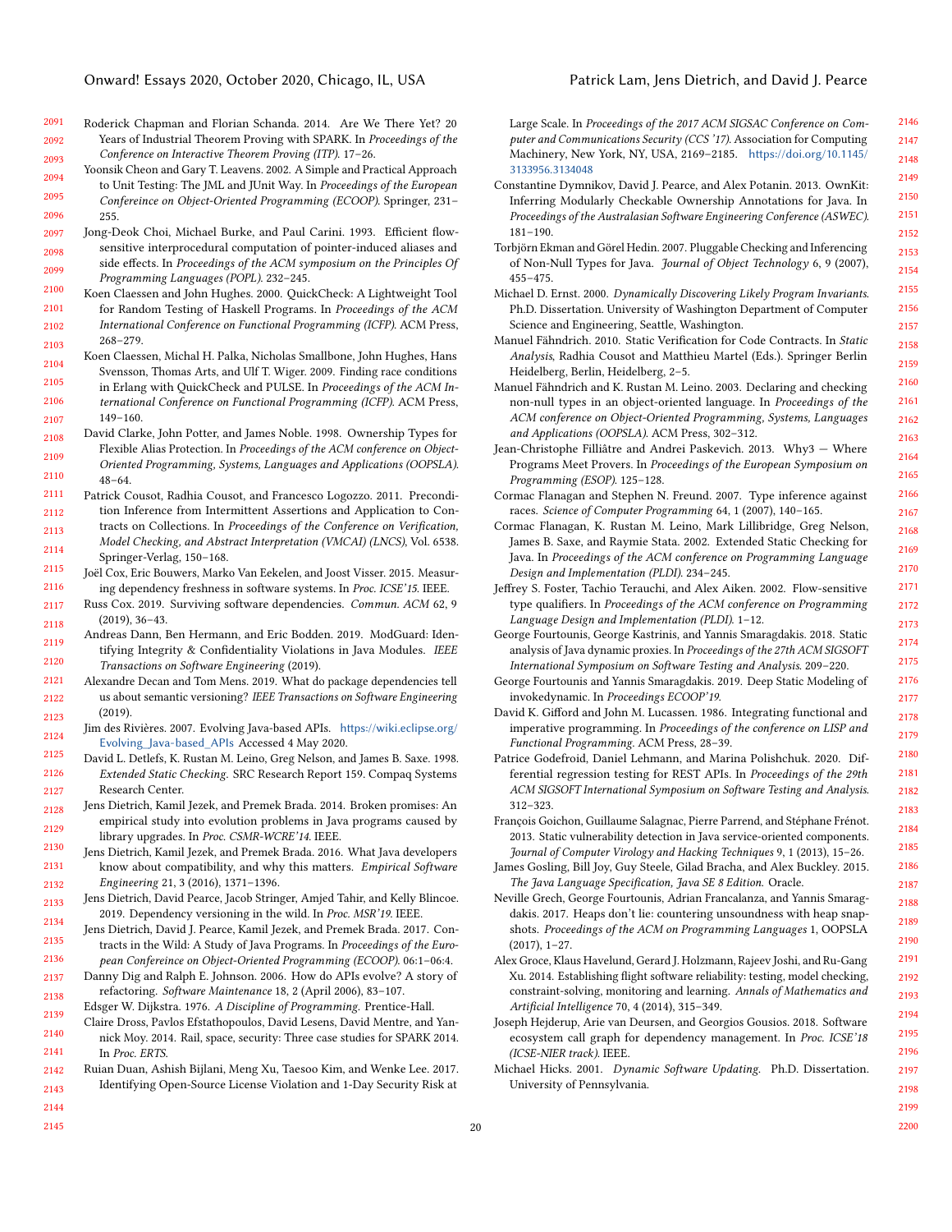- <span id="page-19-8"></span>2091 2092 2093 Roderick Chapman and Florian Schanda. 2014. Are We There Yet? 20 Years of Industrial Theorem Proving with SPARK. In Proceedings of the Conference on Interactive Theorem Proving (ITP). 17–26.
- <span id="page-19-29"></span>2094 2095 2096 Yoonsik Cheon and Gary T. Leavens. 2002. A Simple and Practical Approach to Unit Testing: The JML and JUnit Way. In Proceedings of the European Confereince on Object-Oriented Programming (ECOOP). Springer, 231– 255.
- <span id="page-19-30"></span>2097 2098 2099 Jong-Deok Choi, Michael Burke, and Paul Carini. 1993. Efficient flowsensitive interprocedural computation of pointer-induced aliases and side effects. In Proceedings of the ACM symposium on the Principles Of Programming Languages (POPL). 232–245.
- <span id="page-19-27"></span>2100 2101 2102 2103 Koen Claessen and John Hughes. 2000. QuickCheck: A Lightweight Tool for Random Testing of Haskell Programs. In Proceedings of the ACM International Conference on Functional Programming (ICFP). ACM Press, 268–279.
- <span id="page-19-28"></span>2104 2105 2106 2107 Koen Claessen, Michal H. Palka, Nicholas Smallbone, John Hughes, Hans Svensson, Thomas Arts, and Ulf T. Wiger. 2009. Finding race conditions in Erlang with QuickCheck and PULSE. In Proceedings of the ACM International Conference on Functional Programming (ICFP). ACM Press, 149–160.
- <span id="page-19-11"></span>2108 2109 2110 David Clarke, John Potter, and James Noble. 1998. Ownership Types for Flexible Alias Protection. In Proceedings of the ACM conference on Object-Oriented Programming, Systems, Languages and Applications (OOPSLA). 48–64.
- <span id="page-19-15"></span>2111 2112 Patrick Cousot, Radhia Cousot, and Francesco Logozzo. 2011. Precondition Inference from Intermittent Assertions and Application to Con-
- 2113 2114 tracts on Collections. In Proceedings of the Conference on Verification, Model Checking, and Abstract Interpretation (VMCAI) (LNCS), Vol. 6538. Springer-Verlag, 150–168.
- <span id="page-19-6"></span>2115 2116 Joël Cox, Eric Bouwers, Marko Van Eekelen, and Joost Visser. 2015. Measuring dependency freshness in software systems. In Proc. ICSE'15. IEEE.
- <span id="page-19-0"></span>2117 2118 Russ Cox. 2019. Surviving software dependencies. Commun. ACM 62, 9 (2019), 36–43.
- <span id="page-19-34"></span>2119 2120 Andreas Dann, Ben Hermann, and Eric Bodden. 2019. ModGuard: Identifying Integrity & Confidentiality Violations in Java Modules. IEEE Transactions on Software Engineering (2019).
- <span id="page-19-37"></span>2121 2122 2123 Alexandre Decan and Tom Mens. 2019. What do package dependencies tell us about semantic versioning? IEEE Transactions on Software Engineering (2019).
- <span id="page-19-39"></span>2124 Jim des Rivières. 2007. Evolving Java-based APIs. [https://wiki.eclipse.org/](https://wiki.eclipse.org/Evolving_Java-based_APIs) [Evolving\\_Java-based\\_APIs](https://wiki.eclipse.org/Evolving_Java-based_APIs) Accessed 4 May 2020.
- <span id="page-19-21"></span>2125 2126 2127 David L. Detlefs, K. Rustan M. Leino, Greg Nelson, and James B. Saxe. 1998. Extended Static Checking. SRC Research Report 159. Compaq Systems Research Center.
- <span id="page-19-5"></span>2128 2129 Jens Dietrich, Kamil Jezek, and Premek Brada. 2014. Broken promises: An empirical study into evolution problems in Java programs caused by library upgrades. In Proc. CSMR-WCRE'14. IEEE.
- <span id="page-19-2"></span>2130 2131 2132 Jens Dietrich, Kamil Jezek, and Premek Brada. 2016. What Java developers know about compatibility, and why this matters. Empirical Software Engineering 21, 3 (2016), 1371–1396.
- <span id="page-19-38"></span>2133 2134 Jens Dietrich, David Pearce, Jacob Stringer, Amjed Tahir, and Kelly Blincoe. 2019. Dependency versioning in the wild. In Proc. MSR'19. IEEE.
- <span id="page-19-14"></span>2135 2136 Jens Dietrich, David J. Pearce, Kamil Jezek, and Premek Brada. 2017. Contracts in the Wild: A Study of Java Programs. In Proceedings of the European Confereince on Object-Oriented Programming (ECOOP). 06:1–06:4.
- <span id="page-19-3"></span>2137 2138 Danny Dig and Ralph E. Johnson. 2006. How do APIs evolve? A story of refactoring. Software Maintenance 18, 2 (April 2006), 83–107.
- <span id="page-19-16"></span>2139 Edsger W. Dijkstra. 1976. A Discipline of Programming. Prentice-Hall.
- <span id="page-19-9"></span>2140 2141 Claire Dross, Pavlos Efstathopoulos, David Lesens, David Mentre, and Yannick Moy. 2014. Rail, space, security: Three case studies for SPARK 2014. In Proc. ERTS.
- <span id="page-19-7"></span>2142 2143 Ruian Duan, Ashish Bijlani, Meng Xu, Taesoo Kim, and Wenke Lee. 2017. Identifying Open-Source License Violation and 1-Day Security Risk at
- Large Scale. In Proceedings of the 2017 ACM SIGSAC Conference on Computer and Communications Security (CCS '17). Association for Computing Machinery, New York, NY, USA, 2169–2185. [https://doi.org/10.1145/](https://doi.org/10.1145/3133956.3134048) [3133956.3134048](https://doi.org/10.1145/3133956.3134048)
- <span id="page-19-19"></span>Constantine Dymnikov, David J. Pearce, and Alex Potanin. 2013. OwnKit: Inferring Modularly Checkable Ownership Annotations for Java. In Proceedings of the Australasian Software Engineering Conference (ASWEC). 181–190.
- <span id="page-19-18"></span>Torbjörn Ekman and Görel Hedin. 2007. Pluggable Checking and Inferencing of Non-Null Types for Java. Journal of Object Technology 6, 9 (2007), 455–475.
- <span id="page-19-17"></span>Michael D. Ernst. 2000. Dynamically Discovering Likely Program Invariants. Ph.D. Dissertation. University of Washington Department of Computer Science and Engineering, Seattle, Washington.
- <span id="page-19-26"></span>Manuel Fähndrich. 2010. Static Verification for Code Contracts. In Static Analysis, Radhia Cousot and Matthieu Martel (Eds.). Springer Berlin Heidelberg, Berlin, Heidelberg, 2–5.
- <span id="page-19-10"></span>Manuel Fähndrich and K. Rustan M. Leino. 2003. Declaring and checking non-null types in an object-oriented language. In Proceedings of the ACM conference on Object-Oriented Programming, Systems, Languages and Applications (OOPSLA). ACM Press, 302–312.
- <span id="page-19-23"></span>Jean-Christophe Filliâtre and Andrei Paskevich. 2013. Why3 — Where Programs Meet Provers. In Proceedings of the European Symposium on Programming (ESOP). 125–128.
- <span id="page-19-20"></span>Cormac Flanagan and Stephen N. Freund. 2007. Type inference against races. Science of Computer Programming 64, 1 (2007), 140–165.
- <span id="page-19-22"></span>Cormac Flanagan, K. Rustan M. Leino, Mark Lillibridge, Greg Nelson, James B. Saxe, and Raymie Stata. 2002. Extended Static Checking for Java. In Proceedings of the ACM conference on Programming Language Design and Implementation (PLDI). 234–245.
- <span id="page-19-12"></span>Jeffrey S. Foster, Tachio Terauchi, and Alex Aiken. 2002. Flow-sensitive type qualifiers. In Proceedings of the ACM conference on Programming Language Design and Implementation (PLDI). 1–12.
- <span id="page-19-31"></span>George Fourtounis, George Kastrinis, and Yannis Smaragdakis. 2018. Static analysis of Java dynamic proxies. In Proceedings of the 27th ACM SIGSOFT International Symposium on Software Testing and Analysis. 209–220.
- <span id="page-19-32"></span>George Fourtounis and Yannis Smaragdakis. 2019. Deep Static Modeling of invokedynamic. In Proceedings ECOOP'19.
- <span id="page-19-13"></span>David K. Gifford and John M. Lucassen. 1986. Integrating functional and imperative programming. In Proceedings of the conference on LISP and Functional Programming. ACM Press, 28–39.
- <span id="page-19-25"></span>Patrice Godefroid, Daniel Lehmann, and Marina Polishchuk. 2020. Differential regression testing for REST APIs. In Proceedings of the 29th ACM SIGSOFT International Symposium on Software Testing and Analysis. 312–323.
- <span id="page-19-35"></span>François Goichon, Guillaume Salagnac, Pierre Parrend, and Stéphane Frénot. 2013. Static vulnerability detection in Java service-oriented components. Journal of Computer Virology and Hacking Techniques 9, 1 (2013), 15–26.
- <span id="page-19-4"></span>James Gosling, Bill Joy, Guy Steele, Gilad Bracha, and Alex Buckley. 2015. The Java Language Specification, Java SE 8 Edition. Oracle.
- <span id="page-19-33"></span>Neville Grech, George Fourtounis, Adrian Francalanza, and Yannis Smaragdakis. 2017. Heaps don't lie: countering unsoundness with heap snapshots. Proceedings of the ACM on Programming Languages 1, OOPSLA (2017), 1–27.
- <span id="page-19-24"></span>Alex Groce, Klaus Havelund, Gerard J. Holzmann, Rajeev Joshi, and Ru-Gang Xu. 2014. Establishing flight software reliability: testing, model checking, constraint-solving, monitoring and learning. Annals of Mathematics and Artificial Intelligence 70, 4 (2014), 315–349.
- <span id="page-19-36"></span>Joseph Hejderup, Arie van Deursen, and Georgios Gousios. 2018. Software ecosystem call graph for dependency management. In Proc. ICSE'18 (ICSE-NIER track). IEEE.
- <span id="page-19-1"></span>Michael Hicks. 2001. Dynamic Software Updating. Ph.D. Dissertation. University of Pennsylvania.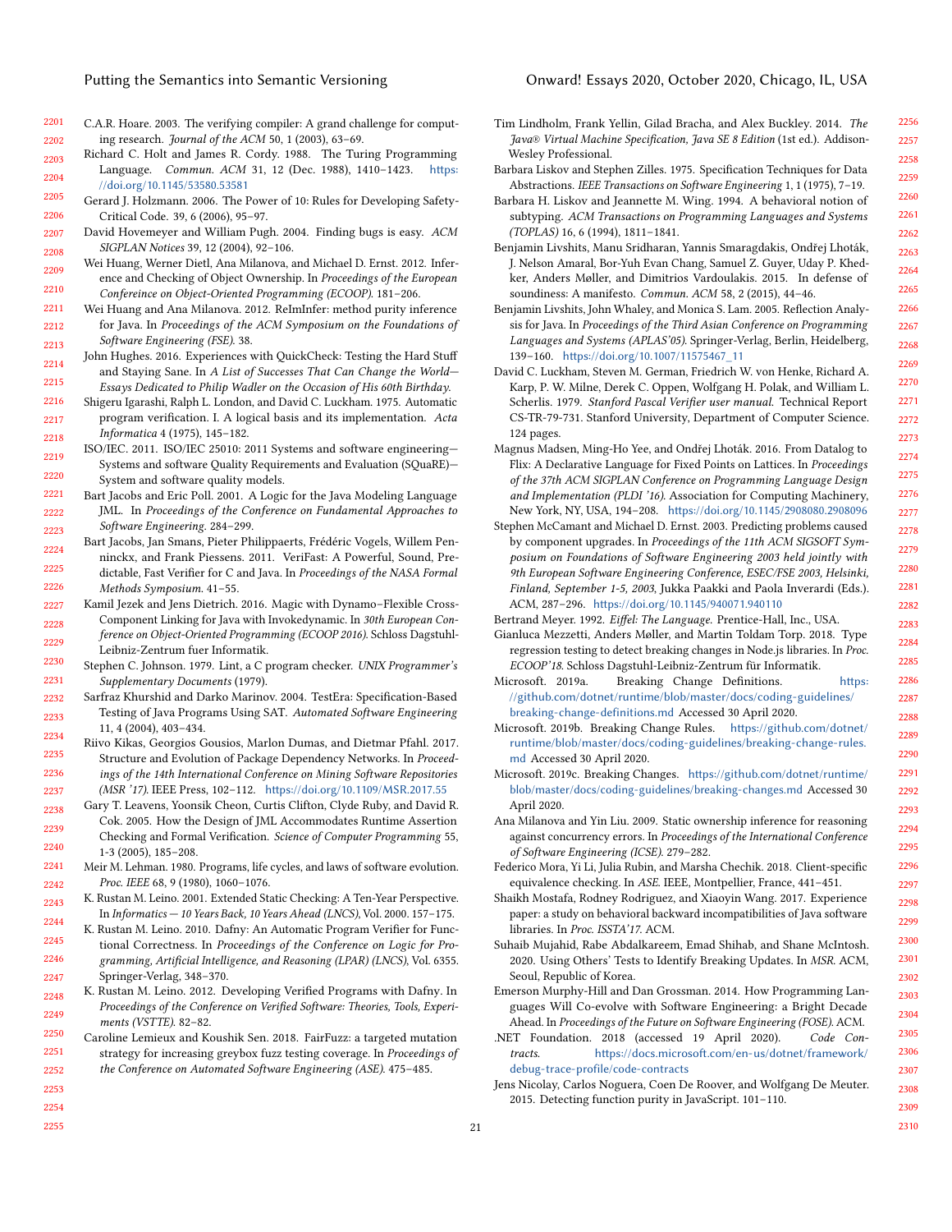- <span id="page-20-25"></span>2201 2202 C.A.R. Hoare. 2003. The verifying compiler: A grand challenge for computing research. Journal of the ACM 50, 1 (2003), 63–69.
- <span id="page-20-9"></span>2203 2204 Richard C. Holt and James R. Cordy. 1988. The Turing Programming Language. Commun. ACM 31, 12 (Dec. 1988), 1410–1423. [https:](https://doi.org/10.1145/53580.53581) [//doi.org/10.1145/53580.53581](https://doi.org/10.1145/53580.53581)
- <span id="page-20-40"></span>2205 2206 Gerard J. Holzmann. 2006. The Power of 10: Rules for Developing Safety-Critical Code. 39, 6 (2006), 95–97.
- <span id="page-20-39"></span>2207 2208 David Hovemeyer and William Pugh. 2004. Finding bugs is easy. ACM SIGPLAN Notices 39, 12 (2004), 92–106.
- <span id="page-20-19"></span>2209 2210 Wei Huang, Werner Dietl, Ana Milanova, and Michael D. Ernst. 2012. Inference and Checking of Object Ownership. In Proceedings of the European Confereince on Object-Oriented Programming (ECOOP). 181–206.
- <span id="page-20-15"></span>2211 2212 2213 Wei Huang and Ana Milanova. 2012. ReImInfer: method purity inference for Java. In Proceedings of the ACM Symposium on the Foundations of Software Engineering (FSE). 38.
- <span id="page-20-30"></span>2214 2215 John Hughes. 2016. Experiences with QuickCheck: Testing the Hard Stuff and Staying Sane. In A List of Successes That Can Change the World— Essays Dedicated to Philip Wadler on the Occasion of His 60th Birthday.
- <span id="page-20-8"></span>2216 2217 2218 Shigeru Igarashi, Ralph L. London, and David C. Luckham. 1975. Automatic program verification. I. A logical basis and its implementation. Acta Informatica 4 (1975), 145–182.
- <span id="page-20-37"></span>2219 2220 ISO/IEC. 2011. ISO/IEC 25010: 2011 Systems and software engineering— Systems and software Quality Requirements and Evaluation (SQuaRE)— System and software quality models.
- <span id="page-20-13"></span>2221 2222 2223 Bart Jacobs and Eric Poll. 2001. A Logic for the Java Modeling Language JML. In Proceedings of the Conference on Fundamental Approaches to Software Engineering. 284–299.
- <span id="page-20-22"></span>2224 2225 2226 Bart Jacobs, Jan Smans, Pieter Philippaerts, Frédéric Vogels, Willem Penninckx, and Frank Piessens. 2011. VeriFast: A Powerful, Sound, Predictable, Fast Verifier for C and Java. In Proceedings of the NASA Formal Methods Symposium. 41–55.
- <span id="page-20-6"></span>2227 Kamil Jezek and Jens Dietrich. 2016. Magic with Dynamo–Flexible Cross-
- 2228 2229 Component Linking for Java with Invokedynamic. In 30th European Conference on Object-Oriented Programming (ECOOP 2016). Schloss Dagstuhl-Leibniz-Zentrum fuer Informatik.
- <span id="page-20-38"></span>2230 2231 Stephen C. Johnson. 1979. Lint, a C program checker. UNIX Programmer's Supplementary Documents (1979).
- <span id="page-20-31"></span>2232 2233 2234 Sarfraz Khurshid and Darko Marinov. 2004. TestEra: Specification-Based Testing of Java Programs Using SAT. Automated Software Engineering 11, 4 (2004), 403–434.
- <span id="page-20-7"></span>2235 2236 2237 Riivo Kikas, Georgios Gousios, Marlon Dumas, and Dietmar Pfahl. 2017. Structure and Evolution of Package Dependency Networks. In Proceedings of the 14th International Conference on Mining Software Repositories (MSR '17). IEEE Press, 102–112. <https://doi.org/10.1109/MSR.2017.55>
- <span id="page-20-11"></span>2238 2239 Gary T. Leavens, Yoonsik Cheon, Curtis Clifton, Clyde Ruby, and David R. Cok. 2005. How the Design of JML Accommodates Runtime Assertion Checking and Formal Verification. Science of Computer Programming 55,
- 2240 2241 1-3 (2005), 185–208. Meir M. Lehman. 1980. Programs, life cycles, and laws of software evolution.
- <span id="page-20-2"></span>2242 Proc. IEEE 68, 9 (1980), 1060–1076.
- <span id="page-20-17"></span>2243 2244 K. Rustan M. Leino. 2001. Extended Static Checking: A Ten-Year Perspective. In Informatics — 10 Years Back, 10 Years Ahead (LNCS), Vol. 2000. 157–175.
- <span id="page-20-23"></span>2245 2246 2247 K. Rustan M. Leino. 2010. Dafny: An Automatic Program Verifier for Functional Correctness. In Proceedings of the Conference on Logic for Programming, Artificial Intelligence, and Reasoning (LPAR) (LNCS), Vol. 6355. Springer-Verlag, 348–370.
- <span id="page-20-24"></span>2248 2249 K. Rustan M. Leino. 2012. Developing Verified Programs with Dafny. In Proceedings of the Conference on Verified Software: Theories, Tools, Experiments (VSTTE). 82–82.
- <span id="page-20-32"></span>2250 2251 2252 2253 Caroline Lemieux and Koushik Sen. 2018. FairFuzz: a targeted mutation strategy for increasing greybox fuzz testing coverage. In Proceedings of the Conference on Automated Software Engineering (ASE). 475–485.
- <span id="page-20-0"></span>Tim Lindholm, Frank Yellin, Gilad Bracha, and Alex Buckley. 2014. The Java® Virtual Machine Specification, Java SE 8 Edition (1st ed.). Addison-Wesley Professional.
- <span id="page-20-12"></span>Barbara Liskov and Stephen Zilles. 1975. Specification Techniques for Data Abstractions. IEEE Transactions on Software Engineering 1, 1 (1975), 7–19.
- <span id="page-20-1"></span>Barbara H. Liskov and Jeannette M. Wing. 1994. A behavioral notion of subtyping. ACM Transactions on Programming Languages and Systems (TOPLAS) 16, 6 (1994), 1811–1841.
- <span id="page-20-33"></span>Benjamin Livshits, Manu Sridharan, Yannis Smaragdakis, Ondřej Lhoták, J. Nelson Amaral, Bor-Yuh Evan Chang, Samuel Z. Guyer, Uday P. Khedker, Anders Møller, and Dimitrios Vardoulakis. 2015. In defense of soundiness: A manifesto. Commun. ACM 58, 2 (2015), 44–46.
- <span id="page-20-35"></span>Benjamin Livshits, John Whaley, and Monica S. Lam. 2005. Reflection Analysis for Java. In Proceedings of the Third Asian Conference on Programming Languages and Systems (APLAS'05). Springer-Verlag, Berlin, Heidelberg, 139–160. [https://doi.org/10.1007/11575467\\_11](https://doi.org/10.1007/11575467_11)
- <span id="page-20-21"></span>David C. Luckham, Steven M. German, Friedrich W. von Henke, Richard A. Karp, P. W. Milne, Derek C. Oppen, Wolfgang H. Polak, and William L. Scherlis. 1979. Stanford Pascal Verifier user manual. Technical Report CS-TR-79-731. Stanford University, Department of Computer Science. 124 pages.
- <span id="page-20-34"></span>Magnus Madsen, Ming-Ho Yee, and Ondřej Lhoták. 2016. From Datalog to Flix: A Declarative Language for Fixed Points on Lattices. In Proceedings of the 37th ACM SIGPLAN Conference on Programming Language Design and Implementation (PLDI '16). Association for Computing Machinery, New York, NY, USA, 194–208. <https://doi.org/10.1145/2908080.2908096>
- <span id="page-20-18"></span>Stephen McCamant and Michael D. Ernst. 2003. Predicting problems caused by component upgrades. In Proceedings of the 11th ACM SIGSOFT Symposium on Foundations of Software Engineering 2003 held jointly with 9th European Software Engineering Conference, ESEC/FSE 2003, Helsinki, Finland, September 1-5, 2003, Jukka Paakki and Paola Inverardi (Eds.). ACM, 287–296. <https://doi.org/10.1145/940071.940110>
- <span id="page-20-10"></span>Bertrand Meyer. 1992. Eiffel: The Language. Prentice-Hall, Inc., USA.
- <span id="page-20-27"></span>Gianluca Mezzetti, Anders Møller, and Martin Toldam Torp. 2018. Type regression testing to detect breaking changes in Node.js libraries. In Proc. ECOOP'18. Schloss Dagstuhl-Leibniz-Zentrum für Informatik.
- <span id="page-20-3"></span>Microsoft. 2019a. Breaking Change Definitions. [https:](https://github.com/dotnet/runtime/blob/master/docs/coding-guidelines/breaking-change-definitions.md) [//github.com/dotnet/runtime/blob/master/docs/coding-guidelines/](https://github.com/dotnet/runtime/blob/master/docs/coding-guidelines/breaking-change-definitions.md) [breaking-change-definitions.md](https://github.com/dotnet/runtime/blob/master/docs/coding-guidelines/breaking-change-definitions.md) Accessed 30 April 2020.
- <span id="page-20-4"></span>Microsoft. 2019b. Breaking Change Rules. [https://github.com/dotnet/](https://github.com/dotnet/runtime/blob/master/docs/coding-guidelines/breaking-change-rules.md) [runtime/blob/master/docs/coding-guidelines/breaking-change-rules.](https://github.com/dotnet/runtime/blob/master/docs/coding-guidelines/breaking-change-rules.md) [md](https://github.com/dotnet/runtime/blob/master/docs/coding-guidelines/breaking-change-rules.md) Accessed 30 April 2020.
- <span id="page-20-5"></span>Microsoft. 2019c. Breaking Changes. [https://github.com/dotnet/runtime/](https://github.com/dotnet/runtime/blob/master/docs/coding-guidelines/breaking-changes.md) [blob/master/docs/coding-guidelines/breaking-changes.md](https://github.com/dotnet/runtime/blob/master/docs/coding-guidelines/breaking-changes.md) Accessed 30 April 2020.
- <span id="page-20-20"></span>Ana Milanova and Yin Liu. 2009. Static ownership inference for reasoning against concurrency errors. In Proceedings of the International Conference of Software Engineering (ICSE). 279–282.
- <span id="page-20-36"></span>Federico Mora, Yi Li, Julia Rubin, and Marsha Chechik. 2018. Client-specific equivalence checking. In ASE. IEEE, Montpellier, France, 441–451.
- <span id="page-20-26"></span>Shaikh Mostafa, Rodney Rodriguez, and Xiaoyin Wang. 2017. Experience paper: a study on behavioral backward incompatibilities of Java software libraries. In Proc. ISSTA'17. ACM.
- <span id="page-20-28"></span>Suhaib Mujahid, Rabe Abdalkareem, Emad Shihab, and Shane McIntosh. 2020. Using Others' Tests to Identify Breaking Updates. In MSR. ACM, Seoul, Republic of Korea.
- <span id="page-20-14"></span>Emerson Murphy-Hill and Dan Grossman. 2014. How Programming Languages Will Co-evolve with Software Engineering: a Bright Decade Ahead. In Proceedings of the Future on Software Engineering (FOSE). ACM.
- <span id="page-20-29"></span>.NET Foundation. 2018 (accessed 19 April 2020). Code Contracts. [https://docs.microsoft.com/en-us/dotnet/framework/](https://docs.microsoft.com/en-us/dotnet/framework/debug-trace-profile/code-contracts) [debug-trace-profile/code-contracts](https://docs.microsoft.com/en-us/dotnet/framework/debug-trace-profile/code-contracts)
- <span id="page-20-16"></span>Jens Nicolay, Carlos Noguera, Coen De Roover, and Wolfgang De Meuter. 2015. Detecting function purity in JavaScript. 101–110.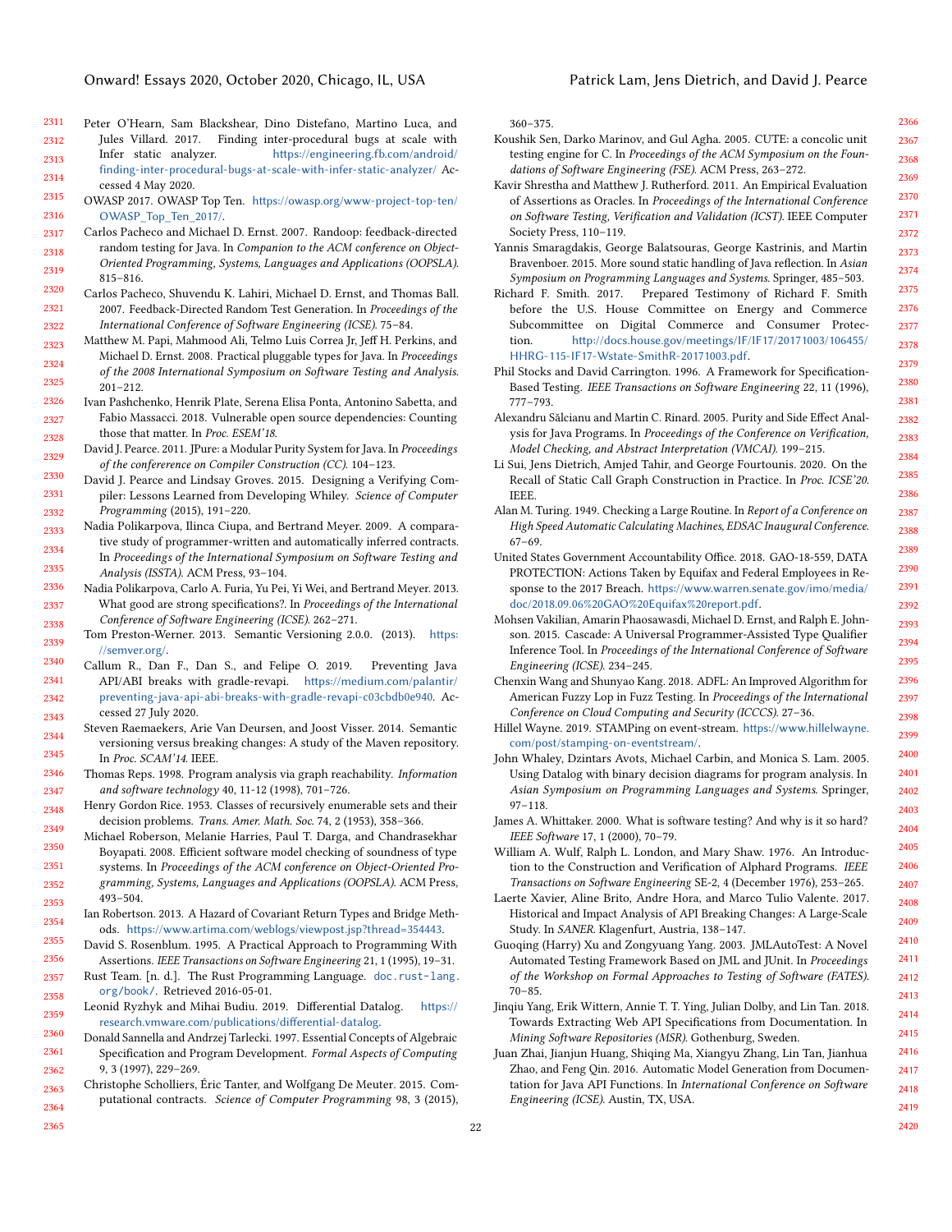- <span id="page-21-38"></span>2311 2312 2313 Peter O'Hearn, Sam Blackshear, Dino Distefano, Martino Luca, and Jules Villard. 2017. Finding inter-procedural bugs at scale with Infer static analyzer. [https://engineering.fb.com/android/](https://engineering.fb.com/android/finding-inter-procedural-bugs-at-scale-with-infer-static-analyzer/)
- 2314 [finding-inter-procedural-bugs-at-scale-with-infer-static-analyzer/](https://engineering.fb.com/android/finding-inter-procedural-bugs-at-scale-with-infer-static-analyzer/) Accessed 4 May 2020.
- <span id="page-21-6"></span>2315 2316 OWASP 2017. OWASP Top Ten. [https://owasp.org/www-project-top-ten/](https://owasp.org/www-project-top-ten/OWASP_Top_Ten_2017/) [OWASP\\_Top\\_Ten\\_2017/](https://owasp.org/www-project-top-ten/OWASP_Top_Ten_2017/).
- <span id="page-21-30"></span>2317 2318 2319 Carlos Pacheco and Michael D. Ernst. 2007. Randoop: feedback-directed random testing for Java. In Companion to the ACM conference on Object-Oriented Programming, Systems, Languages and Applications (OOPSLA). 815–816.
- <span id="page-21-31"></span>2320 2321 2322 Carlos Pacheco, Shuvendu K. Lahiri, Michael D. Ernst, and Thomas Ball. 2007. Feedback-Directed Random Test Generation. In Proceedings of the International Conference of Software Engineering (ICSE). 75–84.
- <span id="page-21-18"></span>2323 2324 2325 Matthew M. Papi, Mahmood Ali, Telmo Luis Correa Jr, Jeff H. Perkins, and Michael D. Ernst. 2008. Practical pluggable types for Java. In Proceedings of the 2008 International Symposium on Software Testing and Analysis. 201–212.
- <span id="page-21-7"></span>2326 2327 2328 Ivan Pashchenko, Henrik Plate, Serena Elisa Ponta, Antonino Sabetta, and Fabio Massacci. 2018. Vulnerable open source dependencies: Counting those that matter. In Proc. ESEM'18.
- <span id="page-21-20"></span>2329 David J. Pearce. 2011. JPure: a Modular Purity System for Java. In Proceedings of the confererence on Compiler Construction (CC). 104–123.
- <span id="page-21-25"></span>2330 2331 2332 David J. Pearce and Lindsay Groves. 2015. Designing a Verifying Compiler: Lessons Learned from Developing Whiley. Science of Computer Programming (2015), 191–220.
- <span id="page-21-22"></span>2333 2334 2335 Nadia Polikarpova, Ilinca Ciupa, and Bertrand Meyer. 2009. A comparative study of programmer-written and automatically inferred contracts. In Proceedings of the International Symposium on Software Testing and Analysis (ISSTA). ACM Press, 93–104.
- <span id="page-21-14"></span>2336 2337 2338 Nadia Polikarpova, Carlo A. Furia, Yu Pei, Yi Wei, and Bertrand Meyer. 2013. What good are strong specifications?. In Proceedings of the International Conference of Software Engineering (ICSE). 262–271.
- <span id="page-21-0"></span>2339 Tom Preston-Werner. 2013. Semantic Versioning 2.0.0. (2013). [https:](https://semver.org/) [//semver.org/](https://semver.org/).
- <span id="page-21-5"></span>2340 2341 2342 2343 Callum R., Dan F., Dan S., and Felipe O. 2019. Preventing Java API/ABI breaks with gradle-revapi. [https://medium.com/palantir/](https://medium.com/palantir/preventing-java-api-abi-breaks-with-gradle-revapi-c03cbdb0e940) [preventing-java-api-abi-breaks-with-gradle-revapi-c03cbdb0e940](https://medium.com/palantir/preventing-java-api-abi-breaks-with-gradle-revapi-c03cbdb0e940). Accessed 27 July 2020.
- <span id="page-21-3"></span>2344 2345 Steven Raemaekers, Arie Van Deursen, and Joost Visser. 2014. Semantic versioning versus breaking changes: A study of the Maven repository. In Proc. SCAM'14. IEEE.
- <span id="page-21-34"></span>2346 2347 Thomas Reps. 1998. Program analysis via graph reachability. Information and software technology 40, 11-12 (1998), 701–726.
- <span id="page-21-1"></span>2348 2349 Henry Gordon Rice. 1953. Classes of recursively enumerable sets and their decision problems. Trans. Amer. Math. Soc. 74, 2 (1953), 358–366.
- <span id="page-21-15"></span>2350 2351 2352 2353 Michael Roberson, Melanie Harries, Paul T. Darga, and Chandrasekhar Boyapati. 2008. Efficient software model checking of soundness of type systems. In Proceedings of the ACM conference on Object-Oriented Programming, Systems, Languages and Applications (OOPSLA). ACM Press, 493–504.
- <span id="page-21-4"></span>2354 Ian Robertson. 2013. A Hazard of Covariant Return Types and Bridge Methods. <https://www.artima.com/weblogs/viewpost.jsp?thread=354443>.
- <span id="page-21-12"></span>2355 2356 David S. Rosenblum. 1995. A Practical Approach to Programming With Assertions. IEEE Transactions on Software Engineering 21, 1 (1995), 19–31.
- <span id="page-21-17"></span>2357 2358 Rust Team. [n. d.]. The Rust Programming Language. [doc.rust-lang.](https://doc.rust-lang.org/book/) [org/book/](https://doc.rust-lang.org/book/). Retrieved 2016-05-01.
- <span id="page-21-37"></span>2359 Leonid Ryzhyk and Mihai Budiu. 2019. Differential Datalog. [https://](https://research.vmware.com/publications/differential-datalog) [research.vmware.com/publications/differential-datalog](https://research.vmware.com/publications/differential-datalog).
- <span id="page-21-13"></span>2360 2361 2362 Donald Sannella and Andrzej Tarlecki. 1997. Essential Concepts of Algebraic Specification and Program Development. Formal Aspects of Computing 9, 3 (1997), 229–269.
- <span id="page-21-21"></span>2363 2364 Christophe Scholliers, Éric Tanter, and Wolfgang De Meuter. 2015. Computational contracts. Science of Computer Programming 98, 3 (2015),

360–375.

- <span id="page-21-33"></span>Koushik Sen, Darko Marinov, and Gul Agha. 2005. CUTE: a concolic unit testing engine for C. In Proceedings of the ACM Symposium on the Foundations of Software Engineering (FSE). ACM Press, 263–272.
- <span id="page-21-27"></span>Kavir Shrestha and Matthew J. Rutherford. 2011. An Empirical Evaluation of Assertions as Oracles. In Proceedings of the International Conference on Software Testing, Verification and Validation (ICST). IEEE Computer Society Press, 110–119.
- <span id="page-21-39"></span>Yannis Smaragdakis, George Balatsouras, George Kastrinis, and Martin Bravenboer. 2015. More sound static handling of Java reflection. In Asian Symposium on Programming Languages and Systems. Springer, 485–503.
- <span id="page-21-8"></span>Richard F. Smith. 2017. Prepared Testimony of Richard F. Smith before the U.S. House Committee on Energy and Commerce Subcommittee on Digital Commerce and Consumer Protection. [http://docs.house.gov/meetings/IF/IF17/20171003/106455/](http://docs.house.gov/meetings/IF/IF17/20171003/106455/HHRG-115-IF17-Wstate-SmithR-20171003.pdf) [HHRG-115-IF17-Wstate-SmithR-20171003.pdf](http://docs.house.gov/meetings/IF/IF17/20171003/106455/HHRG-115-IF17-Wstate-SmithR-20171003.pdf).
- <span id="page-21-28"></span>Phil Stocks and David Carrington. 1996. A Framework for Specification-Based Testing. IEEE Transactions on Software Engineering 22, 11 (1996), 777–793.
- <span id="page-21-19"></span>Alexandru Sălcianu and Martin C. Rinard. 2005. Purity and Side Effect Analysis for Java Programs. In Proceedings of the Conference on Verification, Model Checking, and Abstract Interpretation (VMCAI). 199–215.
- <span id="page-21-35"></span>Li Sui, Jens Dietrich, Amjed Tahir, and George Fourtounis. 2020. On the Recall of Static Call Graph Construction in Practice. In Proc. ICSE'20. IEEE.
- <span id="page-21-10"></span>Alan M. Turing. 1949. Checking a Large Routine. In Report of a Conference on High Speed Automatic Calculating Machines, EDSAC Inaugural Conference. 67–69.
- <span id="page-21-9"></span>United States Government Accountability Office. 2018. GAO-18-559, DATA PROTECTION: Actions Taken by Equifax and Federal Employees in Response to the 2017 Breach. [https://www.warren.senate.gov/imo/media/](https://www.warren.senate.gov/imo/media/doc/2018.09.06%20GAO%20Equifax%20report.pdf) [doc/2018.09.06%20GAO%20Equifax%20report.pdf](https://www.warren.senate.gov/imo/media/doc/2018.09.06%20GAO%20Equifax%20report.pdf).
- <span id="page-21-16"></span>Mohsen Vakilian, Amarin Phaosawasdi, Michael D. Ernst, and Ralph E. Johnson. 2015. Cascade: A Universal Programmer-Assisted Type Qualifier Inference Tool. In Proceedings of the International Conference of Software Engineering (ICSE). 234–245.
- <span id="page-21-32"></span>Chenxin Wang and Shunyao Kang. 2018. ADFL: An Improved Algorithm for American Fuzzy Lop in Fuzz Testing. In Proceedings of the International Conference on Cloud Computing and Security (ICCCS). 27–36.
- <span id="page-21-2"></span>Hillel Wayne. 2019. STAMPing on event-stream. [https://www.hillelwayne.](https://www.hillelwayne.com/post/stamping-on-eventstream/) [com/post/stamping-on-eventstream/](https://www.hillelwayne.com/post/stamping-on-eventstream/).
- <span id="page-21-36"></span>John Whaley, Dzintars Avots, Michael Carbin, and Monica S. Lam. 2005. Using Datalog with binary decision diagrams for program analysis. In Asian Symposium on Programming Languages and Systems. Springer, 97–118.
- <span id="page-21-26"></span>James A. Whittaker. 2000. What is software testing? And why is it so hard? IEEE Software 17, 1 (2000), 70–79.
- <span id="page-21-11"></span>William A. Wulf, Ralph L. London, and Mary Shaw. 1976. An Introduction to the Construction and Verification of Alphard Programs. IEEE Transactions on Software Engineering SE-2, 4 (December 1976), 253–265.
- <span id="page-21-40"></span>Laerte Xavier, Aline Brito, Andre Hora, and Marco Tulio Valente. 2017. Historical and Impact Analysis of API Breaking Changes: A Large-Scale Study. In SANER. Klagenfurt, Austria, 138–147.
- <span id="page-21-29"></span>Guoqing (Harry) Xu and Zongyuang Yang. 2003. JMLAutoTest: A Novel Automated Testing Framework Based on JML and JUnit. In Proceedings of the Workshop on Formal Approaches to Testing of Software (FATES). 70–85.
- <span id="page-21-23"></span>Jinqiu Yang, Erik Wittern, Annie T. T. Ying, Julian Dolby, and Lin Tan. 2018. Towards Extracting Web API Specifications from Documentation. In Mining Software Repositories (MSR). Gothenburg, Sweden.
- <span id="page-21-24"></span>Juan Zhai, Jianjun Huang, Shiqing Ma, Xiangyu Zhang, Lin Tan, Jianhua Zhao, and Feng Qin. 2016. Automatic Model Generation from Documentation for Java API Functions. In International Conference on Software Engineering (ICSE). Austin, TX, USA.

2365